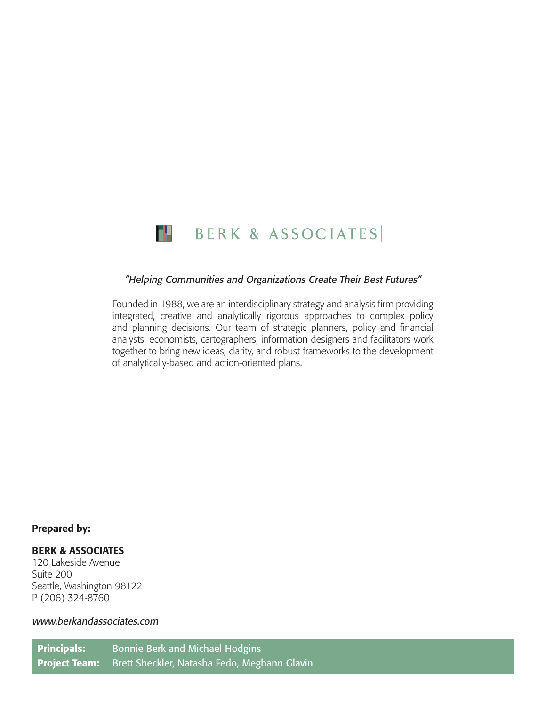

#### "Helping Communities and Organizations Create Their Best Futures"

Founded in 1988, we are an interdisciplinary strategy and analysis firm providing integrated, creative and analytically rigorous approaches to complex policy and planning decisions. Our team of strategic planners, policy and financial analysts, economists, cartographers, information designers and facilitators work together to bring new ideas, clarity, and robust frameworks to the development of analytically-based and action-oriented plans.

#### Prepared by:

#### BERK & ASSOCIATES

120 Lakeside Avenue Suite 200 Seattle, Washington 98122 P (206) 324-8760

#### www.berkandassociates.com

Principals: Bonnie Berk and Michael Hodgins Project Team: Brett Sheckler, Natasha Fedo, Meghann Glavin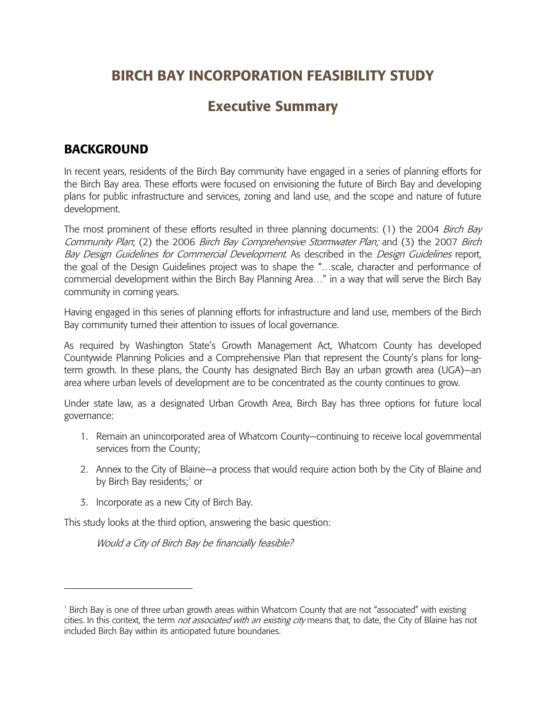# **BIRCH BAY INCORPORATION FEASIBILITY STUDY**

# **Executive Summary**

## **BACKGROUND**

In recent years, residents of the Birch Bay community have engaged in a series of planning efforts for the Birch Bay area. These efforts were focused on envisioning the future of Birch Bay and developing plans for public infrastructure and services, zoning and land use, and the scope and nature of future development.

The most prominent of these efforts resulted in three planning documents: (1) the 2004 Birch Bay Community Plan; (2) the 2006 Birch Bay Comprehensive Stormwater Plan; and (3) the 2007 Birch Bay Design Guidelines for Commercial Development. As described in the Design Guidelines report, the goal of the Design Guidelines project was to shape the "…scale, character and performance of commercial development within the Birch Bay Planning Area…" in a way that will serve the Birch Bay community in coming years.

Having engaged in this series of planning efforts for infrastructure and land use, members of the Birch Bay community turned their attention to issues of local governance.

As required by Washington State's Growth Management Act, Whatcom County has developed Countywide Planning Policies and a Comprehensive Plan that represent the County's plans for longterm growth. In these plans, the County has designated Birch Bay an urban growth area (UGA)—an area where urban levels of development are to be concentrated as the county continues to grow.

Under state law, as a designated Urban Growth Area, Birch Bay has three options for future local governance:

- 1. Remain an unincorporated area of Whatcom County—continuing to receive local governmental services from the County;
- 2. Annex to the City of Blaine—a process that would require action both by the City of Blaine and by Birch Bay residents;<sup>1</sup> or
- 3. Incorporate as a new City of Birch Bay.

-

This study looks at the third option, answering the basic question:

Would a City of Birch Bay be financially feasible?

<sup>&</sup>lt;sup>1</sup> Birch Bay is one of three urban growth areas within Whatcom County that are not "associated" with existing cities. In this context, the term *not associated with an existing city* means that, to date, the City of Blaine has not included Birch Bay within its anticipated future boundaries.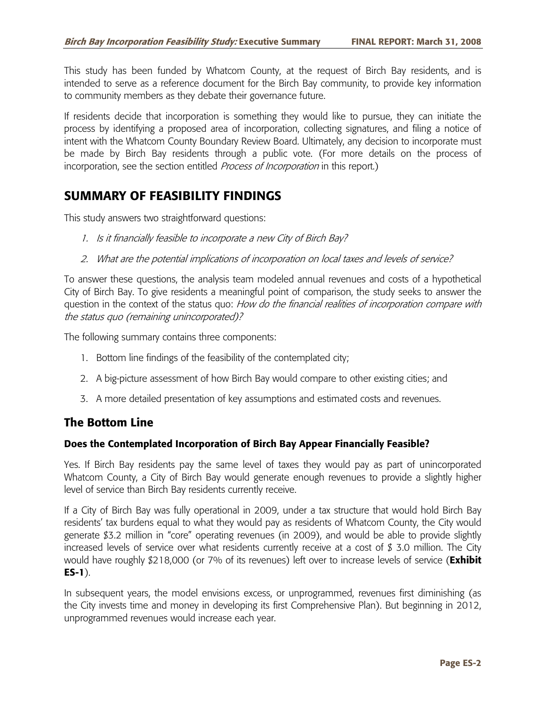This study has been funded by Whatcom County, at the request of Birch Bay residents, and is intended to serve as a reference document for the Birch Bay community, to provide key information to community members as they debate their governance future.

If residents decide that incorporation is something they would like to pursue, they can initiate the process by identifying a proposed area of incorporation, collecting signatures, and filing a notice of intent with the Whatcom County Boundary Review Board. Ultimately, any decision to incorporate must be made by Birch Bay residents through a public vote. (For more details on the process of incorporation, see the section entitled Process of Incorporation in this report.)

## **SUMMARY OF FEASIBILITY FINDINGS**

This study answers two straightforward questions:

- 1. Is it financially feasible to incorporate a new City of Birch Bay?
- 2. What are the potential implications of incorporation on local taxes and levels of service?

To answer these questions, the analysis team modeled annual revenues and costs of a hypothetical City of Birch Bay. To give residents a meaningful point of comparison, the study seeks to answer the question in the context of the status quo: How do the financial realities of incorporation compare with the status quo (remaining unincorporated)?

The following summary contains three components:

- 1. Bottom line findings of the feasibility of the contemplated city;
- 2. A big-picture assessment of how Birch Bay would compare to other existing cities; and
- 3. A more detailed presentation of key assumptions and estimated costs and revenues.

### **The Bottom Line**

#### **Does the Contemplated Incorporation of Birch Bay Appear Financially Feasible?**

Yes. If Birch Bay residents pay the same level of taxes they would pay as part of unincorporated Whatcom County, a City of Birch Bay would generate enough revenues to provide a slightly higher level of service than Birch Bay residents currently receive.

If a City of Birch Bay was fully operational in 2009, under a tax structure that would hold Birch Bay residents' tax burdens equal to what they would pay as residents of Whatcom County, the City would generate \$3.2 million in "core" operating revenues (in 2009), and would be able to provide slightly increased levels of service over what residents currently receive at a cost of \$ 3.0 million. The City would have roughly \$218,000 (or 7% of its revenues) left over to increase levels of service (**Exhibit ES-1**).

In subsequent years, the model envisions excess, or unprogrammed, revenues first diminishing (as the City invests time and money in developing its first Comprehensive Plan). But beginning in 2012, unprogrammed revenues would increase each year.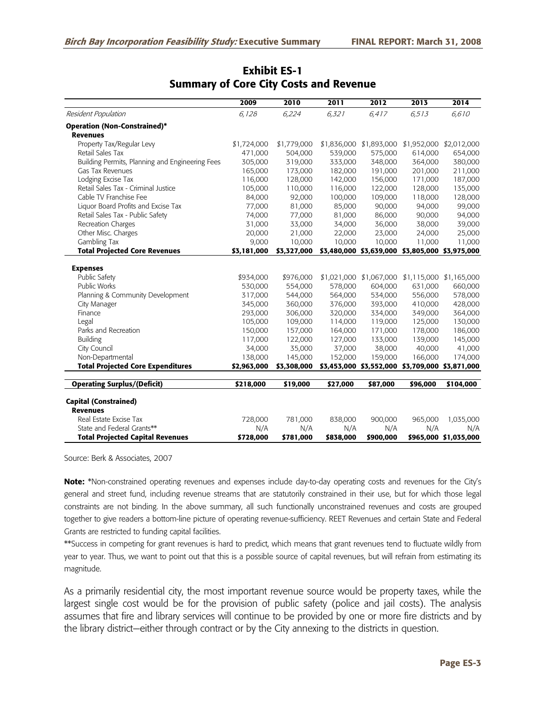|                                                 | 2009        | 2010        | 2011      | 2012                    | 2013                                            | 2014                    |
|-------------------------------------------------|-------------|-------------|-----------|-------------------------|-------------------------------------------------|-------------------------|
| Resident Population                             | 6,128       | 6,224       | 6,321     | 6,417                   | 6,513                                           | 6,610                   |
| <b>Operation (Non-Constrained)*</b>             |             |             |           |                         |                                                 |                         |
| <b>Revenues</b>                                 |             |             |           |                         |                                                 |                         |
| Property Tax/Regular Levy                       | \$1,724,000 | \$1,779,000 |           | \$1,836,000 \$1,893,000 |                                                 | \$1,952,000 \$2,012,000 |
| Retail Sales Tax                                | 471,000     | 504,000     | 539,000   | 575,000                 | 614,000                                         | 654,000                 |
| Building Permits, Planning and Engineering Fees | 305,000     | 319,000     | 333,000   | 348,000                 | 364,000                                         | 380,000                 |
| Gas Tax Revenues                                | 165,000     | 173,000     | 182,000   | 191,000                 | 201,000                                         | 211,000                 |
| Lodging Excise Tax                              | 116,000     | 128,000     | 142,000   | 156,000                 | 171,000                                         | 187,000                 |
| Retail Sales Tax - Criminal Justice             | 105,000     | 110,000     | 116,000   | 122,000                 | 128,000                                         | 135,000                 |
| Cable TV Franchise Fee                          | 84,000      | 92,000      | 100,000   | 109,000                 | 118,000                                         | 128,000                 |
| Liquor Board Profits and Excise Tax             | 77,000      | 81,000      | 85,000    | 90,000                  | 94,000                                          | 99,000                  |
| Retail Sales Tax - Public Safety                | 74,000      | 77,000      | 81,000    | 86,000                  | 90,000                                          | 94,000                  |
| Recreation Charges                              | 31,000      | 33,000      | 34,000    | 36,000                  | 38,000                                          | 39,000                  |
| Other Misc. Charges                             | 20,000      | 21,000      | 22,000    | 23,000                  | 24,000                                          | 25,000                  |
| Gambling Tax                                    | 9,000       | 10,000      | 10,000    | 10,000                  | 11,000                                          | 11,000                  |
| <b>Total Projected Core Revenues</b>            | \$3,181,000 | \$3,327,000 |           |                         | \$3,480,000 \$3,639,000 \$3,805,000 \$3,975,000 |                         |
|                                                 |             |             |           |                         |                                                 |                         |
| <b>Expenses</b>                                 |             |             |           |                         |                                                 |                         |
| Public Safety                                   | \$934,000   | \$976,000   |           | \$1,021,000 \$1,067,000 |                                                 | \$1,115,000 \$1,165,000 |
| <b>Public Works</b>                             | 530,000     | 554,000     | 578,000   | 604,000                 | 631,000                                         | 660,000                 |
| Planning & Community Development                | 317,000     | 544,000     | 564,000   | 534,000                 | 556,000                                         | 578,000                 |
| City Manager                                    | 345,000     | 360,000     | 376,000   | 393,000                 | 410,000                                         | 428,000                 |
| Finance                                         | 293,000     | 306,000     | 320,000   | 334,000                 | 349,000                                         | 364,000                 |
| Legal                                           | 105,000     | 109,000     | 114,000   | 119,000                 | 125,000                                         | 130,000                 |
| Parks and Recreation                            | 150,000     | 157,000     | 164,000   | 171,000                 | 178,000                                         | 186,000                 |
| Building                                        | 117,000     | 122,000     | 127,000   | 133,000                 | 139,000                                         | 145,000                 |
| City Council                                    | 34,000      | 35,000      | 37,000    | 38,000                  | 40,000                                          | 41,000                  |
| Non-Departmental                                | 138,000     | 145,000     | 152,000   | 159,000                 | 166,000                                         | 174,000                 |
| <b>Total Projected Core Expenditures</b>        | \$2,963,000 | \$3,308,000 |           |                         | \$3,453,000 \$3,552,000 \$3,709,000 \$3,871,000 |                         |
| <b>Operating Surplus/(Deficit)</b>              | \$218,000   | \$19,000    | \$27,000  | \$87,000                | \$96,000                                        | \$104,000               |
|                                                 |             |             |           |                         |                                                 |                         |
| <b>Capital (Constrained)</b>                    |             |             |           |                         |                                                 |                         |
| <b>Revenues</b>                                 |             |             |           |                         |                                                 |                         |
| Real Estate Excise Tax                          | 728,000     | 781,000     | 838,000   | 900,000                 | 965,000                                         | 1,035,000               |
| State and Federal Grants**                      | N/A         | N/A         | N/A       | N/A                     | N/A                                             | N/A                     |
| <b>Total Projected Capital Revenues</b>         | \$728,000   | \$781,000   | \$838,000 | \$900,000               |                                                 | \$965,000 \$1,035,000   |

### **Exhibit ES-1 Summary of Core City Costs and Revenue**

Source: Berk & Associates, 2007

**Note:** \*Non-constrained operating revenues and expenses include day-to-day operating costs and revenues for the City's general and street fund, including revenue streams that are statutorily constrained in their use, but for which those legal constraints are not binding. In the above summary, all such functionally unconstrained revenues and costs are grouped together to give readers a bottom-line picture of operating revenue-sufficiency. REET Revenues and certain State and Federal Grants are restricted to funding capital facilities.

\*\*Success in competing for grant revenues is hard to predict, which means that grant revenues tend to fluctuate wildly from year to year. Thus, we want to point out that this is a possible source of capital revenues, but will refrain from estimating its magnitude.

As a primarily residential city, the most important revenue source would be property taxes, while the largest single cost would be for the provision of public safety (police and jail costs). The analysis assumes that fire and library services will continue to be provided by one or more fire districts and by the library district—either through contract or by the City annexing to the districts in question.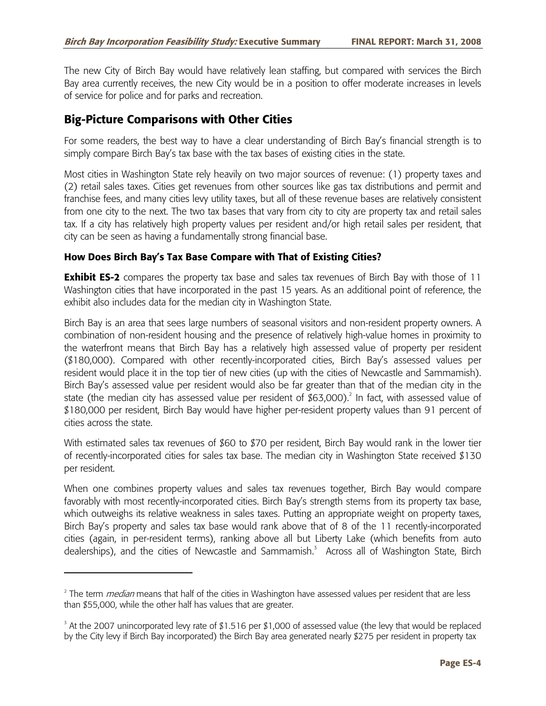The new City of Birch Bay would have relatively lean staffing, but compared with services the Birch Bay area currently receives, the new City would be in a position to offer moderate increases in levels of service for police and for parks and recreation.

## **Big-Picture Comparisons with Other Cities**

-

For some readers, the best way to have a clear understanding of Birch Bay's financial strength is to simply compare Birch Bay's tax base with the tax bases of existing cities in the state.

Most cities in Washington State rely heavily on two major sources of revenue: (1) property taxes and (2) retail sales taxes. Cities get revenues from other sources like gas tax distributions and permit and franchise fees, and many cities levy utility taxes, but all of these revenue bases are relatively consistent from one city to the next. The two tax bases that vary from city to city are property tax and retail sales tax. If a city has relatively high property values per resident and/or high retail sales per resident, that city can be seen as having a fundamentally strong financial base.

### **How Does Birch Bay's Tax Base Compare with That of Existing Cities?**

**Exhibit ES-2** compares the property tax base and sales tax revenues of Birch Bay with those of 11 Washington cities that have incorporated in the past 15 years. As an additional point of reference, the exhibit also includes data for the median city in Washington State.

Birch Bay is an area that sees large numbers of seasonal visitors and non-resident property owners. A combination of non-resident housing and the presence of relatively high-value homes in proximity to the waterfront means that Birch Bay has a relatively high assessed value of property per resident (\$180,000). Compared with other recently-incorporated cities, Birch Bay's assessed values per resident would place it in the top tier of new cities (up with the cities of Newcastle and Sammamish). Birch Bay's assessed value per resident would also be far greater than that of the median city in the state (the median city has assessed value per resident of \$63,000).<sup>2</sup> In fact, with assessed value of \$180,000 per resident, Birch Bay would have higher per-resident property values than 91 percent of cities across the state.

With estimated sales tax revenues of \$60 to \$70 per resident, Birch Bay would rank in the lower tier of recently-incorporated cities for sales tax base. The median city in Washington State received \$130 per resident.

When one combines property values and sales tax revenues together, Birch Bay would compare favorably with most recently-incorporated cities. Birch Bay's strength stems from its property tax base, which outweighs its relative weakness in sales taxes. Putting an appropriate weight on property taxes, Birch Bay's property and sales tax base would rank above that of 8 of the 11 recently-incorporated cities (again, in per-resident terms), ranking above all but Liberty Lake (which benefits from auto dealerships), and the cities of Newcastle and Sammamish.<sup>3</sup> Across all of Washington State, Birch

<sup>&</sup>lt;sup>2</sup> The term *median* means that half of the cities in Washington have assessed values per resident that are less than \$55,000, while the other half has values that are greater.

 $3$  At the 2007 unincorporated levy rate of \$1.516 per \$1,000 of assessed value (the levy that would be replaced by the City levy if Birch Bay incorporated) the Birch Bay area generated nearly \$275 per resident in property tax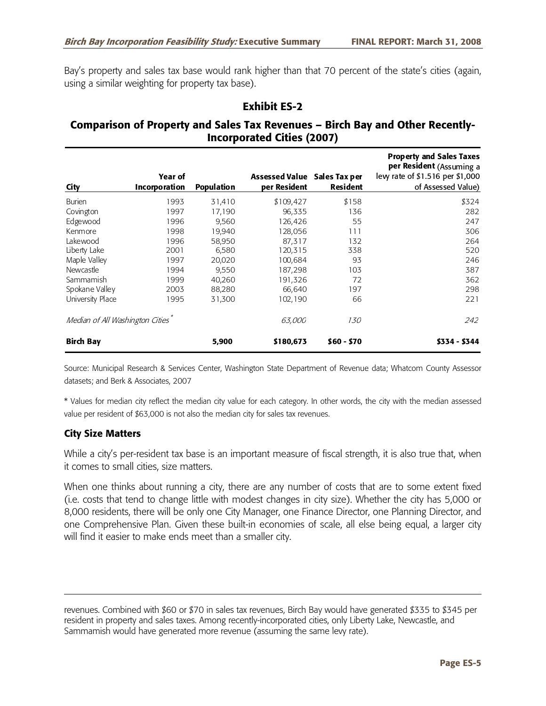Bay's property and sales tax base would rank higher than that 70 percent of the state's cities (again, using a similar weighting for property tax base).

#### **Exhibit ES-2**

### **Comparison of Property and Sales Tax Revenues – Birch Bay and Other Recently-Incorporated Cities (2007)**

| City                            | Year of<br><b>Incorporation</b> | <b>Population</b> | <b>Assessed Value</b><br>per Resident | Sales Tax per<br><b>Resident</b> | <b>Property and Sales Taxes</b><br>per Resident (Assuming a<br>levy rate of \$1.516 per \$1,000<br>of Assessed Value) |
|---------------------------------|---------------------------------|-------------------|---------------------------------------|----------------------------------|-----------------------------------------------------------------------------------------------------------------------|
| <b>Burien</b>                   | 1993                            | 31,410            | \$109,427                             | \$158                            | \$324                                                                                                                 |
| Covington                       | 1997                            | 17,190            | 96,335                                | 136                              | 282                                                                                                                   |
| Edgewood                        | 1996                            | 9,560             | 126,426                               | 55                               | 247                                                                                                                   |
| Kenmore                         | 1998                            | 19,940            | 128,056                               | 111                              | 306                                                                                                                   |
| Lakewood                        | 1996                            | 58,950            | 87,317                                | 132                              | 264                                                                                                                   |
| Liberty Lake                    | 2001                            | 6,580             | 120,315                               | 338                              | 520                                                                                                                   |
| Maple Valley                    | 1997                            | 20,020            | 100,684                               | 93                               | 246                                                                                                                   |
| Newcastle                       | 1994                            | 9,550             | 187,298                               | 103                              | 387                                                                                                                   |
| Sammamish                       | 1999                            | 40,260            | 191,326                               | 72                               | 362                                                                                                                   |
| Spokane Valley                  | 2003                            | 88,280            | 66,640                                | 197                              | 298                                                                                                                   |
| University Place                | 1995                            | 31,300            | 102,190                               | 66                               | 221                                                                                                                   |
| Median of All Washington Cities |                                 |                   | <i>63,000</i>                         | <i>130</i>                       | 242                                                                                                                   |
| <b>Birch Bay</b>                |                                 | 5,900             | \$180,673                             | $$60 - $70$                      | \$334 - \$344                                                                                                         |

Source: Municipal Research & Services Center, Washington State Department of Revenue data; Whatcom County Assessor datasets; and Berk & Associates, 2007

\* Values for median city reflect the median city value for each category. In other words, the city with the median assessed value per resident of \$63,000 is not also the median city for sales tax revenues.

#### **City Size Matters**

While a city's per-resident tax base is an important measure of fiscal strength, it is also true that, when it comes to small cities, size matters.

When one thinks about running a city, there are any number of costs that are to some extent fixed (i.e. costs that tend to change little with modest changes in city size). Whether the city has 5,000 or 8,000 residents, there will be only one City Manager, one Finance Director, one Planning Director, and one Comprehensive Plan. Given these built-in economies of scale, all else being equal, a larger city will find it easier to make ends meet than a smaller city.

revenues. Combined with \$60 or \$70 in sales tax revenues, Birch Bay would have generated \$335 to \$345 per resident in property and sales taxes. Among recently-incorporated cities, only Liberty Lake, Newcastle, and Sammamish would have generated more revenue (assuming the same levy rate).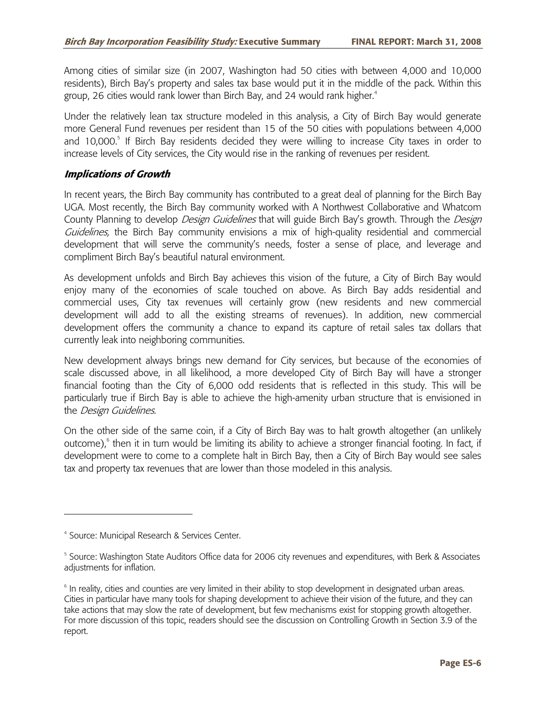Among cities of similar size (in 2007, Washington had 50 cities with between 4,000 and 10,000 residents), Birch Bay's property and sales tax base would put it in the middle of the pack. Within this group, 26 cities would rank lower than Birch Bay, and 24 would rank higher.<sup>4</sup>

Under the relatively lean tax structure modeled in this analysis, a City of Birch Bay would generate more General Fund revenues per resident than 15 of the 50 cities with populations between 4,000 and 10,000.<sup>5</sup> If Birch Bay residents decided they were willing to increase City taxes in order to increase levels of City services, the City would rise in the ranking of revenues per resident.

#### **Implications of Growth**

In recent years, the Birch Bay community has contributed to a great deal of planning for the Birch Bay UGA. Most recently, the Birch Bay community worked with A Northwest Collaborative and Whatcom County Planning to develop Design Guidelines that will guide Birch Bay's growth. Through the Design Guidelines, the Birch Bay community envisions a mix of high-quality residential and commercial development that will serve the community's needs, foster a sense of place, and leverage and compliment Birch Bay's beautiful natural environment.

As development unfolds and Birch Bay achieves this vision of the future, a City of Birch Bay would enjoy many of the economies of scale touched on above. As Birch Bay adds residential and commercial uses, City tax revenues will certainly grow (new residents and new commercial development will add to all the existing streams of revenues). In addition, new commercial development offers the community a chance to expand its capture of retail sales tax dollars that currently leak into neighboring communities.

New development always brings new demand for City services, but because of the economies of scale discussed above, in all likelihood, a more developed City of Birch Bay will have a stronger financial footing than the City of 6,000 odd residents that is reflected in this study. This will be particularly true if Birch Bay is able to achieve the high-amenity urban structure that is envisioned in the *Design Guidelines*.

On the other side of the same coin, if a City of Birch Bay was to halt growth altogether (an unlikely outcome),<sup>6</sup> then it in turn would be limiting its ability to achieve a stronger financial footing. In fact, if development were to come to a complete halt in Birch Bay, then a City of Birch Bay would see sales tax and property tax revenues that are lower than those modeled in this analysis.

-

<sup>4</sup> Source: Municipal Research & Services Center.

<sup>&</sup>lt;sup>5</sup> Source: Washington State Auditors Office data for 2006 city revenues and expenditures, with Berk & Associates adjustments for inflation.

<sup>&</sup>lt;sup>6</sup> In reality, cities and counties are very limited in their ability to stop development in designated urban areas. Cities in particular have many tools for shaping development to achieve their vision of the future, and they can take actions that may slow the rate of development, but few mechanisms exist for stopping growth altogether. For more discussion of this topic, readers should see the discussion on Controlling Growth in Section 3.9 of the report.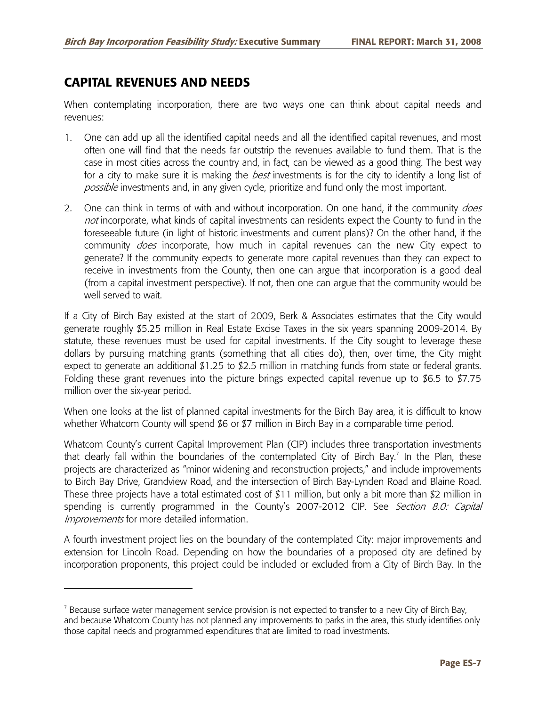## **CAPITAL REVENUES AND NEEDS**

-

When contemplating incorporation, there are two ways one can think about capital needs and revenues:

- 1. One can add up all the identified capital needs and all the identified capital revenues, and most often one will find that the needs far outstrip the revenues available to fund them. That is the case in most cities across the country and, in fact, can be viewed as a good thing. The best way for a city to make sure it is making the *best* investments is for the city to identify a long list of possible investments and, in any given cycle, prioritize and fund only the most important.
- 2. One can think in terms of with and without incorporation. On one hand, if the community does not incorporate, what kinds of capital investments can residents expect the County to fund in the foreseeable future (in light of historic investments and current plans)? On the other hand, if the community *does* incorporate, how much in capital revenues can the new City expect to generate? If the community expects to generate more capital revenues than they can expect to receive in investments from the County, then one can argue that incorporation is a good deal (from a capital investment perspective). If not, then one can argue that the community would be well served to wait.

If a City of Birch Bay existed at the start of 2009, Berk & Associates estimates that the City would generate roughly \$5.25 million in Real Estate Excise Taxes in the six years spanning 2009-2014. By statute, these revenues must be used for capital investments. If the City sought to leverage these dollars by pursuing matching grants (something that all cities do), then, over time, the City might expect to generate an additional \$1.25 to \$2.5 million in matching funds from state or federal grants. Folding these grant revenues into the picture brings expected capital revenue up to \$6.5 to \$7.75 million over the six-year period.

When one looks at the list of planned capital investments for the Birch Bay area, it is difficult to know whether Whatcom County will spend \$6 or \$7 million in Birch Bay in a comparable time period.

Whatcom County's current Capital Improvement Plan (CIP) includes three transportation investments that clearly fall within the boundaries of the contemplated City of Birch Bay.<sup>7</sup> In the Plan, these projects are characterized as "minor widening and reconstruction projects," and include improvements to Birch Bay Drive, Grandview Road, and the intersection of Birch Bay-Lynden Road and Blaine Road. These three projects have a total estimated cost of \$11 million, but only a bit more than \$2 million in spending is currently programmed in the County's 2007-2012 CIP. See Section 8.0: Capital Improvements for more detailed information.

A fourth investment project lies on the boundary of the contemplated City: major improvements and extension for Lincoln Road. Depending on how the boundaries of a proposed city are defined by incorporation proponents, this project could be included or excluded from a City of Birch Bay. In the

 $^7$  Because surface water management service provision is not expected to transfer to a new City of Birch Bay, and because Whatcom County has not planned any improvements to parks in the area, this study identifies only those capital needs and programmed expenditures that are limited to road investments.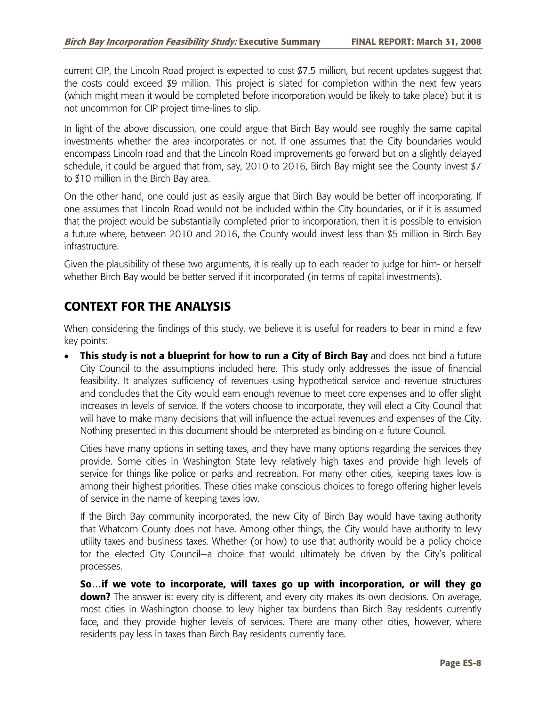current CIP, the Lincoln Road project is expected to cost \$7.5 million, but recent updates suggest that the costs could exceed \$9 million. This project is slated for completion within the next few years (which might mean it would be completed before incorporation would be likely to take place) but it is not uncommon for CIP project time-lines to slip.

In light of the above discussion, one could argue that Birch Bay would see roughly the same capital investments whether the area incorporates or not. If one assumes that the City boundaries would encompass Lincoln road and that the Lincoln Road improvements go forward but on a slightly delayed schedule, it could be argued that from, say, 2010 to 2016, Birch Bay might see the County invest \$7 to \$10 million in the Birch Bay area.

On the other hand, one could just as easily argue that Birch Bay would be better off incorporating. If one assumes that Lincoln Road would not be included within the City boundaries, or if it is assumed that the project would be substantially completed prior to incorporation, then it is possible to envision a future where, between 2010 and 2016, the County would invest less than \$5 million in Birch Bay infrastructure.

Given the plausibility of these two arguments, it is really up to each reader to judge for him- or herself whether Birch Bay would be better served if it incorporated (in terms of capital investments).

## **CONTEXT FOR THE ANALYSIS**

When considering the findings of this study, we believe it is useful for readers to bear in mind a few key points:

• **This study is not a blueprint for how to run a City of Birch Bay** and does not bind a future City Council to the assumptions included here. This study only addresses the issue of financial feasibility. It analyzes sufficiency of revenues using hypothetical service and revenue structures and concludes that the City would earn enough revenue to meet core expenses and to offer slight increases in levels of service. If the voters choose to incorporate, they will elect a City Council that will have to make many decisions that will influence the actual revenues and expenses of the City. Nothing presented in this document should be interpreted as binding on a future Council.

Cities have many options in setting taxes, and they have many options regarding the services they provide. Some cities in Washington State levy relatively high taxes and provide high levels of service for things like police or parks and recreation. For many other cities, keeping taxes low is among their highest priorities. These cities make conscious choices to forego offering higher levels of service in the name of keeping taxes low.

If the Birch Bay community incorporated, the new City of Birch Bay would have taxing authority that Whatcom County does not have. Among other things, the City would have authority to levy utility taxes and business taxes. Whether (or how) to use that authority would be a policy choice for the elected City Council—a choice that would ultimately be driven by the City's political processes.

**So…if we vote to incorporate, will taxes go up with incorporation, or will they go down?** The answer is: every city is different, and every city makes its own decisions. On average, most cities in Washington choose to levy higher tax burdens than Birch Bay residents currently face, and they provide higher levels of services. There are many other cities, however, where residents pay less in taxes than Birch Bay residents currently face.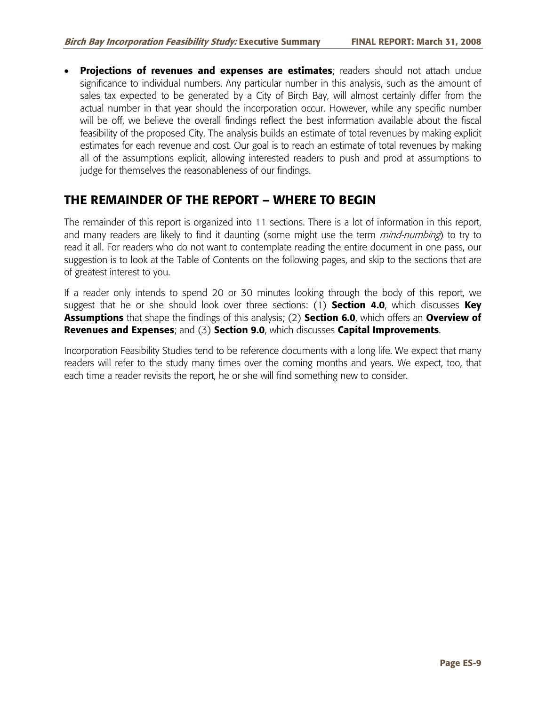• **Projections of revenues and expenses are estimates**; readers should not attach undue significance to individual numbers. Any particular number in this analysis, such as the amount of sales tax expected to be generated by a City of Birch Bay, will almost certainly differ from the actual number in that year should the incorporation occur. However, while any specific number will be off, we believe the overall findings reflect the best information available about the fiscal feasibility of the proposed City. The analysis builds an estimate of total revenues by making explicit estimates for each revenue and cost. Our goal is to reach an estimate of total revenues by making all of the assumptions explicit, allowing interested readers to push and prod at assumptions to judge for themselves the reasonableness of our findings.

## **THE REMAINDER OF THE REPORT – WHERE TO BEGIN**

The remainder of this report is organized into 11 sections. There is a lot of information in this report, and many readers are likely to find it daunting (some might use the term *mind-numbing*) to try to read it all. For readers who do not want to contemplate reading the entire document in one pass, our suggestion is to look at the Table of Contents on the following pages, and skip to the sections that are of greatest interest to you.

If a reader only intends to spend 20 or 30 minutes looking through the body of this report, we suggest that he or she should look over three sections: (1) **Section 4.0**, which discusses **Key Assumptions** that shape the findings of this analysis; (2) **Section 6.0**, which offers an **Overview of Revenues and Expenses**; and (3) **Section 9.0**, which discusses **Capital Improvements**.

Incorporation Feasibility Studies tend to be reference documents with a long life. We expect that many readers will refer to the study many times over the coming months and years. We expect, too, that each time a reader revisits the report, he or she will find something new to consider.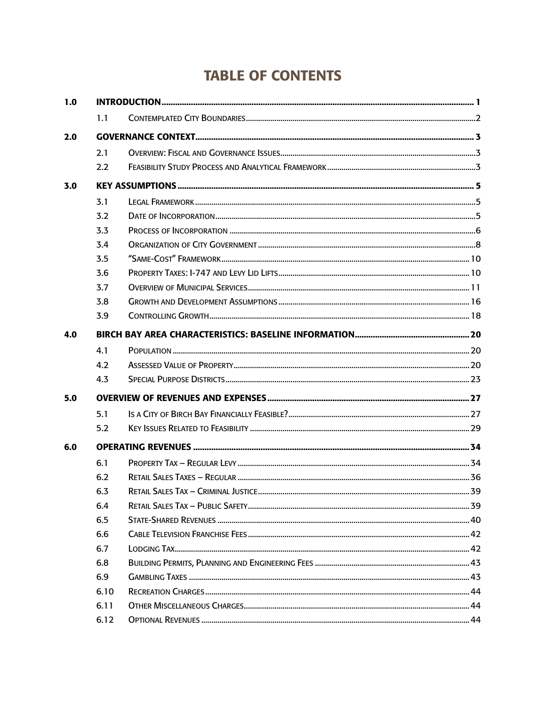# **TABLE OF CONTENTS**

| 1.0 |      |  |  |  |  |  |
|-----|------|--|--|--|--|--|
|     | 1.1  |  |  |  |  |  |
| 2.0 |      |  |  |  |  |  |
|     | 2.1  |  |  |  |  |  |
|     | 2.2  |  |  |  |  |  |
| 3.0 |      |  |  |  |  |  |
|     | 3.1  |  |  |  |  |  |
|     | 3.2  |  |  |  |  |  |
|     | 3.3  |  |  |  |  |  |
|     | 3.4  |  |  |  |  |  |
|     | 3.5  |  |  |  |  |  |
|     | 3.6  |  |  |  |  |  |
|     | 3.7  |  |  |  |  |  |
|     | 3.8  |  |  |  |  |  |
|     | 3.9  |  |  |  |  |  |
| 4.0 |      |  |  |  |  |  |
|     | 4.1  |  |  |  |  |  |
|     | 4.2  |  |  |  |  |  |
|     | 4.3  |  |  |  |  |  |
| 5.0 |      |  |  |  |  |  |
|     | 5.1  |  |  |  |  |  |
|     | 5.2  |  |  |  |  |  |
| 6.0 |      |  |  |  |  |  |
|     | 6.1  |  |  |  |  |  |
|     | 6.2  |  |  |  |  |  |
|     | 6.3  |  |  |  |  |  |
|     | 6.4  |  |  |  |  |  |
|     | 6.5  |  |  |  |  |  |
|     | 6.6  |  |  |  |  |  |
|     | 6.7  |  |  |  |  |  |
|     | 6.8  |  |  |  |  |  |
|     | 6.9  |  |  |  |  |  |
|     | 6.10 |  |  |  |  |  |
|     | 6.11 |  |  |  |  |  |
|     | 6.12 |  |  |  |  |  |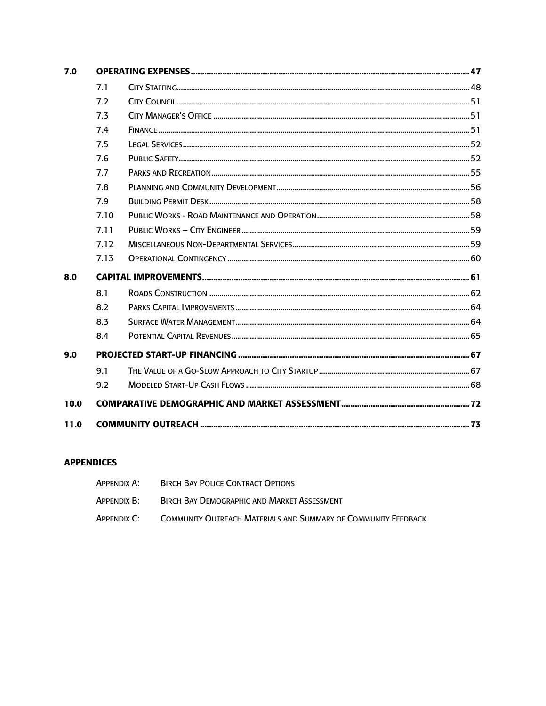| 7.0  |      |  |  |  |
|------|------|--|--|--|
|      | 7.1  |  |  |  |
|      | 7.2  |  |  |  |
|      | 7.3  |  |  |  |
|      | 7.4  |  |  |  |
|      | 7.5  |  |  |  |
|      | 7.6  |  |  |  |
|      | 7.7  |  |  |  |
|      | 7.8  |  |  |  |
|      | 7.9  |  |  |  |
|      | 7.10 |  |  |  |
|      | 7.11 |  |  |  |
|      | 7.12 |  |  |  |
|      | 7.13 |  |  |  |
| 8.0  |      |  |  |  |
|      | 8.1  |  |  |  |
|      | 8.2  |  |  |  |
|      | 8.3  |  |  |  |
|      | 8.4  |  |  |  |
| 9.0  |      |  |  |  |
|      | 9.1  |  |  |  |
|      | 9.2  |  |  |  |
| 10.0 |      |  |  |  |
| 11.0 |      |  |  |  |

#### **APPENDICES**

| Appendix A: | <b>BIRCH BAY POLICE CONTRACT OPTIONS</b>                              |
|-------------|-----------------------------------------------------------------------|
| Appendix B: | BIRCH BAY DEMOGRAPHIC AND MARKET ASSESSMENT                           |
| Appendix C: | <b>COMMUNITY OUTREACH MATERIALS AND SUMMARY OF COMMUNITY FEEDBACK</b> |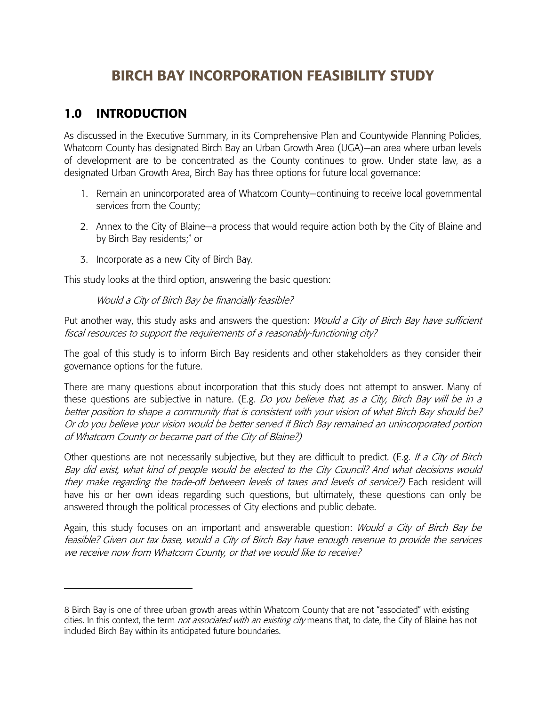# **BIRCH BAY INCORPORATION FEASIBILITY STUDY**

## **1.0 INTRODUCTION**

As discussed in the Executive Summary, in its Comprehensive Plan and Countywide Planning Policies, Whatcom County has designated Birch Bay an Urban Growth Area (UGA)—an area where urban levels of development are to be concentrated as the County continues to grow. Under state law, as a designated Urban Growth Area, Birch Bay has three options for future local governance:

- 1. Remain an unincorporated area of Whatcom County—continuing to receive local governmental services from the County;
- 2. Annex to the City of Blaine—a process that would require action both by the City of Blaine and by Birch Bay residents;<sup>8</sup> or
- 3. Incorporate as a new City of Birch Bay.

This study looks at the third option, answering the basic question:

Would a City of Birch Bay be financially feasible?

Put another way, this study asks and answers the question: *Would a City of Birch Bay have sufficient* fiscal resources to support the requirements of a reasonably-functioning city?

The goal of this study is to inform Birch Bay residents and other stakeholders as they consider their governance options for the future.

There are many questions about incorporation that this study does not attempt to answer. Many of these questions are subjective in nature. (E.g. Do you believe that, as a City, Birch Bay will be in a better position to shape a community that is consistent with your vision of what Birch Bay should be? Or do you believe your vision would be better served if Birch Bay remained an unincorporated portion of Whatcom County or became part of the City of Blaine?)

Other questions are not necessarily subjective, but they are difficult to predict. (E.g. If a City of Birch Bay did exist, what kind of people would be elected to the City Council? And what decisions would they make regarding the trade-off between levels of taxes and levels of service?) Each resident will have his or her own ideas regarding such questions, but ultimately, these questions can only be answered through the political processes of City elections and public debate.

Again, this study focuses on an important and answerable question: *Would a City of Birch Bay be* feasible? Given our tax base, would a City of Birch Bay have enough revenue to provide the services we receive now from Whatcom County, or that we would like to receive?

<sup>8</sup> Birch Bay is one of three urban growth areas within Whatcom County that are not "associated" with existing cities. In this context, the term *not associated with an existing city* means that, to date, the City of Blaine has not included Birch Bay within its anticipated future boundaries.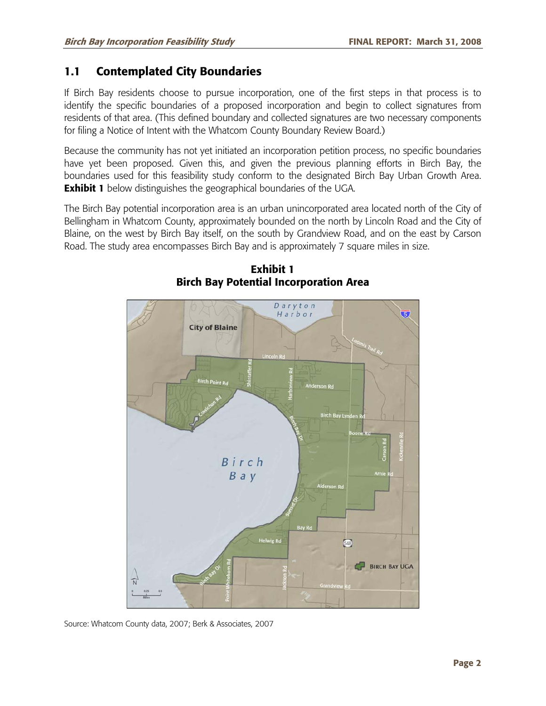## **1.1 Contemplated City Boundaries**

If Birch Bay residents choose to pursue incorporation, one of the first steps in that process is to identify the specific boundaries of a proposed incorporation and begin to collect signatures from residents of that area. (This defined boundary and collected signatures are two necessary components for filing a Notice of Intent with the Whatcom County Boundary Review Board.)

Because the community has not yet initiated an incorporation petition process, no specific boundaries have yet been proposed. Given this, and given the previous planning efforts in Birch Bay, the boundaries used for this feasibility study conform to the designated Birch Bay Urban Growth Area. **Exhibit 1** below distinguishes the geographical boundaries of the UGA.

The Birch Bay potential incorporation area is an urban unincorporated area located north of the City of Bellingham in Whatcom County, approximately bounded on the north by Lincoln Road and the City of Blaine, on the west by Birch Bay itself, on the south by Grandview Road, and on the east by Carson Road. The study area encompasses Birch Bay and is approximately 7 square miles in size.



**Exhibit 1 Birch Bay Potential Incorporation Area** 

Source: Whatcom County data, 2007; Berk & Associates, 2007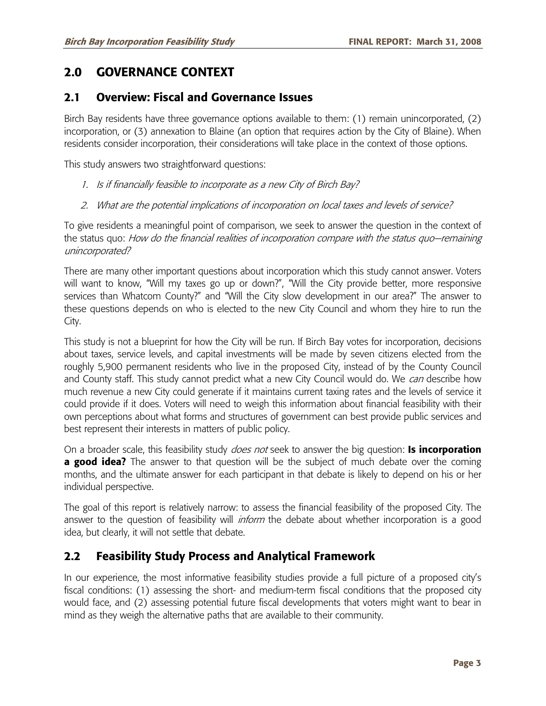## **2.0 GOVERNANCE CONTEXT**

### **2.1 Overview: Fiscal and Governance Issues**

Birch Bay residents have three governance options available to them: (1) remain unincorporated, (2) incorporation, or (3) annexation to Blaine (an option that requires action by the City of Blaine). When residents consider incorporation, their considerations will take place in the context of those options.

This study answers two straightforward questions:

- 1. Is if financially feasible to incorporate as a new City of Birch Bay?
- 2. What are the potential implications of incorporation on local taxes and levels of service?

To give residents a meaningful point of comparison, we seek to answer the question in the context of the status quo: How do the financial realities of incorporation compare with the status quo—remaining unincorporated?

There are many other important questions about incorporation which this study cannot answer. Voters will want to know, "Will my taxes go up or down?", "Will the City provide better, more responsive services than Whatcom County?" and "Will the City slow development in our area?" The answer to these questions depends on who is elected to the new City Council and whom they hire to run the City.

This study is not a blueprint for how the City will be run. If Birch Bay votes for incorporation, decisions about taxes, service levels, and capital investments will be made by seven citizens elected from the roughly 5,900 permanent residents who live in the proposed City, instead of by the County Council and County staff. This study cannot predict what a new City Council would do. We can describe how much revenue a new City could generate if it maintains current taxing rates and the levels of service it could provide if it does. Voters will need to weigh this information about financial feasibility with their own perceptions about what forms and structures of government can best provide public services and best represent their interests in matters of public policy.

On a broader scale, this feasibility study does not seek to answer the big question: **Is incorporation a good idea?** The answer to that question will be the subject of much debate over the coming months, and the ultimate answer for each participant in that debate is likely to depend on his or her individual perspective.

The goal of this report is relatively narrow: to assess the financial feasibility of the proposed City. The answer to the question of feasibility will *inform* the debate about whether incorporation is a good idea, but clearly, it will not settle that debate.

### **2.2 Feasibility Study Process and Analytical Framework**

In our experience, the most informative feasibility studies provide a full picture of a proposed city's fiscal conditions: (1) assessing the short- and medium-term fiscal conditions that the proposed city would face, and (2) assessing potential future fiscal developments that voters might want to bear in mind as they weigh the alternative paths that are available to their community.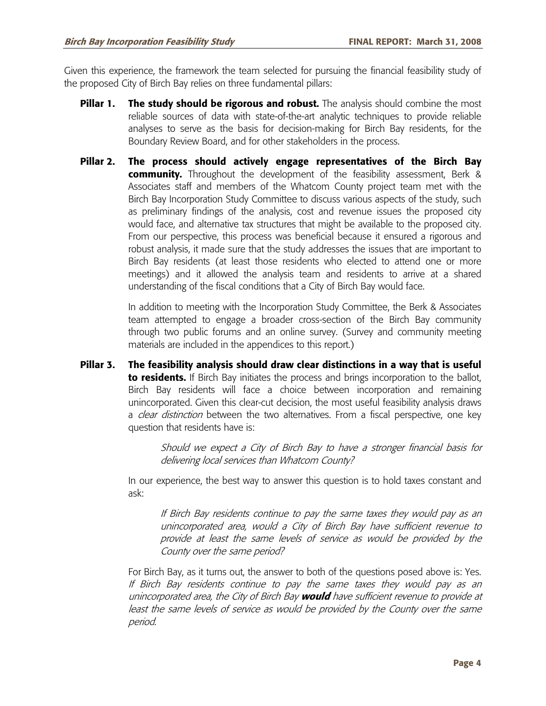Given this experience, the framework the team selected for pursuing the financial feasibility study of the proposed City of Birch Bay relies on three fundamental pillars:

- **Pillar 1.** The study should be rigorous and robust. The analysis should combine the most reliable sources of data with state-of-the-art analytic techniques to provide reliable analyses to serve as the basis for decision-making for Birch Bay residents, for the Boundary Review Board, and for other stakeholders in the process.
- **Pillar 2. The process should actively engage representatives of the Birch Bay community.** Throughout the development of the feasibility assessment, Berk & Associates staff and members of the Whatcom County project team met with the Birch Bay Incorporation Study Committee to discuss various aspects of the study, such as preliminary findings of the analysis, cost and revenue issues the proposed city would face, and alternative tax structures that might be available to the proposed city. From our perspective, this process was beneficial because it ensured a rigorous and robust analysis, it made sure that the study addresses the issues that are important to Birch Bay residents (at least those residents who elected to attend one or more meetings) and it allowed the analysis team and residents to arrive at a shared understanding of the fiscal conditions that a City of Birch Bay would face.

In addition to meeting with the Incorporation Study Committee, the Berk & Associates team attempted to engage a broader cross-section of the Birch Bay community through two public forums and an online survey. (Survey and community meeting materials are included in the appendices to this report.)

**Pillar 3. The feasibility analysis should draw clear distinctions in a way that is useful to residents.** If Birch Bay initiates the process and brings incorporation to the ballot, Birch Bay residents will face a choice between incorporation and remaining unincorporated. Given this clear-cut decision, the most useful feasibility analysis draws a *clear distinction* between the two alternatives. From a fiscal perspective, one key question that residents have is:

> Should we expect a City of Birch Bay to have a stronger financial basis for delivering local services than Whatcom County?

In our experience, the best way to answer this question is to hold taxes constant and ask:

If Birch Bay residents continue to pay the same taxes they would pay as an unincorporated area, would a City of Birch Bay have sufficient revenue to provide at least the same levels of service as would be provided by the County over the same period?

For Birch Bay, as it turns out, the answer to both of the questions posed above is: Yes. If Birch Bay residents continue to pay the same taxes they would pay as an unincorporated area, the City of Birch Bay **would** have sufficient revenue to provide at least the same levels of service as would be provided by the County over the same period.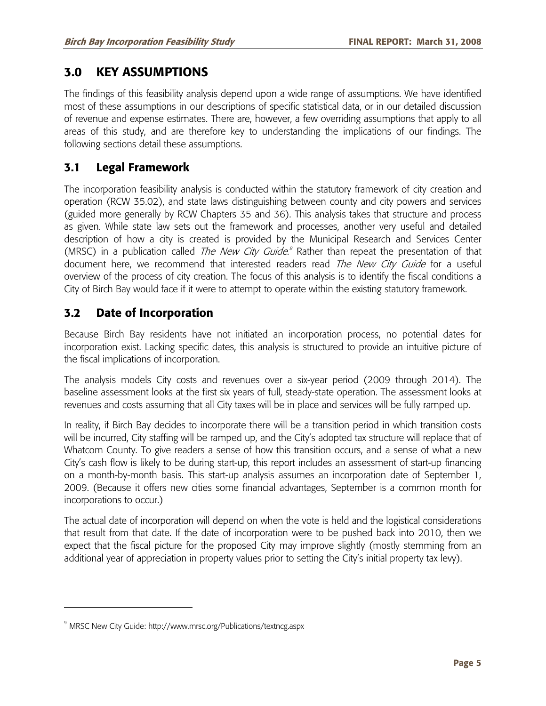## **3.0 KEY ASSUMPTIONS**

The findings of this feasibility analysis depend upon a wide range of assumptions. We have identified most of these assumptions in our descriptions of specific statistical data, or in our detailed discussion of revenue and expense estimates. There are, however, a few overriding assumptions that apply to all areas of this study, and are therefore key to understanding the implications of our findings. The following sections detail these assumptions.

## **3.1 Legal Framework**

The incorporation feasibility analysis is conducted within the statutory framework of city creation and operation (RCW 35.02), and state laws distinguishing between county and city powers and services (guided more generally by RCW Chapters 35 and 36). This analysis takes that structure and process as given. While state law sets out the framework and processes, another very useful and detailed description of how a city is created is provided by the Municipal Research and Services Center (MRSC) in a publication called *The New City Guide.*<sup>9</sup> Rather than repeat the presentation of that document here, we recommend that interested readers read The New City Guide for a useful overview of the process of city creation. The focus of this analysis is to identify the fiscal conditions a City of Birch Bay would face if it were to attempt to operate within the existing statutory framework.

## **3.2 Date of Incorporation**

Because Birch Bay residents have not initiated an incorporation process, no potential dates for incorporation exist. Lacking specific dates, this analysis is structured to provide an intuitive picture of the fiscal implications of incorporation.

The analysis models City costs and revenues over a six-year period (2009 through 2014). The baseline assessment looks at the first six years of full, steady-state operation. The assessment looks at revenues and costs assuming that all City taxes will be in place and services will be fully ramped up.

In reality, if Birch Bay decides to incorporate there will be a transition period in which transition costs will be incurred, City staffing will be ramped up, and the City's adopted tax structure will replace that of Whatcom County. To give readers a sense of how this transition occurs, and a sense of what a new City's cash flow is likely to be during start-up, this report includes an assessment of start-up financing on a month-by-month basis. This start-up analysis assumes an incorporation date of September 1, 2009. (Because it offers new cities some financial advantages, September is a common month for incorporations to occur.)

The actual date of incorporation will depend on when the vote is held and the logistical considerations that result from that date. If the date of incorporation were to be pushed back into 2010, then we expect that the fiscal picture for the proposed City may improve slightly (mostly stemming from an additional year of appreciation in property values prior to setting the City's initial property tax levy).

-

<sup>9</sup> MRSC New City Guide: http://www.mrsc.org/Publications/textncg.aspx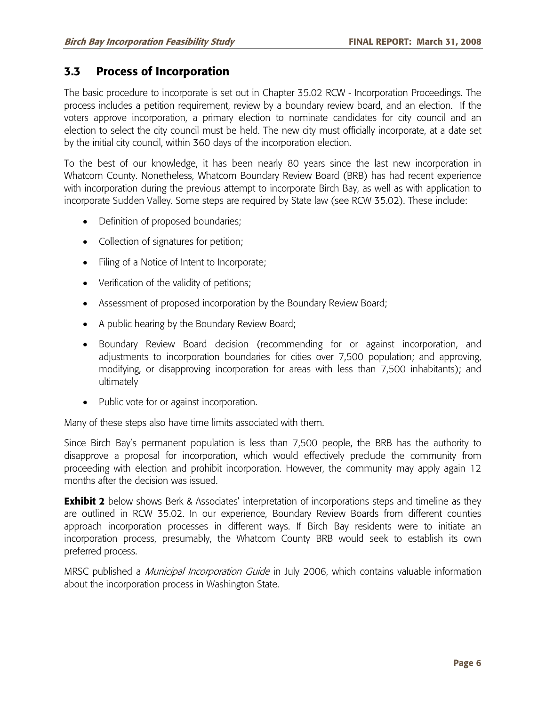### **3.3 Process of Incorporation**

The basic procedure to incorporate is set out in Chapter 35.02 RCW - Incorporation Proceedings. The process includes a petition requirement, review by a boundary review board, and an election. If the voters approve incorporation, a primary election to nominate candidates for city council and an election to select the city council must be held. The new city must officially incorporate, at a date set by the initial city council, within 360 days of the incorporation election.

To the best of our knowledge, it has been nearly 80 years since the last new incorporation in Whatcom County. Nonetheless, Whatcom Boundary Review Board (BRB) has had recent experience with incorporation during the previous attempt to incorporate Birch Bay, as well as with application to incorporate Sudden Valley. Some steps are required by State law (see RCW 35.02). These include:

- Definition of proposed boundaries;
- Collection of signatures for petition;
- Filing of a Notice of Intent to Incorporate;
- Verification of the validity of petitions;
- Assessment of proposed incorporation by the Boundary Review Board;
- A public hearing by the Boundary Review Board;
- Boundary Review Board decision (recommending for or against incorporation, and adjustments to incorporation boundaries for cities over 7,500 population; and approving, modifying, or disapproving incorporation for areas with less than 7,500 inhabitants); and ultimately
- Public vote for or against incorporation.

Many of these steps also have time limits associated with them.

Since Birch Bay's permanent population is less than 7,500 people, the BRB has the authority to disapprove a proposal for incorporation, which would effectively preclude the community from proceeding with election and prohibit incorporation. However, the community may apply again 12 months after the decision was issued.

**Exhibit 2** below shows Berk & Associates' interpretation of incorporations steps and timeline as they are outlined in RCW 35.02. In our experience, Boundary Review Boards from different counties approach incorporation processes in different ways. If Birch Bay residents were to initiate an incorporation process, presumably, the Whatcom County BRB would seek to establish its own preferred process.

MRSC published a *Municipal Incorporation Guide* in July 2006, which contains valuable information about the incorporation process in Washington State.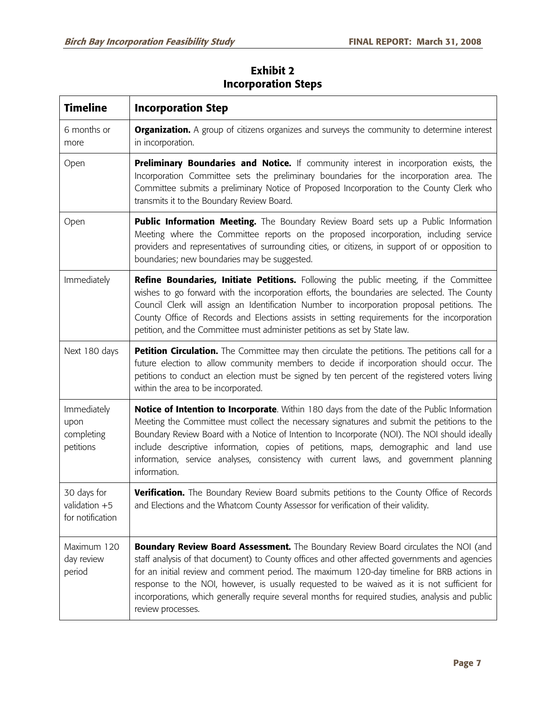| <b>Timeline</b>                                    | <b>Incorporation Step</b>                                                                                                                                                                                                                                                                                                                                                                                                                                                                                         |
|----------------------------------------------------|-------------------------------------------------------------------------------------------------------------------------------------------------------------------------------------------------------------------------------------------------------------------------------------------------------------------------------------------------------------------------------------------------------------------------------------------------------------------------------------------------------------------|
| 6 months or<br>more                                | <b>Organization.</b> A group of citizens organizes and surveys the community to determine interest<br>in incorporation.                                                                                                                                                                                                                                                                                                                                                                                           |
| Open                                               | Preliminary Boundaries and Notice. If community interest in incorporation exists, the<br>Incorporation Committee sets the preliminary boundaries for the incorporation area. The<br>Committee submits a preliminary Notice of Proposed Incorporation to the County Clerk who<br>transmits it to the Boundary Review Board.                                                                                                                                                                                        |
| Open                                               | <b>Public Information Meeting.</b> The Boundary Review Board sets up a Public Information<br>Meeting where the Committee reports on the proposed incorporation, including service<br>providers and representatives of surrounding cities, or citizens, in support of or opposition to<br>boundaries; new boundaries may be suggested.                                                                                                                                                                             |
| Immediately                                        | <b>Refine Boundaries, Initiate Petitions.</b> Following the public meeting, if the Committee<br>wishes to go forward with the incorporation efforts, the boundaries are selected. The County<br>Council Clerk will assign an Identification Number to incorporation proposal petitions. The<br>County Office of Records and Elections assists in setting requirements for the incorporation<br>petition, and the Committee must administer petitions as set by State law.                                         |
| Next 180 days                                      | Petition Circulation. The Committee may then circulate the petitions. The petitions call for a<br>future election to allow community members to decide if incorporation should occur. The<br>petitions to conduct an election must be signed by ten percent of the registered voters living<br>within the area to be incorporated.                                                                                                                                                                                |
| Immediately<br>upon<br>completing<br>petitions     | <b>Notice of Intention to Incorporate.</b> Within 180 days from the date of the Public Information<br>Meeting the Committee must collect the necessary signatures and submit the petitions to the<br>Boundary Review Board with a Notice of Intention to Incorporate (NOI). The NOI should ideally<br>include descriptive information, copies of petitions, maps, demographic and land use<br>information, service analyses, consistency with current laws, and government planning<br>information.               |
| 30 days for<br>validation $+5$<br>for notification | Verification. The Boundary Review Board submits petitions to the County Office of Records<br>and Elections and the Whatcom County Assessor for verification of their validity.                                                                                                                                                                                                                                                                                                                                    |
| Maximum 120<br>day review<br>period                | <b>Boundary Review Board Assessment.</b> The Boundary Review Board circulates the NOI (and<br>staff analysis of that document) to County offices and other affected governments and agencies<br>for an initial review and comment period. The maximum 120-day timeline for BRB actions in<br>response to the NOI, however, is usually requested to be waived as it is not sufficient for<br>incorporations, which generally require several months for required studies, analysis and public<br>review processes. |

## **Exhibit 2 Incorporation Steps**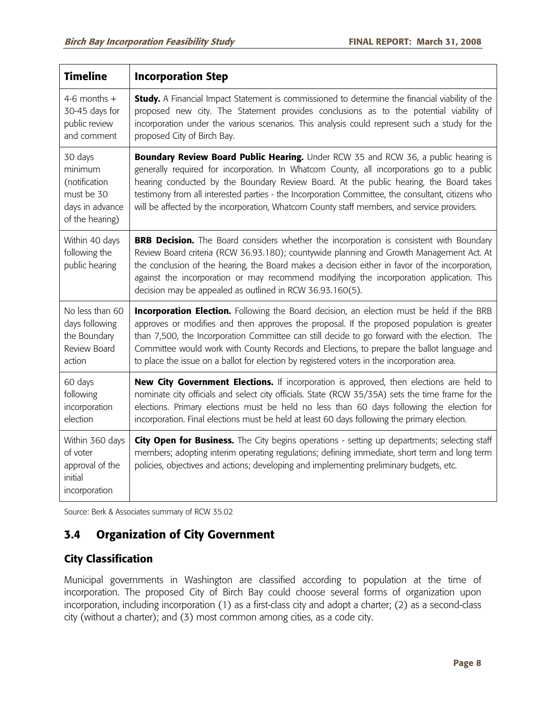| <b>Timeline</b>                                                                         | <b>Incorporation Step</b>                                                                                                                                                                                                                                                                                                                                                                                                                                                                    |
|-----------------------------------------------------------------------------------------|----------------------------------------------------------------------------------------------------------------------------------------------------------------------------------------------------------------------------------------------------------------------------------------------------------------------------------------------------------------------------------------------------------------------------------------------------------------------------------------------|
| 4-6 months $+$<br>30-45 days for<br>public review<br>and comment                        | <b>Study.</b> A Financial Impact Statement is commissioned to determine the financial viability of the<br>proposed new city. The Statement provides conclusions as to the potential viability of<br>incorporation under the various scenarios. This analysis could represent such a study for the<br>proposed City of Birch Bay.                                                                                                                                                             |
| 30 days<br>minimum<br>(notification<br>must be 30<br>days in advance<br>of the hearing) | Boundary Review Board Public Hearing. Under RCW 35 and RCW 36, a public hearing is<br>generally required for incorporation. In Whatcom County, all incorporations go to a public<br>hearing conducted by the Boundary Review Board. At the public hearing, the Board takes<br>testimony from all interested parties - the Incorporation Committee, the consultant, citizens who<br>will be affected by the incorporation, Whatcom County staff members, and service providers.               |
| Within 40 days<br>following the<br>public hearing                                       | <b>BRB Decision.</b> The Board considers whether the incorporation is consistent with Boundary<br>Review Board criteria (RCW 36.93.180); countywide planning and Growth Management Act. At<br>the conclusion of the hearing, the Board makes a decision either in favor of the incorporation,<br>against the incorporation or may recommend modifying the incorporation application. This<br>decision may be appealed as outlined in RCW 36.93.160(5).                                       |
| No less than 60<br>days following<br>the Boundary<br>Review Board<br>action             | <b>Incorporation Election.</b> Following the Board decision, an election must be held if the BRB<br>approves or modifies and then approves the proposal. If the proposed population is greater<br>than 7,500, the Incorporation Committee can still decide to go forward with the election. The<br>Committee would work with County Records and Elections, to prepare the ballot language and<br>to place the issue on a ballot for election by registered voters in the incorporation area. |
| 60 days<br>following<br>incorporation<br>election                                       | New City Government Elections. If incorporation is approved, then elections are held to<br>nominate city officials and select city officials. State (RCW 35/35A) sets the time frame for the<br>elections. Primary elections must be held no less than 60 days following the election for<br>incorporation. Final elections must be held at least 60 days following the primary election.                                                                                                    |
| Within 360 days<br>of voter<br>approval of the<br>initial<br>incorporation              | City Open for Business. The City begins operations - setting up departments; selecting staff<br>members; adopting interim operating regulations; defining immediate, short term and long term<br>policies, objectives and actions; developing and implementing preliminary budgets, etc.                                                                                                                                                                                                     |

Source: Berk & Associates summary of RCW 35.02

## **3.4 Organization of City Government**

## **City Classification**

Municipal governments in Washington are classified according to population at the time of incorporation. The proposed City of Birch Bay could choose several forms of organization upon incorporation, including incorporation (1) as a first-class city and adopt a charter; (2) as a second-class city (without a charter); and (3) most common among cities, as a code city.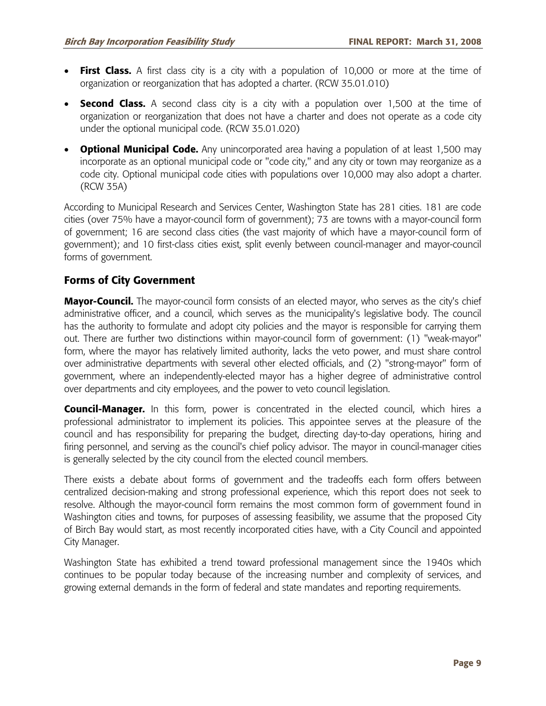- **First Class.** A first class city is a city with a population of 10,000 or more at the time of organization or reorganization that has adopted a charter. (RCW 35.01.010)
- **Second Class.** A second class city is a city with a population over 1,500 at the time of organization or reorganization that does not have a charter and does not operate as a code city under the optional municipal code. (RCW 35.01.020)
- **Optional Municipal Code.** Any unincorporated area having a population of at least 1,500 may incorporate as an optional municipal code or "code city," and any city or town may reorganize as a code city. Optional municipal code cities with populations over 10,000 may also adopt a charter. (RCW 35A)

According to Municipal Research and Services Center, Washington State has 281 cities. 181 are code cities (over 75% have a mayor-council form of government); 73 are towns with a mayor-council form of government; 16 are second class cities (the vast majority of which have a mayor-council form of government); and 10 first-class cities exist, split evenly between council-manager and mayor-council forms of government.

### **Forms of City Government**

**Mayor-Council.** The mayor-council form consists of an elected mayor, who serves as the city's chief administrative officer, and a council, which serves as the municipality's legislative body. The council has the authority to formulate and adopt city policies and the mayor is responsible for carrying them out. There are further two distinctions within mayor-council form of government: (1) "weak-mayor" form, where the mayor has relatively limited authority, lacks the veto power, and must share control over administrative departments with several other elected officials, and (2) "strong-mayor" form of government, where an independently-elected mayor has a higher degree of administrative control over departments and city employees, and the power to veto council legislation.

**Council-Manager.** In this form, power is concentrated in the elected council, which hires a professional administrator to implement its policies. This appointee serves at the pleasure of the council and has responsibility for preparing the budget, directing day-to-day operations, hiring and firing personnel, and serving as the council's chief policy advisor. The mayor in council-manager cities is generally selected by the city council from the elected council members.

There exists a debate about forms of government and the tradeoffs each form offers between centralized decision-making and strong professional experience, which this report does not seek to resolve. Although the mayor-council form remains the most common form of government found in Washington cities and towns, for purposes of assessing feasibility, we assume that the proposed City of Birch Bay would start, as most recently incorporated cities have, with a City Council and appointed City Manager.

Washington State has exhibited a trend toward professional management since the 1940s which continues to be popular today because of the increasing number and complexity of services, and growing external demands in the form of federal and state mandates and reporting requirements.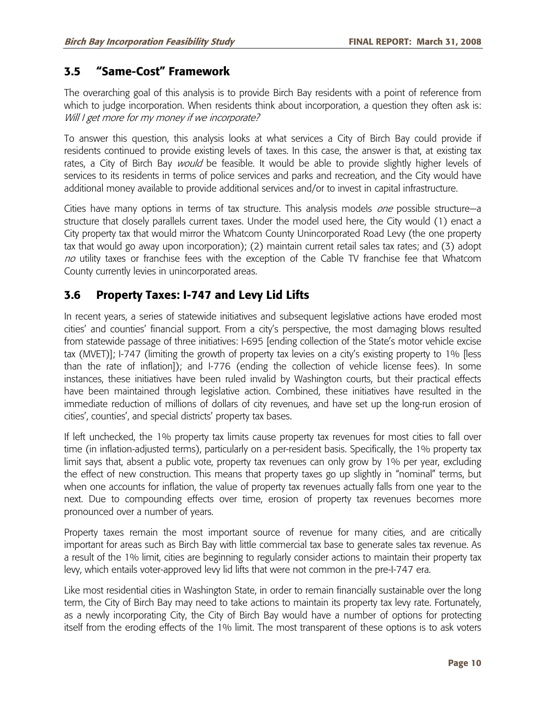### **3.5 "Same-Cost" Framework**

The overarching goal of this analysis is to provide Birch Bay residents with a point of reference from which to judge incorporation. When residents think about incorporation, a question they often ask is: Will I get more for my money if we incorporate?

To answer this question, this analysis looks at what services a City of Birch Bay could provide if residents continued to provide existing levels of taxes. In this case, the answer is that, at existing tax rates, a City of Birch Bay *would* be feasible. It would be able to provide slightly higher levels of services to its residents in terms of police services and parks and recreation, and the City would have additional money available to provide additional services and/or to invest in capital infrastructure.

Cities have many options in terms of tax structure. This analysis models one possible structure—a structure that closely parallels current taxes. Under the model used here, the City would (1) enact a City property tax that would mirror the Whatcom County Unincorporated Road Levy (the one property tax that would go away upon incorporation); (2) maintain current retail sales tax rates; and (3) adopt no utility taxes or franchise fees with the exception of the Cable TV franchise fee that Whatcom County currently levies in unincorporated areas.

## **3.6 Property Taxes: I-747 and Levy Lid Lifts**

In recent years, a series of statewide initiatives and subsequent legislative actions have eroded most cities' and counties' financial support. From a city's perspective, the most damaging blows resulted from statewide passage of three initiatives: I-695 [ending collection of the State's motor vehicle excise tax (MVET)]; I-747 (limiting the growth of property tax levies on a city's existing property to 1% [less than the rate of inflation]); and I-776 (ending the collection of vehicle license fees). In some instances, these initiatives have been ruled invalid by Washington courts, but their practical effects have been maintained through legislative action. Combined, these initiatives have resulted in the immediate reduction of millions of dollars of city revenues, and have set up the long-run erosion of cities', counties', and special districts' property tax bases.

If left unchecked, the 1% property tax limits cause property tax revenues for most cities to fall over time (in inflation-adjusted terms), particularly on a per-resident basis. Specifically, the 1% property tax limit says that, absent a public vote, property tax revenues can only grow by 1% per year, excluding the effect of new construction. This means that property taxes go up slightly in "nominal" terms, but when one accounts for inflation, the value of property tax revenues actually falls from one year to the next. Due to compounding effects over time, erosion of property tax revenues becomes more pronounced over a number of years.

Property taxes remain the most important source of revenue for many cities, and are critically important for areas such as Birch Bay with little commercial tax base to generate sales tax revenue. As a result of the 1% limit, cities are beginning to regularly consider actions to maintain their property tax levy, which entails voter-approved levy lid lifts that were not common in the pre-I-747 era.

Like most residential cities in Washington State, in order to remain financially sustainable over the long term, the City of Birch Bay may need to take actions to maintain its property tax levy rate. Fortunately, as a newly incorporating City, the City of Birch Bay would have a number of options for protecting itself from the eroding effects of the 1% limit. The most transparent of these options is to ask voters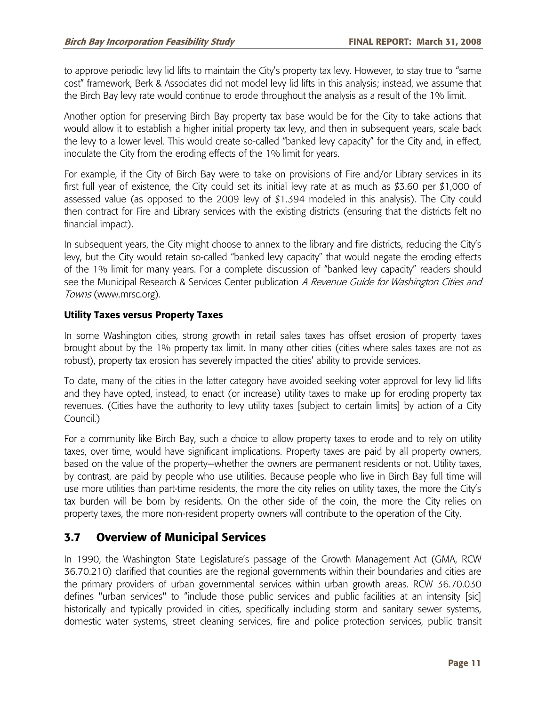to approve periodic levy lid lifts to maintain the City's property tax levy. However, to stay true to "same cost" framework, Berk & Associates did not model levy lid lifts in this analysis; instead, we assume that the Birch Bay levy rate would continue to erode throughout the analysis as a result of the 1% limit.

Another option for preserving Birch Bay property tax base would be for the City to take actions that would allow it to establish a higher initial property tax levy, and then in subsequent years, scale back the levy to a lower level. This would create so-called "banked levy capacity" for the City and, in effect, inoculate the City from the eroding effects of the 1% limit for years.

For example, if the City of Birch Bay were to take on provisions of Fire and/or Library services in its first full year of existence, the City could set its initial levy rate at as much as \$3.60 per \$1,000 of assessed value (as opposed to the 2009 levy of \$1.394 modeled in this analysis). The City could then contract for Fire and Library services with the existing districts (ensuring that the districts felt no financial impact).

In subsequent years, the City might choose to annex to the library and fire districts, reducing the City's levy, but the City would retain so-called "banked levy capacity" that would negate the eroding effects of the 1% limit for many years. For a complete discussion of "banked levy capacity" readers should see the Municipal Research & Services Center publication A Revenue Guide for Washington Cities and Towns (www.mrsc.org).

#### **Utility Taxes versus Property Taxes**

In some Washington cities, strong growth in retail sales taxes has offset erosion of property taxes brought about by the 1% property tax limit. In many other cities (cities where sales taxes are not as robust), property tax erosion has severely impacted the cities' ability to provide services.

To date, many of the cities in the latter category have avoided seeking voter approval for levy lid lifts and they have opted, instead, to enact (or increase) utility taxes to make up for eroding property tax revenues. (Cities have the authority to levy utility taxes [subject to certain limits] by action of a City Council.)

For a community like Birch Bay, such a choice to allow property taxes to erode and to rely on utility taxes, over time, would have significant implications. Property taxes are paid by all property owners, based on the value of the property—whether the owners are permanent residents or not. Utility taxes, by contrast, are paid by people who use utilities. Because people who live in Birch Bay full time will use more utilities than part-time residents, the more the city relies on utility taxes, the more the City's tax burden will be born by residents. On the other side of the coin, the more the City relies on property taxes, the more non-resident property owners will contribute to the operation of the City.

## **3.7 Overview of Municipal Services**

In 1990, the Washington State Legislature's passage of the Growth Management Act (GMA, RCW 36.70.210) clarified that counties are the regional governments within their boundaries and cities are the primary providers of urban governmental services within urban growth areas. RCW 36.70.030 defines "urban services" to "include those public services and public facilities at an intensity [sic] historically and typically provided in cities, specifically including storm and sanitary sewer systems, domestic water systems, street cleaning services, fire and police protection services, public transit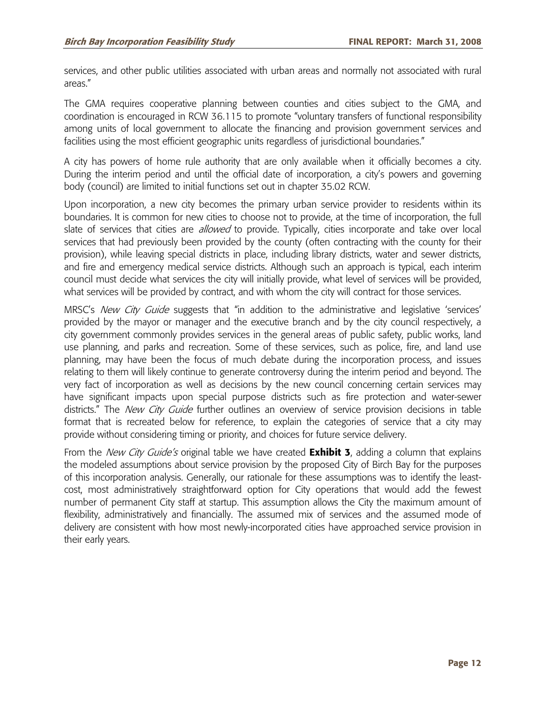services, and other public utilities associated with urban areas and normally not associated with rural areas."

The GMA requires cooperative planning between counties and cities subject to the GMA, and coordination is encouraged in RCW 36.115 to promote "voluntary transfers of functional responsibility among units of local government to allocate the financing and provision government services and facilities using the most efficient geographic units regardless of jurisdictional boundaries."

A city has powers of home rule authority that are only available when it officially becomes a city. During the interim period and until the official date of incorporation, a city's powers and governing body (council) are limited to initial functions set out in chapter 35.02 RCW.

Upon incorporation, a new city becomes the primary urban service provider to residents within its boundaries. It is common for new cities to choose not to provide, at the time of incorporation, the full slate of services that cities are *allowed* to provide. Typically, cities incorporate and take over local services that had previously been provided by the county (often contracting with the county for their provision), while leaving special districts in place, including library districts, water and sewer districts, and fire and emergency medical service districts. Although such an approach is typical, each interim council must decide what services the city will initially provide, what level of services will be provided, what services will be provided by contract, and with whom the city will contract for those services.

MRSC's *New City Guide* suggests that "in addition to the administrative and legislative 'services' provided by the mayor or manager and the executive branch and by the city council respectively, a city government commonly provides services in the general areas of public safety, public works, land use planning, and parks and recreation. Some of these services, such as police, fire, and land use planning, may have been the focus of much debate during the incorporation process, and issues relating to them will likely continue to generate controversy during the interim period and beyond. The very fact of incorporation as well as decisions by the new council concerning certain services may have significant impacts upon special purpose districts such as fire protection and water-sewer districts." The New City Guide further outlines an overview of service provision decisions in table format that is recreated below for reference, to explain the categories of service that a city may provide without considering timing or priority, and choices for future service delivery.

From the New City Guide's original table we have created **Exhibit 3**, adding a column that explains the modeled assumptions about service provision by the proposed City of Birch Bay for the purposes of this incorporation analysis. Generally, our rationale for these assumptions was to identify the leastcost, most administratively straightforward option for City operations that would add the fewest number of permanent City staff at startup. This assumption allows the City the maximum amount of flexibility, administratively and financially. The assumed mix of services and the assumed mode of delivery are consistent with how most newly-incorporated cities have approached service provision in their early years.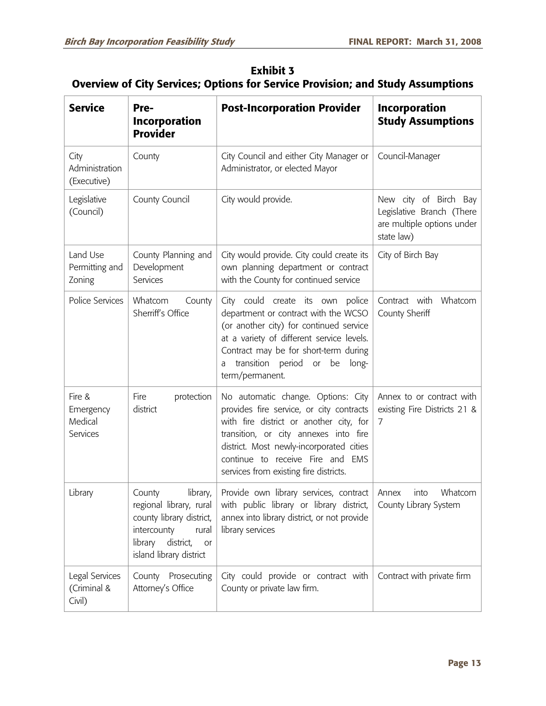| <b>Exhibit 3</b><br><b>Overview of City Services; Options for Service Provision; and Study Assumptions</b> |  |  |  |  |
|------------------------------------------------------------------------------------------------------------|--|--|--|--|
| <b>Post-Incorporation Provider</b><br>Incorporation<br>' Service<br>Pre-                                   |  |  |  |  |

| <b>Exhibit 3</b>                                                                |
|---------------------------------------------------------------------------------|
| Overview of City Services; Options for Service Provision; and Study Assumptions |

| <b>Service</b>                             | rre-<br><b>Incorporation</b><br><b>Provider</b>                                                                                 | <b>POST-INCORPORATION PROVIDER</b>                                                                                                                                                                                                                                                           | incorporation<br><b>Study Assumptions</b>                                                      |
|--------------------------------------------|---------------------------------------------------------------------------------------------------------------------------------|----------------------------------------------------------------------------------------------------------------------------------------------------------------------------------------------------------------------------------------------------------------------------------------------|------------------------------------------------------------------------------------------------|
| City<br>Administration<br>(Executive)      | County                                                                                                                          | City Council and either City Manager or<br>Administrator, or elected Mayor                                                                                                                                                                                                                   | Council-Manager                                                                                |
| Legislative<br>(Council)                   | County Council                                                                                                                  | City would provide.                                                                                                                                                                                                                                                                          | New city of Birch Bay<br>Legislative Branch (There<br>are multiple options under<br>state law) |
| Land Use<br>Permitting and<br>Zoning       | County Planning and<br>Development<br>Services                                                                                  | City would provide. City could create its<br>own planning department or contract<br>with the County for continued service                                                                                                                                                                    | City of Birch Bay                                                                              |
| Police Services                            | Whatcom<br>County<br>Sherriff's Office                                                                                          | City could create its own<br>police<br>department or contract with the WCSO<br>(or another city) for continued service<br>at a variety of different service levels.<br>Contract may be for short-term during<br>transition period or be<br>long-<br>a<br>term/permanent.                     | Whatcom<br>Contract with<br>County Sheriff                                                     |
| Fire &<br>Emergency<br>Medical<br>Services | Fire<br>protection<br>district                                                                                                  | No automatic change. Options: City<br>provides fire service, or city contracts<br>with fire district or another city, for<br>transition, or city annexes into fire<br>district. Most newly-incorporated cities<br>continue to receive Fire and EMS<br>services from existing fire districts. | Annex to or contract with<br>existing Fire Districts 21 &<br>7                                 |
| Library                                    | library,<br>County<br>county library district,<br>intercounty<br>rural<br>library<br>district,<br>or<br>island library district | Provide own library services, contract<br>regional library, rural   with public library or library district,  <br>annex into library district, or not provide<br>library services                                                                                                            | Whatcom<br>Annex<br>into<br>County Library System                                              |
| Legal Services<br>(Criminal &<br>Civil)    | County Prosecuting<br>Attorney's Office                                                                                         | City could provide or contract with<br>County or private law firm.                                                                                                                                                                                                                           | Contract with private firm                                                                     |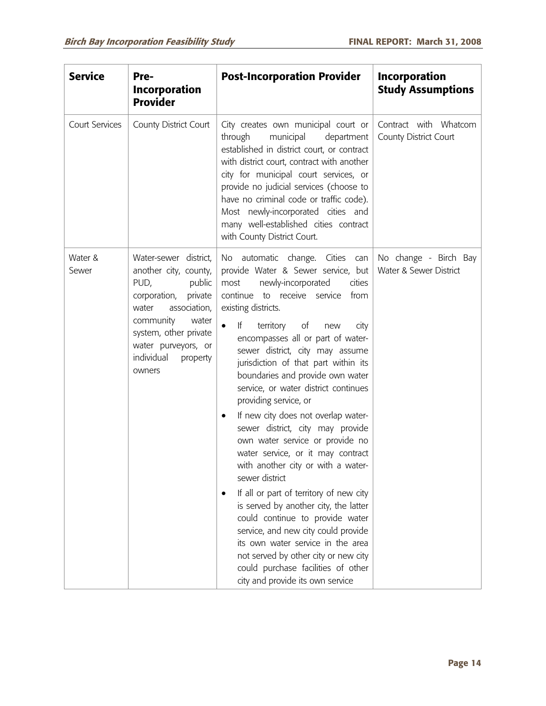| <b>Service</b>   | Pre-<br><b>Incorporation</b><br><b>Provider</b>                                                                                                                                                                                | <b>Post-Incorporation Provider</b>                                                                                                                                                                                                                                                                                                                                                                                                                                                                                                                                                                                                                                                                                                                                                                                                                                                                                                                                                                          | <b>Incorporation</b><br><b>Study Assumptions</b> |
|------------------|--------------------------------------------------------------------------------------------------------------------------------------------------------------------------------------------------------------------------------|-------------------------------------------------------------------------------------------------------------------------------------------------------------------------------------------------------------------------------------------------------------------------------------------------------------------------------------------------------------------------------------------------------------------------------------------------------------------------------------------------------------------------------------------------------------------------------------------------------------------------------------------------------------------------------------------------------------------------------------------------------------------------------------------------------------------------------------------------------------------------------------------------------------------------------------------------------------------------------------------------------------|--------------------------------------------------|
| Court Services   | County District Court                                                                                                                                                                                                          | City creates own municipal court or<br>through<br>municipal<br>department<br>established in district court, or contract<br>with district court, contract with another<br>city for municipal court services, or<br>provide no judicial services (choose to<br>have no criminal code or traffic code).<br>Most newly-incorporated cities and<br>many well-established cities contract<br>with County District Court.                                                                                                                                                                                                                                                                                                                                                                                                                                                                                                                                                                                          | Contract with Whatcom<br>County District Court   |
| Water &<br>Sewer | Water-sewer district,<br>another city, county,<br>PUD,<br>public<br>private<br>corporation,<br>association,<br>water<br>community<br>water<br>system, other private<br>water purveyors, or<br>individual<br>property<br>owners | No automatic change. Cities can<br>provide Water & Sewer service, but<br>newly-incorporated<br>most<br>cities<br>continue to receive service<br>from<br>existing districts.<br>$\bullet$<br>lf —<br>territory of new<br>city<br>encompasses all or part of water-<br>sewer district, city may assume<br>jurisdiction of that part within its<br>boundaries and provide own water<br>service, or water district continues<br>providing service, or<br>If new city does not overlap water-<br>$\bullet$<br>sewer district, city may provide<br>own water service or provide no<br>water service, or it may contract<br>with another city or with a water-<br>sewer district<br>If all or part of territory of new city<br>$\bullet$<br>is served by another city, the latter<br>could continue to provide water<br>service, and new city could provide<br>its own water service in the area<br>not served by other city or new city<br>could purchase facilities of other<br>city and provide its own service | No change - Birch Bay<br>Water & Sewer District  |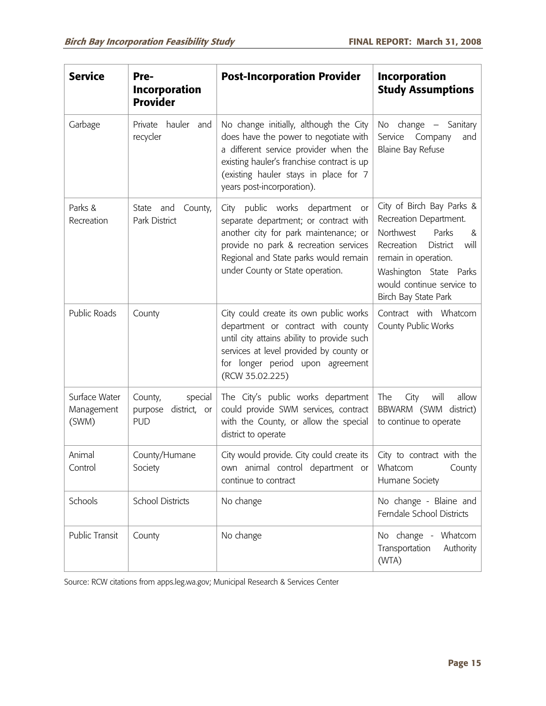| <b>Service</b>                       | Pre-<br><b>Incorporation</b><br><b>Provider</b>             | <b>Post-Incorporation Provider</b>                                                                                                                                                                                                            | <b>Incorporation</b><br><b>Study Assumptions</b>                                                                                                                                                                               |
|--------------------------------------|-------------------------------------------------------------|-----------------------------------------------------------------------------------------------------------------------------------------------------------------------------------------------------------------------------------------------|--------------------------------------------------------------------------------------------------------------------------------------------------------------------------------------------------------------------------------|
| Garbage                              | hauler and<br>Private<br>recycler                           | No change initially, although the City<br>does have the power to negotiate with<br>a different service provider when the<br>existing hauler's franchise contract is up<br>(existing hauler stays in place for 7<br>years post-incorporation). | No change $-$ Sanitary<br>Service<br>Company<br>and<br><b>Blaine Bay Refuse</b>                                                                                                                                                |
| Parks &<br>Recreation                | County,<br>State and<br>Park District                       | City public works department or<br>separate department; or contract with<br>another city for park maintenance; or<br>provide no park & recreation services<br>Regional and State parks would remain<br>under County or State operation.       | City of Birch Bay Parks &<br>Recreation Department.<br>Northwest<br>Parks<br>&<br>Recreation<br><b>District</b><br>will<br>remain in operation.<br>Washington State Parks<br>would continue service to<br>Birch Bay State Park |
| Public Roads                         | County                                                      | City could create its own public works<br>department or contract with county<br>until city attains ability to provide such<br>services at level provided by county or<br>for longer period upon agreement<br>(RCW 35.02.225)                  | Contract with Whatcom<br>County Public Works                                                                                                                                                                                   |
| Surface Water<br>Management<br>(SWM) | special<br>County,<br>district, or<br>purpose<br><b>PUD</b> | The City's public works department<br>could provide SWM services, contract<br>with the County, or allow the special<br>district to operate                                                                                                    | allow<br>The<br>City<br>will<br>BBWARM (SWM district)<br>to continue to operate                                                                                                                                                |
| Animal<br>Control                    | County/Humane<br>Society                                    | City would provide. City could create its<br>own animal control department or<br>continue to contract                                                                                                                                         | City to contract with the<br>Whatcom<br>County<br>Humane Society                                                                                                                                                               |
| Schools                              | <b>School Districts</b>                                     | No change                                                                                                                                                                                                                                     | No change - Blaine and<br>Ferndale School Districts                                                                                                                                                                            |
| Public Transit                       | County                                                      | No change                                                                                                                                                                                                                                     | No change - Whatcom<br>Transportation<br>Authority<br>(WTA)                                                                                                                                                                    |

Source: RCW citations from apps.leg.wa.gov; Municipal Research & Services Center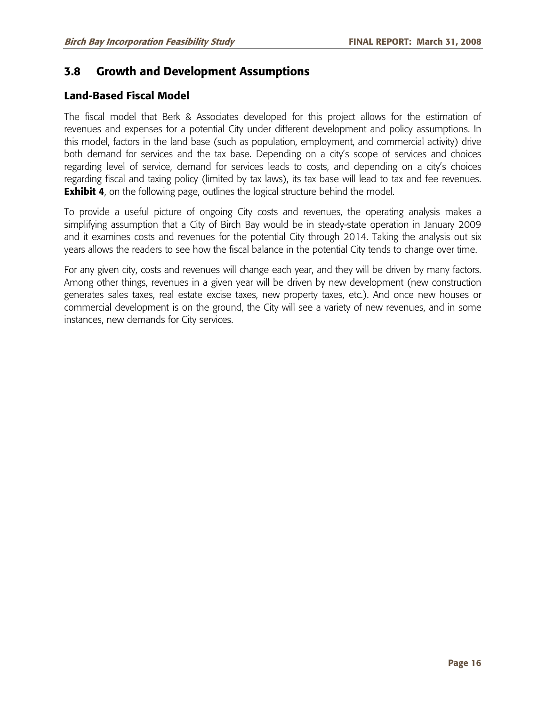### **3.8 Growth and Development Assumptions**

### **Land-Based Fiscal Model**

The fiscal model that Berk & Associates developed for this project allows for the estimation of revenues and expenses for a potential City under different development and policy assumptions. In this model, factors in the land base (such as population, employment, and commercial activity) drive both demand for services and the tax base. Depending on a city's scope of services and choices regarding level of service, demand for services leads to costs, and depending on a city's choices regarding fiscal and taxing policy (limited by tax laws), its tax base will lead to tax and fee revenues. **Exhibit 4**, on the following page, outlines the logical structure behind the model.

To provide a useful picture of ongoing City costs and revenues, the operating analysis makes a simplifying assumption that a City of Birch Bay would be in steady-state operation in January 2009 and it examines costs and revenues for the potential City through 2014. Taking the analysis out six years allows the readers to see how the fiscal balance in the potential City tends to change over time.

For any given city, costs and revenues will change each year, and they will be driven by many factors. Among other things, revenues in a given year will be driven by new development (new construction generates sales taxes, real estate excise taxes, new property taxes, etc.). And once new houses or commercial development is on the ground, the City will see a variety of new revenues, and in some instances, new demands for City services.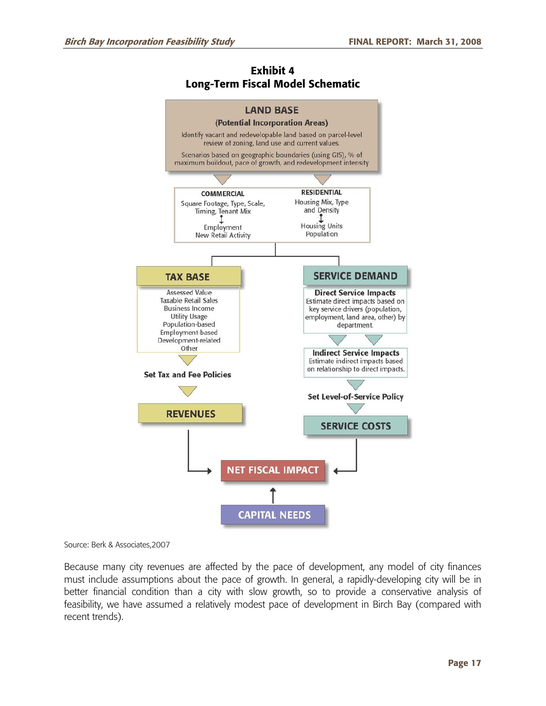#### **Exhibit 4 Long-Term Fiscal Model Schematic**



Source: Berk & Associates,2007

Because many city revenues are affected by the pace of development, any model of city finances must include assumptions about the pace of growth. In general, a rapidly-developing city will be in better financial condition than a city with slow growth, so to provide a conservative analysis of feasibility, we have assumed a relatively modest pace of development in Birch Bay (compared with recent trends).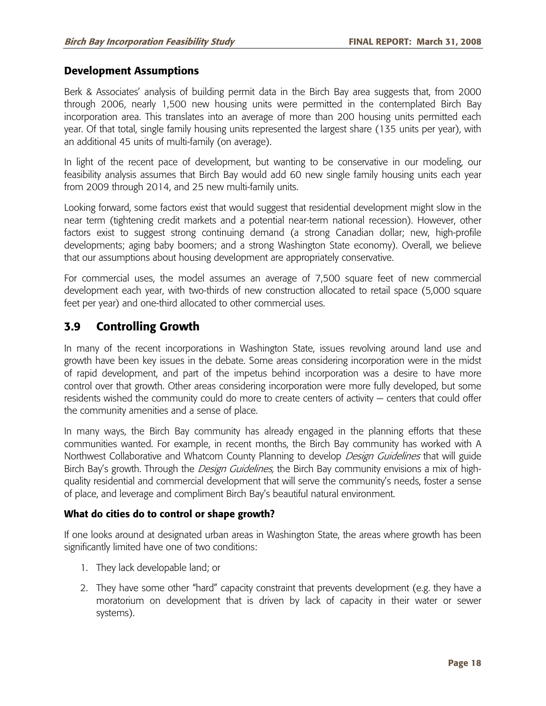#### **Development Assumptions**

Berk & Associates' analysis of building permit data in the Birch Bay area suggests that, from 2000 through 2006, nearly 1,500 new housing units were permitted in the contemplated Birch Bay incorporation area. This translates into an average of more than 200 housing units permitted each year. Of that total, single family housing units represented the largest share (135 units per year), with an additional 45 units of multi-family (on average).

In light of the recent pace of development, but wanting to be conservative in our modeling, our feasibility analysis assumes that Birch Bay would add 60 new single family housing units each year from 2009 through 2014, and 25 new multi-family units.

Looking forward, some factors exist that would suggest that residential development might slow in the near term (tightening credit markets and a potential near-term national recession). However, other factors exist to suggest strong continuing demand (a strong Canadian dollar; new, high-profile developments; aging baby boomers; and a strong Washington State economy). Overall, we believe that our assumptions about housing development are appropriately conservative.

For commercial uses, the model assumes an average of 7,500 square feet of new commercial development each year, with two-thirds of new construction allocated to retail space (5,000 square feet per year) and one-third allocated to other commercial uses.

### **3.9 Controlling Growth**

In many of the recent incorporations in Washington State, issues revolving around land use and growth have been key issues in the debate. Some areas considering incorporation were in the midst of rapid development, and part of the impetus behind incorporation was a desire to have more control over that growth. Other areas considering incorporation were more fully developed, but some residents wished the community could do more to create centers of activity — centers that could offer the community amenities and a sense of place.

In many ways, the Birch Bay community has already engaged in the planning efforts that these communities wanted. For example, in recent months, the Birch Bay community has worked with A Northwest Collaborative and Whatcom County Planning to develop *Design Guidelines* that will guide Birch Bay's growth. Through the *Design Guidelines*, the Birch Bay community envisions a mix of highquality residential and commercial development that will serve the community's needs, foster a sense of place, and leverage and compliment Birch Bay's beautiful natural environment.

#### **What do cities do to control or shape growth?**

If one looks around at designated urban areas in Washington State, the areas where growth has been significantly limited have one of two conditions:

- 1. They lack developable land; or
- 2. They have some other "hard" capacity constraint that prevents development (e.g. they have a moratorium on development that is driven by lack of capacity in their water or sewer systems).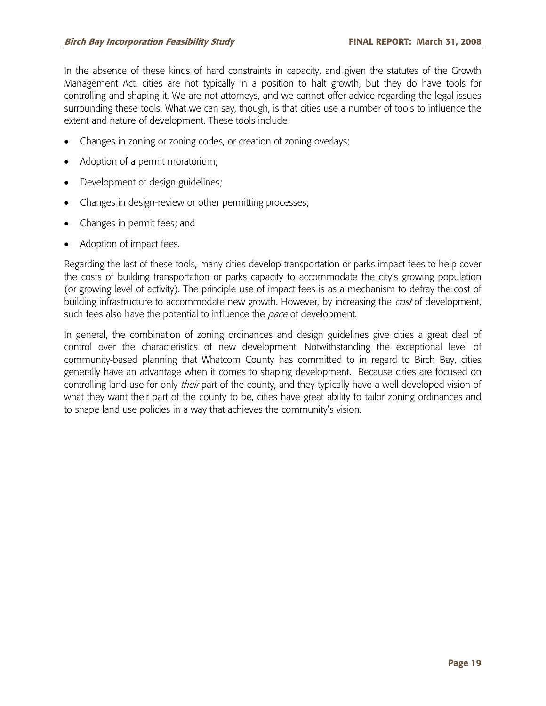In the absence of these kinds of hard constraints in capacity, and given the statutes of the Growth Management Act, cities are not typically in a position to halt growth, but they do have tools for controlling and shaping it. We are not attorneys, and we cannot offer advice regarding the legal issues surrounding these tools. What we can say, though, is that cities use a number of tools to influence the extent and nature of development. These tools include:

- Changes in zoning or zoning codes, or creation of zoning overlays;
- Adoption of a permit moratorium;
- Development of design guidelines;
- Changes in design-review or other permitting processes;
- Changes in permit fees; and
- Adoption of impact fees.

Regarding the last of these tools, many cities develop transportation or parks impact fees to help cover the costs of building transportation or parks capacity to accommodate the city's growing population (or growing level of activity). The principle use of impact fees is as a mechanism to defray the cost of building infrastructure to accommodate new growth. However, by increasing the *cost* of development, such fees also have the potential to influence the *pace* of development.

In general, the combination of zoning ordinances and design guidelines give cities a great deal of control over the characteristics of new development. Notwithstanding the exceptional level of community-based planning that Whatcom County has committed to in regard to Birch Bay, cities generally have an advantage when it comes to shaping development. Because cities are focused on controlling land use for only *their* part of the county, and they typically have a well-developed vision of what they want their part of the county to be, cities have great ability to tailor zoning ordinances and to shape land use policies in a way that achieves the community's vision.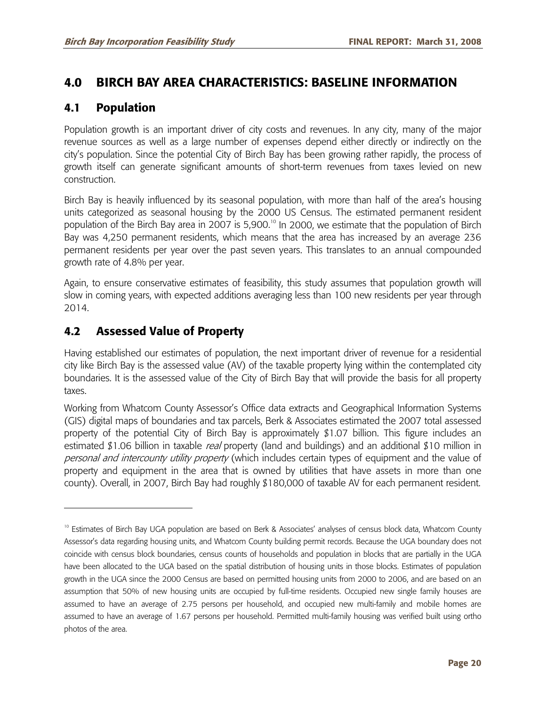## **4.0 BIRCH BAY AREA CHARACTERISTICS: BASELINE INFORMATION**

### **4.1 Population**

Population growth is an important driver of city costs and revenues. In any city, many of the major revenue sources as well as a large number of expenses depend either directly or indirectly on the city's population. Since the potential City of Birch Bay has been growing rather rapidly, the process of growth itself can generate significant amounts of short-term revenues from taxes levied on new construction.

Birch Bay is heavily influenced by its seasonal population, with more than half of the area's housing units categorized as seasonal housing by the 2000 US Census. The estimated permanent resident population of the Birch Bay area in 2007 is 5,900.<sup>10</sup> In 2000, we estimate that the population of Birch Bay was 4,250 permanent residents, which means that the area has increased by an average 236 permanent residents per year over the past seven years. This translates to an annual compounded growth rate of 4.8% per year.

Again, to ensure conservative estimates of feasibility, this study assumes that population growth will slow in coming years, with expected additions averaging less than 100 new residents per year through 2014.

## **4.2 Assessed Value of Property**

-

Having established our estimates of population, the next important driver of revenue for a residential city like Birch Bay is the assessed value (AV) of the taxable property lying within the contemplated city boundaries. It is the assessed value of the City of Birch Bay that will provide the basis for all property taxes.

Working from Whatcom County Assessor's Office data extracts and Geographical Information Systems (GIS) digital maps of boundaries and tax parcels, Berk & Associates estimated the 2007 total assessed property of the potential City of Birch Bay is approximately \$1.07 billion. This figure includes an estimated \$1.06 billion in taxable real property (land and buildings) and an additional \$10 million in personal and intercounty utility property (which includes certain types of equipment and the value of property and equipment in the area that is owned by utilities that have assets in more than one county). Overall, in 2007, Birch Bay had roughly \$180,000 of taxable AV for each permanent resident.

<sup>&</sup>lt;sup>10</sup> Estimates of Birch Bay UGA population are based on Berk & Associates' analyses of census block data, Whatcom County Assessor's data regarding housing units, and Whatcom County building permit records. Because the UGA boundary does not coincide with census block boundaries, census counts of households and population in blocks that are partially in the UGA have been allocated to the UGA based on the spatial distribution of housing units in those blocks. Estimates of population growth in the UGA since the 2000 Census are based on permitted housing units from 2000 to 2006, and are based on an assumption that 50% of new housing units are occupied by full-time residents. Occupied new single family houses are assumed to have an average of 2.75 persons per household, and occupied new multi-family and mobile homes are assumed to have an average of 1.67 persons per household. Permitted multi-family housing was verified built using ortho photos of the area.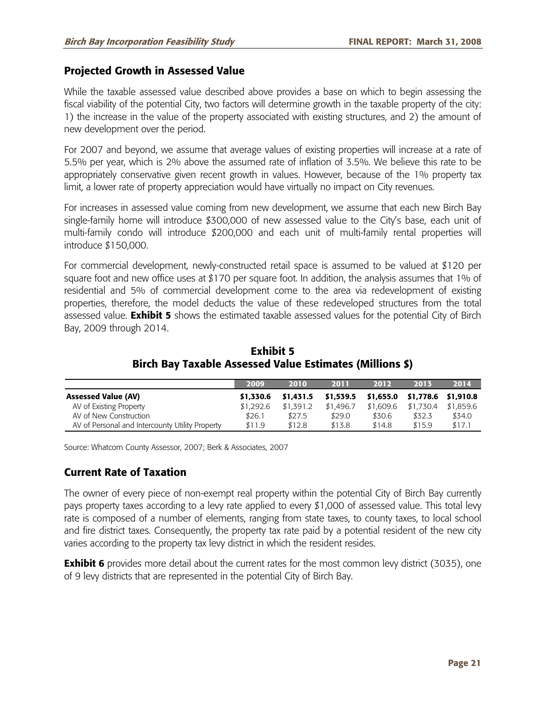### **Projected Growth in Assessed Value**

While the taxable assessed value described above provides a base on which to begin assessing the fiscal viability of the potential City, two factors will determine growth in the taxable property of the city: 1) the increase in the value of the property associated with existing structures, and 2) the amount of new development over the period.

For 2007 and beyond, we assume that average values of existing properties will increase at a rate of 5.5% per year, which is 2% above the assumed rate of inflation of 3.5%. We believe this rate to be appropriately conservative given recent growth in values. However, because of the 1% property tax limit, a lower rate of property appreciation would have virtually no impact on City revenues.

For increases in assessed value coming from new development, we assume that each new Birch Bay single-family home will introduce \$300,000 of new assessed value to the City's base, each unit of multi-family condo will introduce \$200,000 and each unit of multi-family rental properties will introduce \$150,000.

For commercial development, newly-constructed retail space is assumed to be valued at \$120 per square foot and new office uses at \$170 per square foot. In addition, the analysis assumes that 1% of residential and 5% of commercial development come to the area via redevelopment of existing properties, therefore, the model deducts the value of these redeveloped structures from the total assessed value. **Exhibit 5** shows the estimated taxable assessed values for the potential City of Birch Bay, 2009 through 2014.

|                                                 | 2009      | 2010      | 2011      | 2012                          | 2013      | 2014      |
|-------------------------------------------------|-----------|-----------|-----------|-------------------------------|-----------|-----------|
| <b>Assessed Value (AV)</b>                      | \$1,330.6 | \$1,431.5 | \$1,539.5 | \$1,655.0 \$1,778.6 \$1,910.8 |           |           |
| AV of Existing Property                         | \$1,292.6 | \$1.391.2 | \$1,496.7 | \$1,609.6                     | \$1.730.4 | \$1.859.6 |
| AV of New Construction                          | \$26.1    | \$27.5    | \$29.0    | \$30.6                        | \$32.3    | \$34.0    |
| AV of Personal and Intercounty Utility Property | \$11.9    | \$12.8    | \$13.8    | \$14.8                        | \$15.9    | \$17.1    |

**Exhibit 5 Birch Bay Taxable Assessed Value Estimates (Millions \$)** 

Source: Whatcom County Assessor, 2007; Berk & Associates, 2007

### **Current Rate of Taxation**

The owner of every piece of non-exempt real property within the potential City of Birch Bay currently pays property taxes according to a levy rate applied to every \$1,000 of assessed value. This total levy rate is composed of a number of elements, ranging from state taxes, to county taxes, to local school and fire district taxes. Consequently, the property tax rate paid by a potential resident of the new city varies according to the property tax levy district in which the resident resides.

**Exhibit 6** provides more detail about the current rates for the most common levy district (3035), one of 9 levy districts that are represented in the potential City of Birch Bay.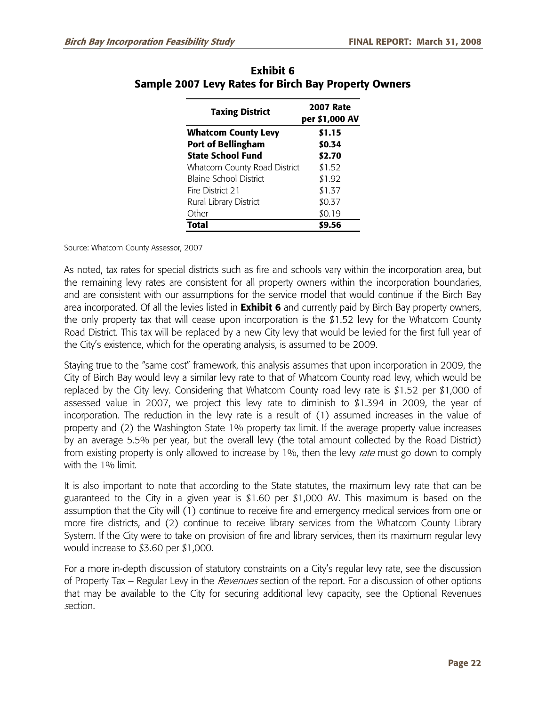| <b>Taxing District</b>        | <b>2007 Rate</b><br>per \$1,000 AV |  |  |
|-------------------------------|------------------------------------|--|--|
| <b>Whatcom County Levy</b>    | \$1.15                             |  |  |
| <b>Port of Bellingham</b>     | \$0.34                             |  |  |
| <b>State School Fund</b>      | \$2.70                             |  |  |
| Whatcom County Road District  | \$1.52                             |  |  |
| <b>Blaine School District</b> | \$1.92                             |  |  |
| Fire District 21              | \$1.37                             |  |  |
| Rural Library District        | \$0.37                             |  |  |
| Other                         | \$0.19                             |  |  |
| <b>Total</b>                  | \$9.56                             |  |  |

### **Exhibit 6 Sample 2007 Levy Rates for Birch Bay Property Owners**

Source: Whatcom County Assessor, 2007

As noted, tax rates for special districts such as fire and schools vary within the incorporation area, but the remaining levy rates are consistent for all property owners within the incorporation boundaries, and are consistent with our assumptions for the service model that would continue if the Birch Bay area incorporated. Of all the levies listed in **Exhibit 6** and currently paid by Birch Bay property owners, the only property tax that will cease upon incorporation is the \$1.52 levy for the Whatcom County Road District. This tax will be replaced by a new City levy that would be levied for the first full year of the City's existence, which for the operating analysis, is assumed to be 2009.

Staying true to the "same cost" framework, this analysis assumes that upon incorporation in 2009, the City of Birch Bay would levy a similar levy rate to that of Whatcom County road levy, which would be replaced by the City levy. Considering that Whatcom County road levy rate is \$1.52 per \$1,000 of assessed value in 2007, we project this levy rate to diminish to \$1.394 in 2009, the year of incorporation. The reduction in the levy rate is a result of (1) assumed increases in the value of property and (2) the Washington State 1% property tax limit. If the average property value increases by an average 5.5% per year, but the overall levy (the total amount collected by the Road District) from existing property is only allowed to increase by 1%, then the levy *rate* must go down to comply with the 1% limit.

It is also important to note that according to the State statutes, the maximum levy rate that can be guaranteed to the City in a given year is  $$1.60$  per  $$1,000$  AV. This maximum is based on the assumption that the City will (1) continue to receive fire and emergency medical services from one or more fire districts, and (2) continue to receive library services from the Whatcom County Library System. If the City were to take on provision of fire and library services, then its maximum regular levy would increase to \$3.60 per \$1,000.

For a more in-depth discussion of statutory constraints on a City's regular levy rate, see the discussion of Property Tax – Regular Levy in the *Revenues* section of the report. For a discussion of other options that may be available to the City for securing additional levy capacity, see the Optional Revenues section.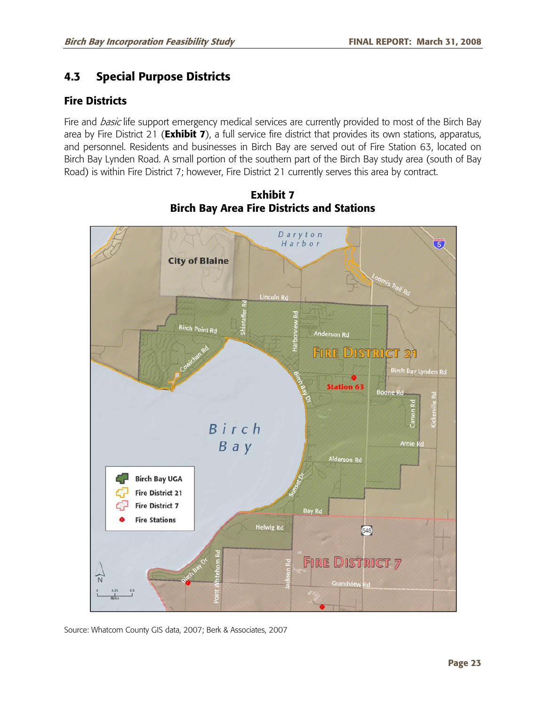# **4.3 Special Purpose Districts**

## **Fire Districts**

Fire and *basic* life support emergency medical services are currently provided to most of the Birch Bay area by Fire District 21 (**Exhibit 7**), a full service fire district that provides its own stations, apparatus, and personnel. Residents and businesses in Birch Bay are served out of Fire Station 63, located on Birch Bay Lynden Road. A small portion of the southern part of the Birch Bay study area (south of Bay Road) is within Fire District 7; however, Fire District 21 currently serves this area by contract.



**Exhibit 7 Birch Bay Area Fire Districts and Stations** 

Source: Whatcom County GIS data, 2007; Berk & Associates, 2007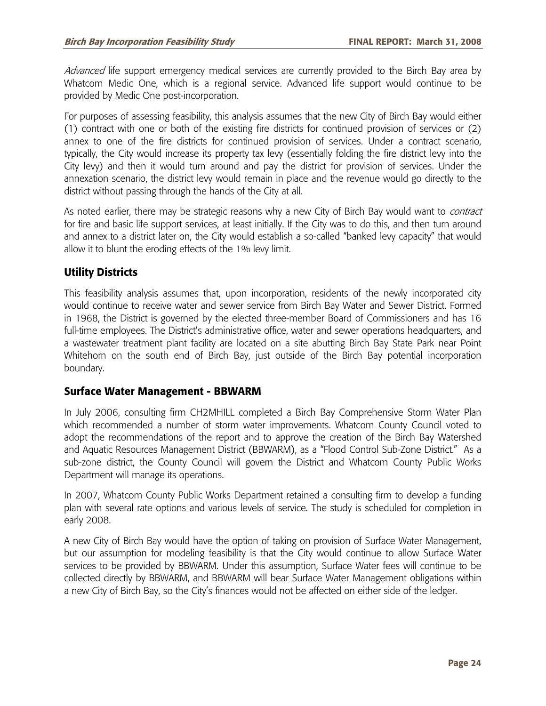*Advanced* life support emergency medical services are currently provided to the Birch Bay area by Whatcom Medic One, which is a regional service. Advanced life support would continue to be provided by Medic One post-incorporation.

For purposes of assessing feasibility, this analysis assumes that the new City of Birch Bay would either (1) contract with one or both of the existing fire districts for continued provision of services or (2) annex to one of the fire districts for continued provision of services. Under a contract scenario, typically, the City would increase its property tax levy (essentially folding the fire district levy into the City levy) and then it would turn around and pay the district for provision of services. Under the annexation scenario, the district levy would remain in place and the revenue would go directly to the district without passing through the hands of the City at all.

As noted earlier, there may be strategic reasons why a new City of Birch Bay would want to *contract* for fire and basic life support services, at least initially. If the City was to do this, and then turn around and annex to a district later on, the City would establish a so-called "banked levy capacity" that would allow it to blunt the eroding effects of the 1% levy limit.

### **Utility Districts**

This feasibility analysis assumes that, upon incorporation, residents of the newly incorporated city would continue to receive water and sewer service from Birch Bay Water and Sewer District. Formed in 1968, the District is governed by the elected three-member Board of Commissioners and has 16 full-time employees. The District's administrative office, water and sewer operations headquarters, and a wastewater treatment plant facility are located on a site abutting Birch Bay State Park near Point Whitehorn on the south end of Birch Bay, just outside of the Birch Bay potential incorporation boundary.

### **Surface Water Management - BBWARM**

In July 2006, consulting firm CH2MHILL completed a Birch Bay Comprehensive Storm Water Plan which recommended a number of storm water improvements. Whatcom County Council voted to adopt the recommendations of the report and to approve the creation of the Birch Bay Watershed and Aquatic Resources Management District (BBWARM), as a "Flood Control Sub-Zone District." As a sub-zone district, the County Council will govern the District and Whatcom County Public Works Department will manage its operations.

In 2007, Whatcom County Public Works Department retained a consulting firm to develop a funding plan with several rate options and various levels of service. The study is scheduled for completion in early 2008.

A new City of Birch Bay would have the option of taking on provision of Surface Water Management, but our assumption for modeling feasibility is that the City would continue to allow Surface Water services to be provided by BBWARM. Under this assumption, Surface Water fees will continue to be collected directly by BBWARM, and BBWARM will bear Surface Water Management obligations within a new City of Birch Bay, so the City's finances would not be affected on either side of the ledger.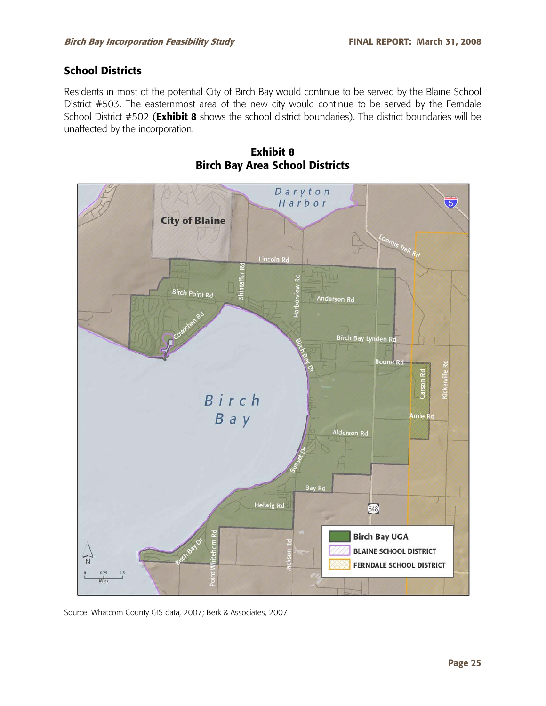## **School Districts**

Residents in most of the potential City of Birch Bay would continue to be served by the Blaine School District #503. The easternmost area of the new city would continue to be served by the Ferndale School District #502 (**Exhibit 8** shows the school district boundaries). The district boundaries will be unaffected by the incorporation.



**Exhibit 8 Birch Bay Area School Districts** 

Source: Whatcom County GIS data, 2007; Berk & Associates, 2007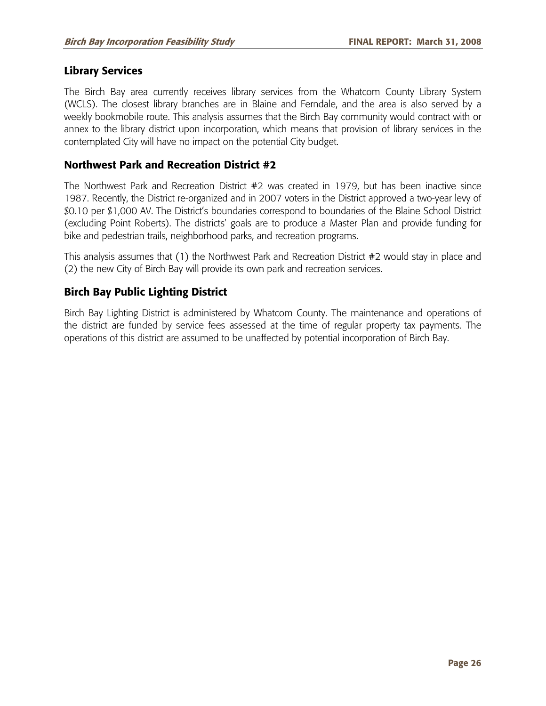### **Library Services**

The Birch Bay area currently receives library services from the Whatcom County Library System (WCLS). The closest library branches are in Blaine and Ferndale, and the area is also served by a weekly bookmobile route. This analysis assumes that the Birch Bay community would contract with or annex to the library district upon incorporation, which means that provision of library services in the contemplated City will have no impact on the potential City budget.

### **Northwest Park and Recreation District #2**

The Northwest Park and Recreation District #2 was created in 1979, but has been inactive since 1987. Recently, the District re-organized and in 2007 voters in the District approved a two-year levy of \$0.10 per \$1,000 AV. The District's boundaries correspond to boundaries of the Blaine School District (excluding Point Roberts). The districts' goals are to produce a Master Plan and provide funding for bike and pedestrian trails, neighborhood parks, and recreation programs.

This analysis assumes that (1) the Northwest Park and Recreation District #2 would stay in place and (2) the new City of Birch Bay will provide its own park and recreation services.

### **Birch Bay Public Lighting District**

Birch Bay Lighting District is administered by Whatcom County. The maintenance and operations of the district are funded by service fees assessed at the time of regular property tax payments. The operations of this district are assumed to be unaffected by potential incorporation of Birch Bay.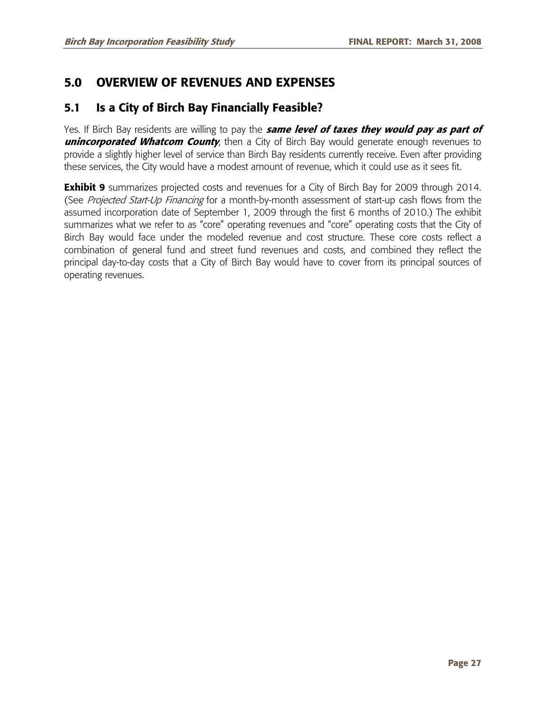# **5.0 OVERVIEW OF REVENUES AND EXPENSES**

# **5.1 Is a City of Birch Bay Financially Feasible?**

Yes. If Birch Bay residents are willing to pay the **same level of taxes they would pay as part of unincorporated Whatcom County**, then a City of Birch Bay would generate enough revenues to provide a slightly higher level of service than Birch Bay residents currently receive. Even after providing these services, the City would have a modest amount of revenue, which it could use as it sees fit.

**Exhibit 9** summarizes projected costs and revenues for a City of Birch Bay for 2009 through 2014. (See Projected Start-Up Financing for a month-by-month assessment of start-up cash flows from the assumed incorporation date of September 1, 2009 through the first 6 months of 2010.) The exhibit summarizes what we refer to as "core" operating revenues and "core" operating costs that the City of Birch Bay would face under the modeled revenue and cost structure. These core costs reflect a combination of general fund and street fund revenues and costs, and combined they reflect the principal day-to-day costs that a City of Birch Bay would have to cover from its principal sources of operating revenues.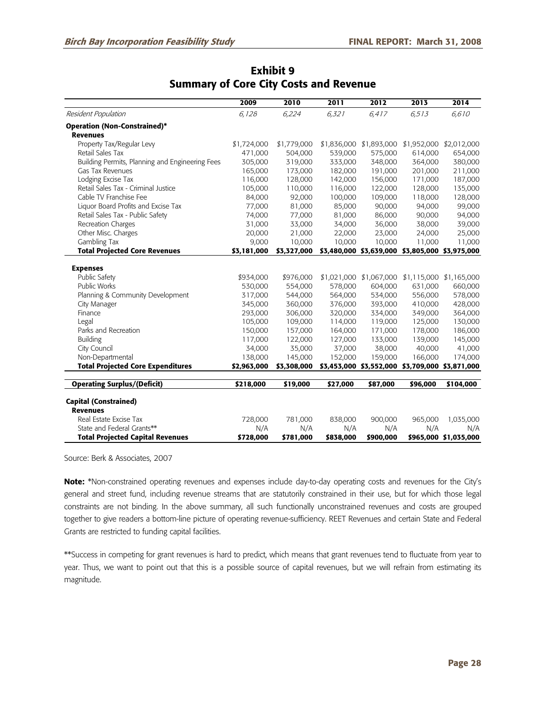|                                                 | 2009        | 2010        | 2011      | 2012                    | 2013                                            | 2014                    |
|-------------------------------------------------|-------------|-------------|-----------|-------------------------|-------------------------------------------------|-------------------------|
| Resident Population                             | 6,128       | 6,224       | 6,321     | 6,417                   | 6,513                                           | 6,610                   |
| <b>Operation (Non-Constrained)*</b>             |             |             |           |                         |                                                 |                         |
| <b>Revenues</b>                                 |             |             |           |                         |                                                 |                         |
| Property Tax/Regular Levy                       | \$1,724,000 | \$1,779,000 |           | \$1,836,000 \$1,893,000 |                                                 | \$1,952,000 \$2,012,000 |
| Retail Sales Tax                                | 471,000     | 504,000     | 539,000   | 575,000                 | 614,000                                         | 654,000                 |
| Building Permits, Planning and Engineering Fees | 305,000     | 319,000     | 333,000   | 348,000                 | 364,000                                         | 380,000                 |
| Gas Tax Revenues                                | 165,000     | 173,000     | 182,000   | 191,000                 | 201,000                                         | 211,000                 |
| Lodging Excise Tax                              | 116,000     | 128,000     | 142,000   | 156,000                 | 171,000                                         | 187,000                 |
| Retail Sales Tax - Criminal Justice             | 105,000     | 110,000     | 116,000   | 122,000                 | 128,000                                         | 135,000                 |
| Cable TV Franchise Fee                          | 84,000      | 92,000      | 100,000   | 109,000                 | 118,000                                         | 128,000                 |
| Liquor Board Profits and Excise Tax             | 77,000      | 81,000      | 85,000    | 90,000                  | 94,000                                          | 99,000                  |
| Retail Sales Tax - Public Safety                | 74,000      | 77,000      | 81,000    | 86,000                  | 90,000                                          | 94,000                  |
| Recreation Charges                              | 31,000      | 33,000      | 34,000    | 36,000                  | 38,000                                          | 39,000                  |
| Other Misc. Charges                             | 20,000      | 21,000      | 22,000    | 23,000                  | 24,000                                          | 25,000                  |
| Gambling Tax                                    | 9,000       | 10,000      | 10,000    | 10,000                  | 11,000                                          | 11,000                  |
| <b>Total Projected Core Revenues</b>            | \$3,181,000 | \$3,327,000 |           |                         | \$3,480,000 \$3,639,000 \$3,805,000 \$3,975,000 |                         |
|                                                 |             |             |           |                         |                                                 |                         |
| <b>Expenses</b>                                 |             |             |           |                         |                                                 |                         |
| Public Safety                                   | \$934,000   | \$976,000   |           | \$1,021,000 \$1,067,000 |                                                 | \$1,115,000 \$1,165,000 |
| <b>Public Works</b>                             | 530,000     | 554,000     | 578,000   | 604,000                 | 631,000                                         | 660,000                 |
| Planning & Community Development                | 317,000     | 544,000     | 564,000   | 534,000                 | 556,000                                         | 578,000                 |
| City Manager                                    | 345,000     | 360,000     | 376,000   | 393,000                 | 410,000                                         | 428,000                 |
| Finance                                         | 293,000     | 306,000     | 320,000   | 334,000                 | 349,000                                         | 364,000                 |
| Legal                                           | 105,000     | 109,000     | 114,000   | 119,000                 | 125,000                                         | 130,000                 |
| Parks and Recreation                            | 150,000     | 157,000     | 164,000   | 171,000                 | 178,000                                         | 186,000                 |
| <b>Building</b>                                 | 117,000     | 122,000     | 127,000   | 133,000                 | 139,000                                         | 145,000                 |
| City Council                                    | 34,000      | 35,000      | 37,000    | 38,000                  | 40,000                                          | 41,000                  |
| Non-Departmental                                | 138,000     | 145,000     | 152,000   | 159,000                 | 166,000                                         | 174,000                 |
| <b>Total Projected Core Expenditures</b>        | \$2,963,000 | \$3,308,000 |           |                         | \$3,453,000 \$3,552,000 \$3,709,000 \$3,871,000 |                         |
| <b>Operating Surplus/(Deficit)</b>              | \$218,000   | \$19,000    | \$27,000  | \$87,000                | \$96,000                                        | \$104,000               |
|                                                 |             |             |           |                         |                                                 |                         |
| <b>Capital (Constrained)</b>                    |             |             |           |                         |                                                 |                         |
| <b>Revenues</b>                                 |             |             |           |                         |                                                 |                         |
| Real Estate Excise Tax                          | 728,000     | 781,000     | 838,000   | 900,000                 | 965,000                                         | 1,035,000               |
| State and Federal Grants**                      | N/A         | N/A         | N/A       | N/A                     | N/A                                             | N/A                     |
| <b>Total Projected Capital Revenues</b>         | \$728,000   | \$781,000   | \$838,000 | \$900,000               |                                                 | \$965,000 \$1,035,000   |

## **Exhibit 9 Summary of Core City Costs and Revenue**

Source: Berk & Associates, 2007

**Note:** \*Non-constrained operating revenues and expenses include day-to-day operating costs and revenues for the City's general and street fund, including revenue streams that are statutorily constrained in their use, but for which those legal constraints are not binding. In the above summary, all such functionally unconstrained revenues and costs are grouped together to give readers a bottom-line picture of operating revenue-sufficiency. REET Revenues and certain State and Federal Grants are restricted to funding capital facilities.

\*\*Success in competing for grant revenues is hard to predict, which means that grant revenues tend to fluctuate from year to year. Thus, we want to point out that this is a possible source of capital revenues, but we will refrain from estimating its magnitude.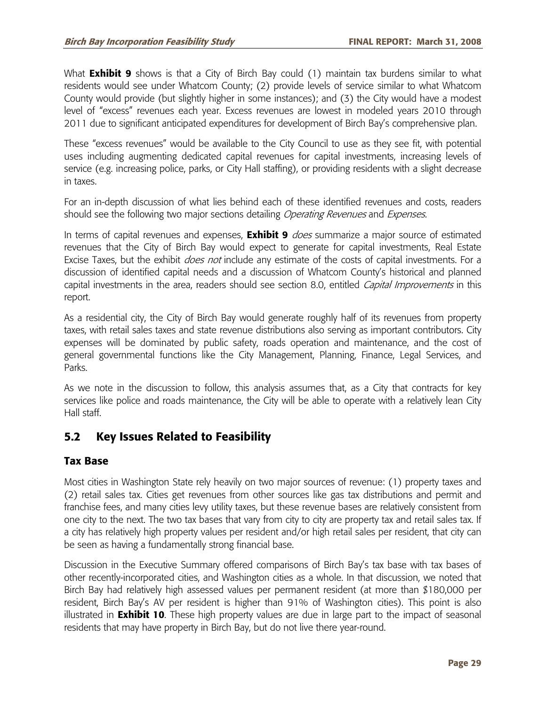What **Exhibit 9** shows is that a City of Birch Bay could (1) maintain tax burdens similar to what residents would see under Whatcom County; (2) provide levels of service similar to what Whatcom County would provide (but slightly higher in some instances); and (3) the City would have a modest level of "excess" revenues each year. Excess revenues are lowest in modeled years 2010 through 2011 due to significant anticipated expenditures for development of Birch Bay's comprehensive plan.

These "excess revenues" would be available to the City Council to use as they see fit, with potential uses including augmenting dedicated capital revenues for capital investments, increasing levels of service (e.g. increasing police, parks, or City Hall staffing), or providing residents with a slight decrease in taxes.

For an in-depth discussion of what lies behind each of these identified revenues and costs, readers should see the following two major sections detailing Operating Revenues and Expenses.

In terms of capital revenues and expenses, **Exhibit 9** does summarize a major source of estimated revenues that the City of Birch Bay would expect to generate for capital investments, Real Estate Excise Taxes, but the exhibit *does not* include any estimate of the costs of capital investments. For a discussion of identified capital needs and a discussion of Whatcom County's historical and planned capital investments in the area, readers should see section 8.0, entitled Capital Improvements in this report.

As a residential city, the City of Birch Bay would generate roughly half of its revenues from property taxes, with retail sales taxes and state revenue distributions also serving as important contributors. City expenses will be dominated by public safety, roads operation and maintenance, and the cost of general governmental functions like the City Management, Planning, Finance, Legal Services, and Parks.

As we note in the discussion to follow, this analysis assumes that, as a City that contracts for key services like police and roads maintenance, the City will be able to operate with a relatively lean City Hall staff.

# **5.2 Key Issues Related to Feasibility**

### **Tax Base**

Most cities in Washington State rely heavily on two major sources of revenue: (1) property taxes and (2) retail sales tax. Cities get revenues from other sources like gas tax distributions and permit and franchise fees, and many cities levy utility taxes, but these revenue bases are relatively consistent from one city to the next. The two tax bases that vary from city to city are property tax and retail sales tax. If a city has relatively high property values per resident and/or high retail sales per resident, that city can be seen as having a fundamentally strong financial base.

Discussion in the Executive Summary offered comparisons of Birch Bay's tax base with tax bases of other recently-incorporated cities, and Washington cities as a whole. In that discussion, we noted that Birch Bay had relatively high assessed values per permanent resident (at more than \$180,000 per resident, Birch Bay's AV per resident is higher than 91% of Washington cities). This point is also illustrated in **Exhibit 10**. These high property values are due in large part to the impact of seasonal residents that may have property in Birch Bay, but do not live there year-round.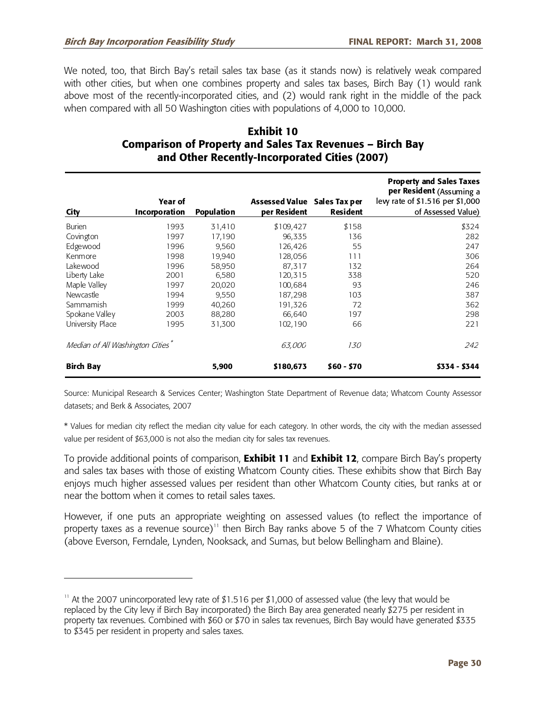-

We noted, too, that Birch Bay's retail sales tax base (as it stands now) is relatively weak compared with other cities, but when one combines property and sales tax bases, Birch Bay (1) would rank above most of the recently-incorporated cities, and (2) would rank right in the middle of the pack when compared with all 50 Washington cities with populations of 4,000 to 10,000.

### **Exhibit 10 Comparison of Property and Sales Tax Revenues – Birch Bay and Other Recently-Incorporated Cities (2007)**

| City                            | Year of<br><b>Incorporation</b> | <b>Population</b> | Assessed Value Sales Tax per<br>per Resident | <b>Resident</b> | <b>Property and Sales Taxes</b><br>per Resident (Assuming a<br>lew rate of \$1.516 per \$1,000<br>of Assessed Value) |
|---------------------------------|---------------------------------|-------------------|----------------------------------------------|-----------------|----------------------------------------------------------------------------------------------------------------------|
| <b>Burien</b>                   | 1993                            | 31,410            | \$109,427                                    | \$158           | \$324                                                                                                                |
| Covington                       | 1997                            | 17,190            | 96,335                                       | 136             | 282                                                                                                                  |
| Edgewood                        | 1996                            | 9,560             | 126,426                                      | 55              | 247                                                                                                                  |
| Kenmore                         | 1998                            | 19,940            | 128,056                                      | 111             | 306                                                                                                                  |
| Lakewood                        | 1996                            | 58,950            | 87,317                                       | 132             | 264                                                                                                                  |
| Liberty Lake                    | 2001                            | 6.580             | 120,315                                      | 338             | 520                                                                                                                  |
| Maple Valley                    | 1997                            | 20,020            | 100,684                                      | 93              | 246                                                                                                                  |
| Newcastle                       | 1994                            | 9,550             | 187,298                                      | 103             | 387                                                                                                                  |
| Sammamish                       | 1999                            | 40,260            | 191,326                                      | 72              | 362                                                                                                                  |
| Spokane Valley                  | 2003                            | 88,280            | 66,640                                       | 197             | 298                                                                                                                  |
| University Place                | 1995                            | 31,300            | 102,190                                      | 66              | 221                                                                                                                  |
| Median of All Washington Cities |                                 |                   | 63,000                                       | <i>130</i>      | 242                                                                                                                  |
| <b>Birch Bay</b>                |                                 | 5,900             | \$180,673                                    | \$60 - \$70     | \$334 - \$344                                                                                                        |

Source: Municipal Research & Services Center; Washington State Department of Revenue data; Whatcom County Assessor datasets; and Berk & Associates, 2007

\* Values for median city reflect the median city value for each category. In other words, the city with the median assessed value per resident of \$63,000 is not also the median city for sales tax revenues.

To provide additional points of comparison, **Exhibit 11** and **Exhibit 12**, compare Birch Bay's property and sales tax bases with those of existing Whatcom County cities. These exhibits show that Birch Bay enjoys much higher assessed values per resident than other Whatcom County cities, but ranks at or near the bottom when it comes to retail sales taxes.

However, if one puts an appropriate weighting on assessed values (to reflect the importance of property taxes as a revenue source)<sup>11</sup> then Birch Bay ranks above 5 of the 7 Whatcom County cities (above Everson, Ferndale, Lynden, Nooksack, and Sumas, but below Bellingham and Blaine).

<sup>&</sup>lt;sup>11</sup> At the 2007 unincorporated levy rate of \$1.516 per \$1,000 of assessed value (the levy that would be replaced by the City levy if Birch Bay incorporated) the Birch Bay area generated nearly \$275 per resident in property tax revenues. Combined with \$60 or \$70 in sales tax revenues, Birch Bay would have generated \$335 to \$345 per resident in property and sales taxes.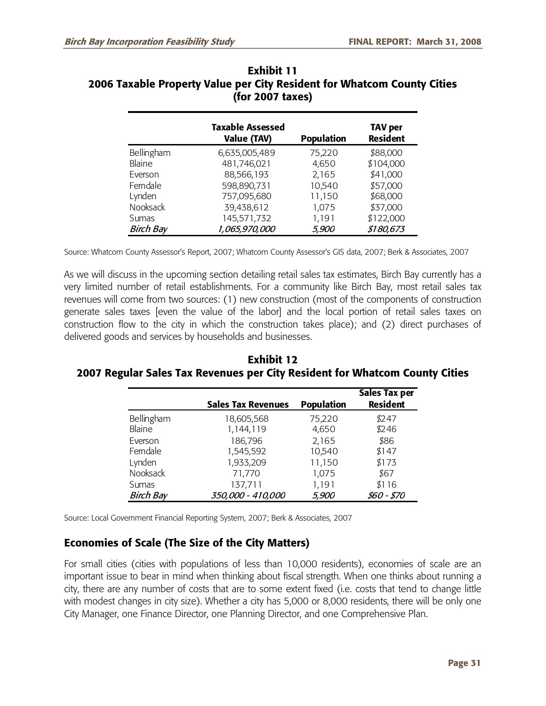|                  | <b>Taxable Assessed</b><br><b>Value (TAV)</b> | <b>Population</b> | <b>TAV per</b><br><b>Resident</b> |
|------------------|-----------------------------------------------|-------------------|-----------------------------------|
| Bellingham       | 6,635,005,489                                 | 75,220            | \$88,000                          |
| <b>Blaine</b>    | 481,746,021                                   | 4,650             | \$104,000                         |
| Everson          | 88,566,193                                    | 2,165             | \$41,000                          |
| Ferndale         | 598,890,731                                   | 10,540            | \$57,000                          |
| Lynden           | 757,095,680                                   | 11,150            | \$68,000                          |
| <b>Nooksack</b>  | 39,438,612                                    | 1,075             | \$37,000                          |
| Sumas            | 145,571,732                                   | 1,191             | \$122,000                         |
| <b>Birch Bay</b> | 1,065,970,000                                 | 5,900             | \$180,673                         |

### **Exhibit 11 2006 Taxable Property Value per City Resident for Whatcom County Cities (for 2007 taxes)**

Source: Whatcom County Assessor's Report, 2007; Whatcom County Assessor's GIS data, 2007; Berk & Associates, 2007

As we will discuss in the upcoming section detailing retail sales tax estimates, Birch Bay currently has a very limited number of retail establishments. For a community like Birch Bay, most retail sales tax revenues will come from two sources: (1) new construction (most of the components of construction generate sales taxes [even the value of the labor] and the local portion of retail sales taxes on construction flow to the city in which the construction takes place); and (2) direct purchases of delivered goods and services by households and businesses.

**Exhibit 12 2007 Regular Sales Tax Revenues per City Resident for Whatcom County Cities** 

|                  | <b>Sales Tax Revenues</b> | <b>Population</b> | <b>Sales Tax per</b><br><b>Resident</b> |
|------------------|---------------------------|-------------------|-----------------------------------------|
| Bellingham       | 18,605,568                | 75,220            | \$247                                   |
| Blaine           | 1,144,119                 | 4,650             | \$246                                   |
| Everson          | 186,796                   | 2,165             | \$86                                    |
| Ferndale         | 1,545,592                 | 10,540            | \$147                                   |
| Lynden           | 1,933,209                 | 11,150            | \$173                                   |
| Nooksack         | 71,770                    | 1,075             | \$67                                    |
| Sumas            | 137,711                   | 1,191             | \$116                                   |
| <b>Birch Bay</b> | 350,000 - 410,000         | 5,900             | \$60 - \$70                             |

Source: Local Government Financial Reporting System, 2007; Berk & Associates, 2007

## **Economies of Scale (The Size of the City Matters)**

For small cities (cities with populations of less than 10,000 residents), economies of scale are an important issue to bear in mind when thinking about fiscal strength. When one thinks about running a city, there are any number of costs that are to some extent fixed (i.e. costs that tend to change little with modest changes in city size). Whether a city has 5,000 or 8,000 residents, there will be only one City Manager, one Finance Director, one Planning Director, and one Comprehensive Plan.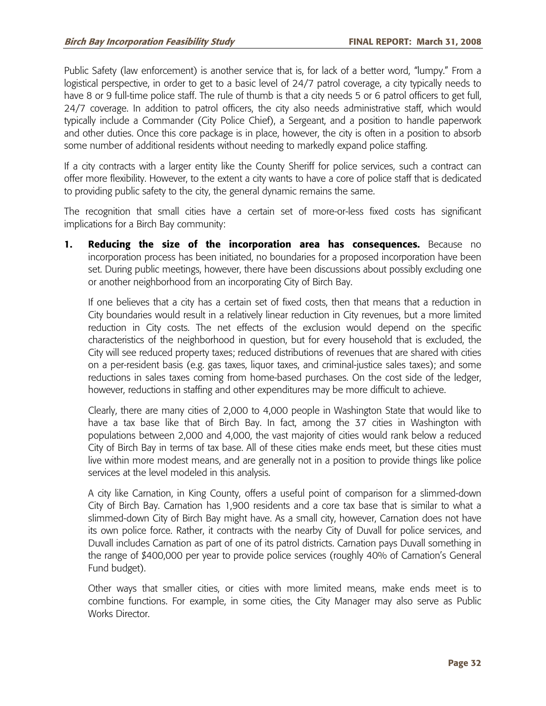Public Safety (law enforcement) is another service that is, for lack of a better word, "lumpy." From a logistical perspective, in order to get to a basic level of 24/7 patrol coverage, a city typically needs to have 8 or 9 full-time police staff. The rule of thumb is that a city needs 5 or 6 patrol officers to get full, 24/7 coverage. In addition to patrol officers, the city also needs administrative staff, which would typically include a Commander (City Police Chief), a Sergeant, and a position to handle paperwork and other duties. Once this core package is in place, however, the city is often in a position to absorb some number of additional residents without needing to markedly expand police staffing.

If a city contracts with a larger entity like the County Sheriff for police services, such a contract can offer more flexibility. However, to the extent a city wants to have a core of police staff that is dedicated to providing public safety to the city, the general dynamic remains the same.

The recognition that small cities have a certain set of more-or-less fixed costs has significant implications for a Birch Bay community:

**1. Reducing the size of the incorporation area has consequences.** Because no incorporation process has been initiated, no boundaries for a proposed incorporation have been set. During public meetings, however, there have been discussions about possibly excluding one or another neighborhood from an incorporating City of Birch Bay.

 If one believes that a city has a certain set of fixed costs, then that means that a reduction in City boundaries would result in a relatively linear reduction in City revenues, but a more limited reduction in City costs. The net effects of the exclusion would depend on the specific characteristics of the neighborhood in question, but for every household that is excluded, the City will see reduced property taxes; reduced distributions of revenues that are shared with cities on a per-resident basis (e.g. gas taxes, liquor taxes, and criminal-justice sales taxes); and some reductions in sales taxes coming from home-based purchases. On the cost side of the ledger, however, reductions in staffing and other expenditures may be more difficult to achieve.

 Clearly, there are many cities of 2,000 to 4,000 people in Washington State that would like to have a tax base like that of Birch Bay. In fact, among the 37 cities in Washington with populations between 2,000 and 4,000, the vast majority of cities would rank below a reduced City of Birch Bay in terms of tax base. All of these cities make ends meet, but these cities must live within more modest means, and are generally not in a position to provide things like police services at the level modeled in this analysis.

 A city like Carnation, in King County, offers a useful point of comparison for a slimmed-down City of Birch Bay. Carnation has 1,900 residents and a core tax base that is similar to what a slimmed-down City of Birch Bay might have. As a small city, however, Carnation does not have its own police force. Rather, it contracts with the nearby City of Duvall for police services, and Duvall includes Carnation as part of one of its patrol districts. Carnation pays Duvall something in the range of \$400,000 per year to provide police services (roughly 40% of Carnation's General Fund budget).

 Other ways that smaller cities, or cities with more limited means, make ends meet is to combine functions. For example, in some cities, the City Manager may also serve as Public Works Director.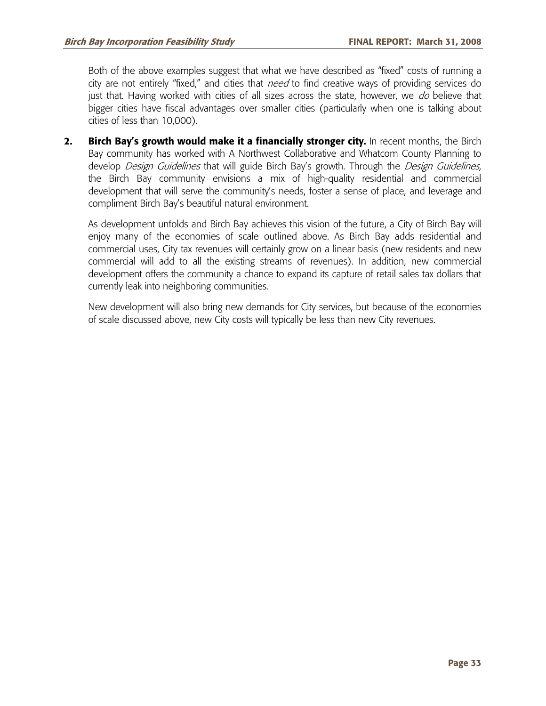Both of the above examples suggest that what we have described as "fixed" costs of running a city are not entirely "fixed," and cities that *need* to find creative ways of providing services do just that. Having worked with cities of all sizes across the state, however, we do believe that bigger cities have fiscal advantages over smaller cities (particularly when one is talking about cities of less than 10,000).

**2. Birch Bay's growth would make it a financially stronger city.** In recent months, the Birch Bay community has worked with A Northwest Collaborative and Whatcom County Planning to develop Design Guidelines that will guide Birch Bay's growth. Through the Design Guidelines, the Birch Bay community envisions a mix of high-quality residential and commercial development that will serve the community's needs, foster a sense of place, and leverage and compliment Birch Bay's beautiful natural environment.

 As development unfolds and Birch Bay achieves this vision of the future, a City of Birch Bay will enjoy many of the economies of scale outlined above. As Birch Bay adds residential and commercial uses, City tax revenues will certainly grow on a linear basis (new residents and new commercial will add to all the existing streams of revenues). In addition, new commercial development offers the community a chance to expand its capture of retail sales tax dollars that currently leak into neighboring communities.

 New development will also bring new demands for City services, but because of the economies of scale discussed above, new City costs will typically be less than new City revenues.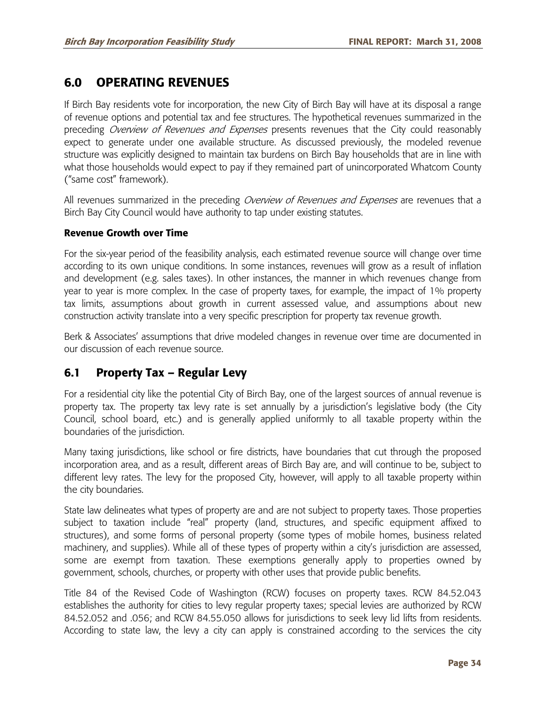# **6.0 OPERATING REVENUES**

If Birch Bay residents vote for incorporation, the new City of Birch Bay will have at its disposal a range of revenue options and potential tax and fee structures. The hypothetical revenues summarized in the preceding Overview of Revenues and Expenses presents revenues that the City could reasonably expect to generate under one available structure. As discussed previously, the modeled revenue structure was explicitly designed to maintain tax burdens on Birch Bay households that are in line with what those households would expect to pay if they remained part of unincorporated Whatcom County ("same cost" framework).

All revenues summarized in the preceding *Overview of Revenues and Expenses* are revenues that a Birch Bay City Council would have authority to tap under existing statutes.

#### **Revenue Growth over Time**

For the six-year period of the feasibility analysis, each estimated revenue source will change over time according to its own unique conditions. In some instances, revenues will grow as a result of inflation and development (e.g. sales taxes). In other instances, the manner in which revenues change from year to year is more complex. In the case of property taxes, for example, the impact of 1% property tax limits, assumptions about growth in current assessed value, and assumptions about new construction activity translate into a very specific prescription for property tax revenue growth.

Berk & Associates' assumptions that drive modeled changes in revenue over time are documented in our discussion of each revenue source.

# **6.1 Property Tax – Regular Levy**

For a residential city like the potential City of Birch Bay, one of the largest sources of annual revenue is property tax. The property tax levy rate is set annually by a jurisdiction's legislative body (the City Council, school board, etc.) and is generally applied uniformly to all taxable property within the boundaries of the jurisdiction.

Many taxing jurisdictions, like school or fire districts, have boundaries that cut through the proposed incorporation area, and as a result, different areas of Birch Bay are, and will continue to be, subject to different levy rates. The levy for the proposed City, however, will apply to all taxable property within the city boundaries.

State law delineates what types of property are and are not subject to property taxes. Those properties subject to taxation include "real" property (land, structures, and specific equipment affixed to structures), and some forms of personal property (some types of mobile homes, business related machinery, and supplies). While all of these types of property within a city's jurisdiction are assessed, some are exempt from taxation. These exemptions generally apply to properties owned by government, schools, churches, or property with other uses that provide public benefits.

Title 84 of the Revised Code of Washington (RCW) focuses on property taxes. RCW 84.52.043 establishes the authority for cities to levy regular property taxes; special levies are authorized by RCW 84.52.052 and .056; and RCW 84.55.050 allows for jurisdictions to seek levy lid lifts from residents. According to state law, the levy a city can apply is constrained according to the services the city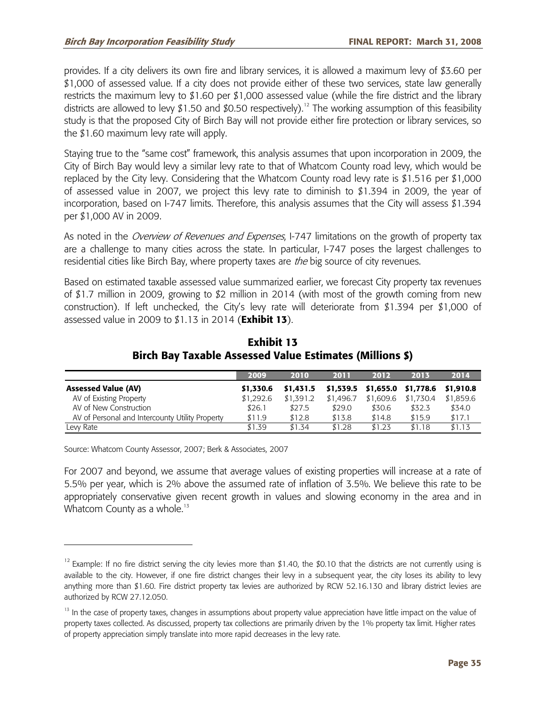provides. If a city delivers its own fire and library services, it is allowed a maximum levy of \$3.60 per \$1,000 of assessed value. If a city does not provide either of these two services, state law generally restricts the maximum levy to \$1.60 per \$1,000 assessed value (while the fire district and the library districts are allowed to levy \$1.50 and \$0.50 respectively).<sup>12</sup> The working assumption of this feasibility study is that the proposed City of Birch Bay will not provide either fire protection or library services, so the \$1.60 maximum levy rate will apply.

Staying true to the "same cost" framework, this analysis assumes that upon incorporation in 2009, the City of Birch Bay would levy a similar levy rate to that of Whatcom County road levy, which would be replaced by the City levy. Considering that the Whatcom County road levy rate is \$1.516 per \$1,000 of assessed value in 2007, we project this levy rate to diminish to \$1.394 in 2009, the year of incorporation, based on I-747 limits. Therefore, this analysis assumes that the City will assess \$1.394 per \$1,000 AV in 2009.

As noted in the *Overview of Revenues and Expenses*, I-747 limitations on the growth of property tax are a challenge to many cities across the state. In particular, I-747 poses the largest challenges to residential cities like Birch Bay, where property taxes are *the* big source of city revenues.

Based on estimated taxable assessed value summarized earlier, we forecast City property tax revenues of \$1.7 million in 2009, growing to \$2 million in 2014 (with most of the growth coming from new construction). If left unchecked, the City's levy rate will deteriorate from \$1.394 per \$1,000 of assessed value in 2009 to \$1.13 in 2014 (**Exhibit 13**).

|                                                 | 2009      | 2010      | 2011      | 2012      | 2013                                        | 2014      |
|-------------------------------------------------|-----------|-----------|-----------|-----------|---------------------------------------------|-----------|
| <b>Assessed Value (AV)</b>                      | \$1,330.6 | \$1,431.5 |           |           | $$1,539.5$ $$1,655.0$ $$1,778.6$ $$1,910.8$ |           |
| AV of Existing Property                         | \$1.292.6 | \$1,391.2 | \$1,496.7 | \$1,609.6 | \$1.730.4                                   | \$1,859.6 |
| AV of New Construction                          | \$26.1    | \$27.5    | \$29.0    | \$30.6    | \$32.3                                      | \$34.0    |
| AV of Personal and Intercounty Utility Property | \$11.9    | \$12.8    | \$13.8    | \$14.8    | \$15.9                                      | \$17.1    |
| Levv Rate                                       | \$1.39    | \$1.34    | \$1.28    | \$1.23    | \$1.18                                      | \$1.13    |

## **Exhibit 13 Birch Bay Taxable Assessed Value Estimates (Millions \$)**

Source: Whatcom County Assessor, 2007; Berk & Associates, 2007

-

For 2007 and beyond, we assume that average values of existing properties will increase at a rate of 5.5% per year, which is 2% above the assumed rate of inflation of 3.5%. We believe this rate to be appropriately conservative given recent growth in values and slowing economy in the area and in Whatcom County as a whole.<sup>13</sup>

 $12$  Example: If no fire district serving the city levies more than \$1.40, the \$0.10 that the districts are not currently using is available to the city. However, if one fire district changes their levy in a subsequent year, the city loses its ability to levy anything more than \$1.60. Fire district property tax levies are authorized by RCW 52.16.130 and library district levies are authorized by RCW 27.12.050.

<sup>&</sup>lt;sup>13</sup> In the case of property taxes, changes in assumptions about property value appreciation have little impact on the value of property taxes collected. As discussed, property tax collections are primarily driven by the 1% property tax limit. Higher rates of property appreciation simply translate into more rapid decreases in the levy rate.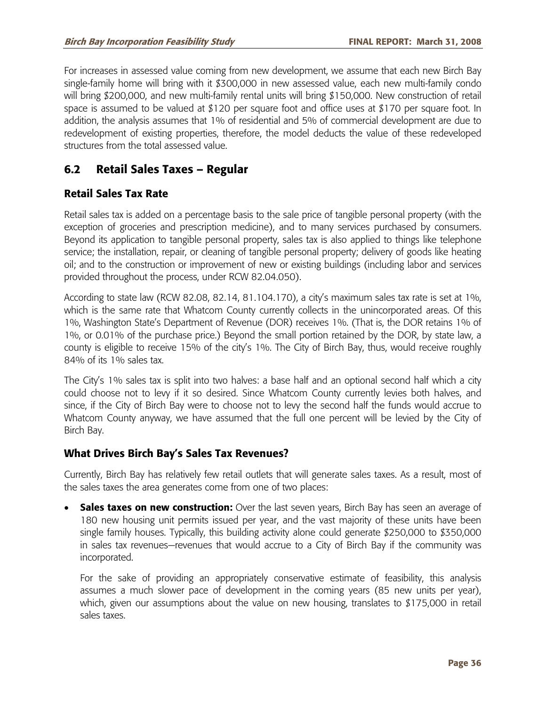For increases in assessed value coming from new development, we assume that each new Birch Bay single-family home will bring with it \$300,000 in new assessed value, each new multi-family condo will bring \$200,000, and new multi-family rental units will bring \$150,000. New construction of retail space is assumed to be valued at \$120 per square foot and office uses at \$170 per square foot. In addition, the analysis assumes that 1% of residential and 5% of commercial development are due to redevelopment of existing properties, therefore, the model deducts the value of these redeveloped structures from the total assessed value.

# **6.2 Retail Sales Taxes – Regular**

## **Retail Sales Tax Rate**

Retail sales tax is added on a percentage basis to the sale price of tangible personal property (with the exception of groceries and prescription medicine), and to many services purchased by consumers. Beyond its application to tangible personal property, sales tax is also applied to things like telephone service; the installation, repair, or cleaning of tangible personal property; delivery of goods like heating oil; and to the construction or improvement of new or existing buildings (including labor and services provided throughout the process, under RCW 82.04.050).

According to state law (RCW 82.08, 82.14, 81.104.170), a city's maximum sales tax rate is set at 1%, which is the same rate that Whatcom County currently collects in the unincorporated areas. Of this 1%, Washington State's Department of Revenue (DOR) receives 1%. (That is, the DOR retains 1% of 1%, or 0.01% of the purchase price.) Beyond the small portion retained by the DOR, by state law, a county is eligible to receive 15% of the city's 1%. The City of Birch Bay, thus, would receive roughly 84% of its 1% sales tax.

The City's 1% sales tax is split into two halves: a base half and an optional second half which a city could choose not to levy if it so desired. Since Whatcom County currently levies both halves, and since, if the City of Birch Bay were to choose not to levy the second half the funds would accrue to Whatcom County anyway, we have assumed that the full one percent will be levied by the City of Birch Bay.

### **What Drives Birch Bay's Sales Tax Revenues?**

Currently, Birch Bay has relatively few retail outlets that will generate sales taxes. As a result, most of the sales taxes the area generates come from one of two places:

**Sales taxes on new construction:** Over the last seven years, Birch Bay has seen an average of 180 new housing unit permits issued per year, and the vast majority of these units have been single family houses. Typically, this building activity alone could generate \$250,000 to \$350,000 in sales tax revenues—revenues that would accrue to a City of Birch Bay if the community was incorporated.

For the sake of providing an appropriately conservative estimate of feasibility, this analysis assumes a much slower pace of development in the coming years (85 new units per year), which, given our assumptions about the value on new housing, translates to \$175,000 in retail sales taxes.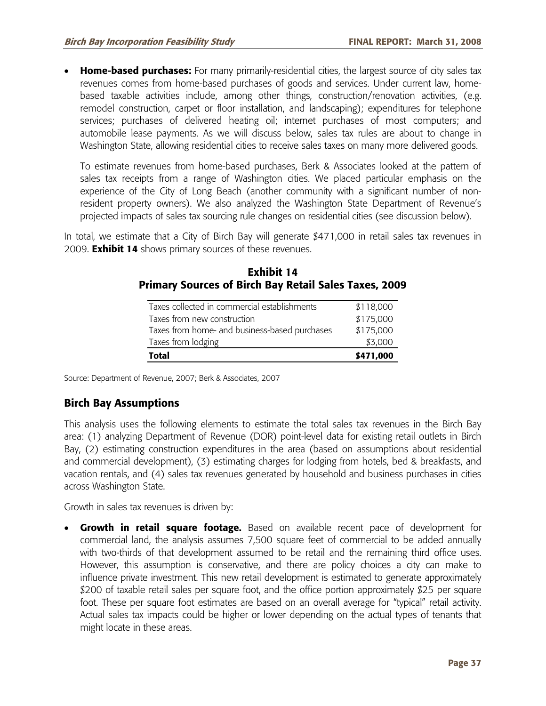• **Home-based purchases:** For many primarily-residential cities, the largest source of city sales tax revenues comes from home-based purchases of goods and services. Under current law, homebased taxable activities include, among other things, construction/renovation activities, (e.g. remodel construction, carpet or floor installation, and landscaping); expenditures for telephone services; purchases of delivered heating oil; internet purchases of most computers; and automobile lease payments. As we will discuss below, sales tax rules are about to change in Washington State, allowing residential cities to receive sales taxes on many more delivered goods.

To estimate revenues from home-based purchases, Berk & Associates looked at the pattern of sales tax receipts from a range of Washington cities. We placed particular emphasis on the experience of the City of Long Beach (another community with a significant number of nonresident property owners). We also analyzed the Washington State Department of Revenue's projected impacts of sales tax sourcing rule changes on residential cities (see discussion below).

In total, we estimate that a City of Birch Bay will generate \$471,000 in retail sales tax revenues in 2009. **Exhibit 14** shows primary sources of these revenues.

| Taxes collected in commercial establishments  | \$118,000 |
|-----------------------------------------------|-----------|
| Taxes from new construction                   | \$175,000 |
| Taxes from home- and business-based purchases | \$175,000 |
| Taxes from lodging                            | \$3,000   |
| <b>Total</b>                                  | \$471,000 |

| Exhibit 14 |                                                              |  |  |  |  |
|------------|--------------------------------------------------------------|--|--|--|--|
|            | <b>Primary Sources of Birch Bay Retail Sales Taxes, 2009</b> |  |  |  |  |

Source: Department of Revenue, 2007; Berk & Associates, 2007

### **Birch Bay Assumptions**

This analysis uses the following elements to estimate the total sales tax revenues in the Birch Bay area: (1) analyzing Department of Revenue (DOR) point-level data for existing retail outlets in Birch Bay, (2) estimating construction expenditures in the area (based on assumptions about residential and commercial development), (3) estimating charges for lodging from hotels, bed & breakfasts, and vacation rentals, and (4) sales tax revenues generated by household and business purchases in cities across Washington State.

Growth in sales tax revenues is driven by:

• **Growth in retail square footage.** Based on available recent pace of development for commercial land, the analysis assumes 7,500 square feet of commercial to be added annually with two-thirds of that development assumed to be retail and the remaining third office uses. However, this assumption is conservative, and there are policy choices a city can make to influence private investment. This new retail development is estimated to generate approximately \$200 of taxable retail sales per square foot, and the office portion approximately \$25 per square foot. These per square foot estimates are based on an overall average for "typical" retail activity. Actual sales tax impacts could be higher or lower depending on the actual types of tenants that might locate in these areas.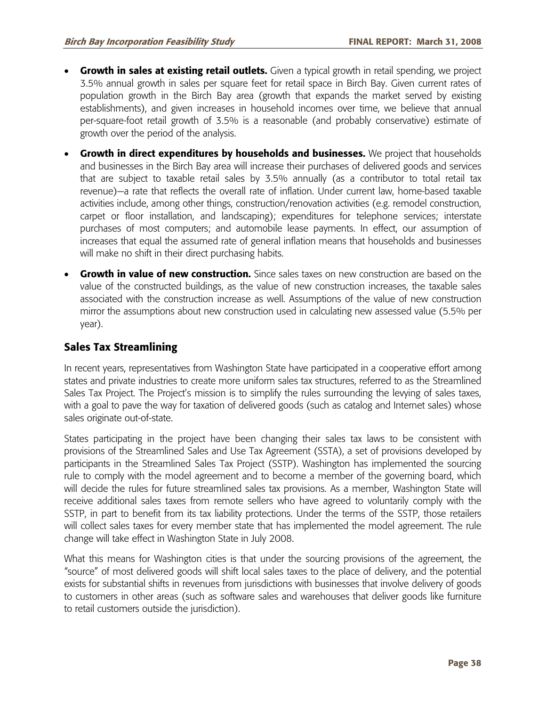- **Growth in sales at existing retail outlets.** Given a typical growth in retail spending, we project 3.5% annual growth in sales per square feet for retail space in Birch Bay. Given current rates of population growth in the Birch Bay area (growth that expands the market served by existing establishments), and given increases in household incomes over time, we believe that annual per-square-foot retail growth of 3.5% is a reasonable (and probably conservative) estimate of growth over the period of the analysis.
- **Growth in direct expenditures by households and businesses.** We project that households and businesses in the Birch Bay area will increase their purchases of delivered goods and services that are subject to taxable retail sales by 3.5% annually (as a contributor to total retail tax revenue)—a rate that reflects the overall rate of inflation. Under current law, home-based taxable activities include, among other things, construction/renovation activities (e.g. remodel construction, carpet or floor installation, and landscaping); expenditures for telephone services; interstate purchases of most computers; and automobile lease payments. In effect, our assumption of increases that equal the assumed rate of general inflation means that households and businesses will make no shift in their direct purchasing habits.
- **Growth in value of new construction.** Since sales taxes on new construction are based on the value of the constructed buildings, as the value of new construction increases, the taxable sales associated with the construction increase as well. Assumptions of the value of new construction mirror the assumptions about new construction used in calculating new assessed value (5.5% per year).

## **Sales Tax Streamlining**

In recent years, representatives from Washington State have participated in a cooperative effort among states and private industries to create more uniform sales tax structures, referred to as the Streamlined Sales Tax Project. The Project's mission is to simplify the rules surrounding the levying of sales taxes, with a goal to pave the way for taxation of delivered goods (such as catalog and Internet sales) whose sales originate out-of-state.

States participating in the project have been changing their sales tax laws to be consistent with provisions of the Streamlined Sales and Use Tax Agreement (SSTA), a set of provisions developed by participants in the Streamlined Sales Tax Project (SSTP). Washington has implemented the sourcing rule to comply with the model agreement and to become a member of the governing board, which will decide the rules for future streamlined sales tax provisions. As a member, Washington State will receive additional sales taxes from remote sellers who have agreed to voluntarily comply with the SSTP, in part to benefit from its tax liability protections. Under the terms of the SSTP, those retailers will collect sales taxes for every member state that has implemented the model agreement. The rule change will take effect in Washington State in July 2008.

What this means for Washington cities is that under the sourcing provisions of the agreement, the "source" of most delivered goods will shift local sales taxes to the place of delivery, and the potential exists for substantial shifts in revenues from jurisdictions with businesses that involve delivery of goods to customers in other areas (such as software sales and warehouses that deliver goods like furniture to retail customers outside the jurisdiction).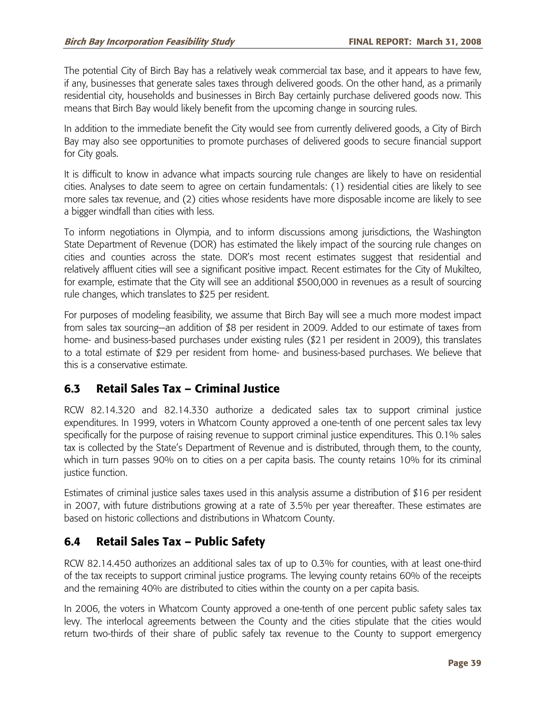The potential City of Birch Bay has a relatively weak commercial tax base, and it appears to have few, if any, businesses that generate sales taxes through delivered goods. On the other hand, as a primarily residential city, households and businesses in Birch Bay certainly purchase delivered goods now. This means that Birch Bay would likely benefit from the upcoming change in sourcing rules.

In addition to the immediate benefit the City would see from currently delivered goods, a City of Birch Bay may also see opportunities to promote purchases of delivered goods to secure financial support for City goals.

It is difficult to know in advance what impacts sourcing rule changes are likely to have on residential cities. Analyses to date seem to agree on certain fundamentals: (1) residential cities are likely to see more sales tax revenue, and (2) cities whose residents have more disposable income are likely to see a bigger windfall than cities with less.

To inform negotiations in Olympia, and to inform discussions among jurisdictions, the Washington State Department of Revenue (DOR) has estimated the likely impact of the sourcing rule changes on cities and counties across the state. DOR's most recent estimates suggest that residential and relatively affluent cities will see a significant positive impact. Recent estimates for the City of Mukilteo, for example, estimate that the City will see an additional \$500,000 in revenues as a result of sourcing rule changes, which translates to \$25 per resident.

For purposes of modeling feasibility, we assume that Birch Bay will see a much more modest impact from sales tax sourcing—an addition of \$8 per resident in 2009. Added to our estimate of taxes from home- and business-based purchases under existing rules (\$21 per resident in 2009), this translates to a total estimate of \$29 per resident from home- and business-based purchases. We believe that this is a conservative estimate.

# **6.3 Retail Sales Tax – Criminal Justice**

RCW 82.14.320 and 82.14.330 authorize a dedicated sales tax to support criminal justice expenditures. In 1999, voters in Whatcom County approved a one-tenth of one percent sales tax levy specifically for the purpose of raising revenue to support criminal justice expenditures. This 0.1% sales tax is collected by the State's Department of Revenue and is distributed, through them, to the county, which in turn passes 90% on to cities on a per capita basis. The county retains 10% for its criminal justice function.

Estimates of criminal justice sales taxes used in this analysis assume a distribution of \$16 per resident in 2007, with future distributions growing at a rate of 3.5% per year thereafter. These estimates are based on historic collections and distributions in Whatcom County.

# **6.4 Retail Sales Tax – Public Safety**

RCW 82.14.450 authorizes an additional sales tax of up to 0.3% for counties, with at least one-third of the tax receipts to support criminal justice programs. The levying county retains 60% of the receipts and the remaining 40% are distributed to cities within the county on a per capita basis.

In 2006, the voters in Whatcom County approved a one-tenth of one percent public safety sales tax levy. The interlocal agreements between the County and the cities stipulate that the cities would return two-thirds of their share of public safely tax revenue to the County to support emergency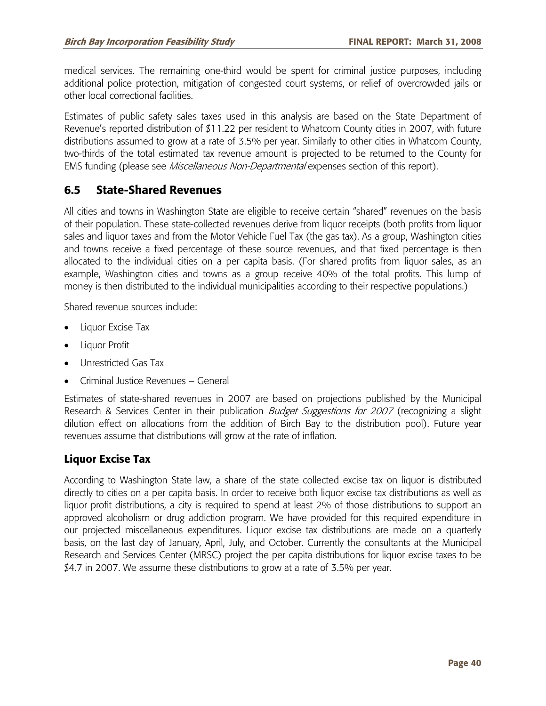medical services. The remaining one-third would be spent for criminal justice purposes, including additional police protection, mitigation of congested court systems, or relief of overcrowded jails or other local correctional facilities.

Estimates of public safety sales taxes used in this analysis are based on the State Department of Revenue's reported distribution of \$11.22 per resident to Whatcom County cities in 2007, with future distributions assumed to grow at a rate of 3.5% per year. Similarly to other cities in Whatcom County, two-thirds of the total estimated tax revenue amount is projected to be returned to the County for EMS funding (please see *Miscellaneous Non-Departmental* expenses section of this report).

## **6.5 State-Shared Revenues**

All cities and towns in Washington State are eligible to receive certain "shared" revenues on the basis of their population. These state-collected revenues derive from liquor receipts (both profits from liquor sales and liquor taxes and from the Motor Vehicle Fuel Tax (the gas tax). As a group, Washington cities and towns receive a fixed percentage of these source revenues, and that fixed percentage is then allocated to the individual cities on a per capita basis. (For shared profits from liquor sales, as an example, Washington cities and towns as a group receive 40% of the total profits. This lump of money is then distributed to the individual municipalities according to their respective populations.)

Shared revenue sources include:

- Liquor Excise Tax
- Liquor Profit
- Unrestricted Gas Tax
- Criminal Justice Revenues General

Estimates of state-shared revenues in 2007 are based on projections published by the Municipal Research & Services Center in their publication *Budget Suggestions for 2007* (recognizing a slight dilution effect on allocations from the addition of Birch Bay to the distribution pool). Future year revenues assume that distributions will grow at the rate of inflation.

### **Liquor Excise Tax**

According to Washington State law, a share of the state collected excise tax on liquor is distributed directly to cities on a per capita basis. In order to receive both liquor excise tax distributions as well as liquor profit distributions, a city is required to spend at least 2% of those distributions to support an approved alcoholism or drug addiction program. We have provided for this required expenditure in our projected miscellaneous expenditures. Liquor excise tax distributions are made on a quarterly basis, on the last day of January, April, July, and October. Currently the consultants at the Municipal Research and Services Center (MRSC) project the per capita distributions for liquor excise taxes to be \$4.7 in 2007. We assume these distributions to grow at a rate of 3.5% per year.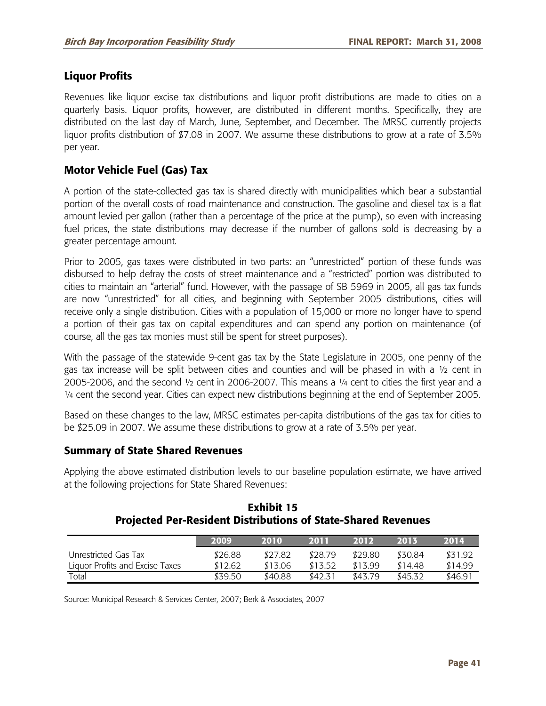## **Liquor Profits**

Revenues like liquor excise tax distributions and liquor profit distributions are made to cities on a quarterly basis. Liquor profits, however, are distributed in different months. Specifically, they are distributed on the last day of March, June, September, and December. The MRSC currently projects liquor profits distribution of \$7.08 in 2007. We assume these distributions to grow at a rate of 3.5% per year.

## **Motor Vehicle Fuel (Gas) Tax**

A portion of the state-collected gas tax is shared directly with municipalities which bear a substantial portion of the overall costs of road maintenance and construction. The gasoline and diesel tax is a flat amount levied per gallon (rather than a percentage of the price at the pump), so even with increasing fuel prices, the state distributions may decrease if the number of gallons sold is decreasing by a greater percentage amount.

Prior to 2005, gas taxes were distributed in two parts: an "unrestricted" portion of these funds was disbursed to help defray the costs of street maintenance and a "restricted" portion was distributed to cities to maintain an "arterial" fund. However, with the passage of SB 5969 in 2005, all gas tax funds are now "unrestricted" for all cities, and beginning with September 2005 distributions, cities will receive only a single distribution. Cities with a population of 15,000 or more no longer have to spend a portion of their gas tax on capital expenditures and can spend any portion on maintenance (of course, all the gas tax monies must still be spent for street purposes).

With the passage of the statewide 9-cent gas tax by the State Legislature in 2005, one penny of the gas tax increase will be split between cities and counties and will be phased in with a ½ cent in 2005-2006, and the second ½ cent in 2006-2007. This means a ¼ cent to cities the first year and a ¼ cent the second year. Cities can expect new distributions beginning at the end of September 2005.

Based on these changes to the law, MRSC estimates per-capita distributions of the gas tax for cities to be \$25.09 in 2007. We assume these distributions to grow at a rate of 3.5% per year.

### **Summary of State Shared Revenues**

Applying the above estimated distribution levels to our baseline population estimate, we have arrived at the following projections for State Shared Revenues:

|                                 | 2009    | 2010    | 2011    | 2012    | 2015    | 2014    |
|---------------------------------|---------|---------|---------|---------|---------|---------|
| Unrestricted Gas Tax            | \$26.88 | \$27.82 | \$28.79 | \$29.80 | \$30.84 | \$31.92 |
| Liguor Profits and Excise Taxes | \$12.62 | \$13.06 | \$13.52 | \$13.99 | \$14.48 | \$14.99 |
| Total                           | \$39.50 | \$40.88 | \$42.31 | \$43.79 | \$45.32 | \$46.91 |

**Exhibit 15 Projected Per-Resident Distributions of State-Shared Revenues** 

Source: Municipal Research & Services Center, 2007; Berk & Associates, 2007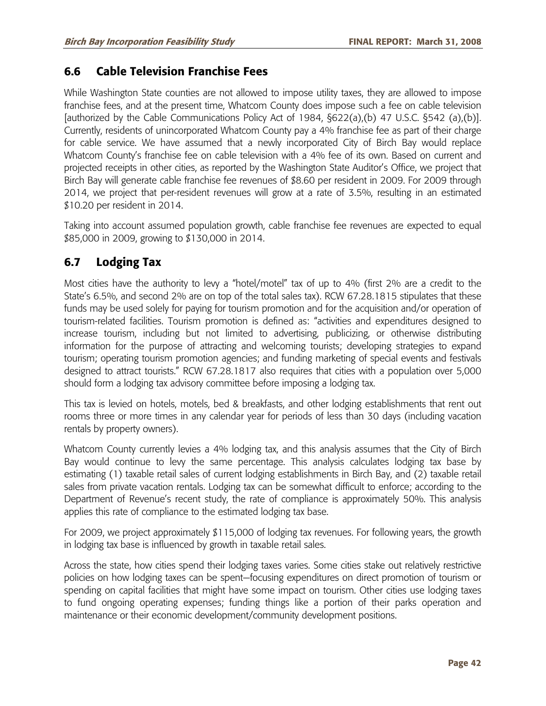## **6.6 Cable Television Franchise Fees**

While Washington State counties are not allowed to impose utility taxes, they are allowed to impose franchise fees, and at the present time, Whatcom County does impose such a fee on cable television [authorized by the Cable Communications Policy Act of 1984, §622(a),(b) 47 U.S.C. §542 (a),(b)]. Currently, residents of unincorporated Whatcom County pay a 4% franchise fee as part of their charge for cable service. We have assumed that a newly incorporated City of Birch Bay would replace Whatcom County's franchise fee on cable television with a 4% fee of its own. Based on current and projected receipts in other cities, as reported by the Washington State Auditor's Office, we project that Birch Bay will generate cable franchise fee revenues of \$8.60 per resident in 2009. For 2009 through 2014, we project that per-resident revenues will grow at a rate of 3.5%, resulting in an estimated \$10.20 per resident in 2014.

Taking into account assumed population growth, cable franchise fee revenues are expected to equal \$85,000 in 2009, growing to \$130,000 in 2014.

# **6.7 Lodging Tax**

Most cities have the authority to levy a "hotel/motel" tax of up to 4% (first 2% are a credit to the State's 6.5%, and second 2% are on top of the total sales tax). RCW 67.28.1815 stipulates that these funds may be used solely for paying for tourism promotion and for the acquisition and/or operation of tourism-related facilities. Tourism promotion is defined as: "activities and expenditures designed to increase tourism, including but not limited to advertising, publicizing, or otherwise distributing information for the purpose of attracting and welcoming tourists; developing strategies to expand tourism; operating tourism promotion agencies; and funding marketing of special events and festivals designed to attract tourists." RCW 67.28.1817 also requires that cities with a population over 5,000 should form a lodging tax advisory committee before imposing a lodging tax.

This tax is levied on hotels, motels, bed & breakfasts, and other lodging establishments that rent out rooms three or more times in any calendar year for periods of less than 30 days (including vacation rentals by property owners).

Whatcom County currently levies a 4% lodging tax, and this analysis assumes that the City of Birch Bay would continue to levy the same percentage. This analysis calculates lodging tax base by estimating (1) taxable retail sales of current lodging establishments in Birch Bay, and (2) taxable retail sales from private vacation rentals. Lodging tax can be somewhat difficult to enforce; according to the Department of Revenue's recent study, the rate of compliance is approximately 50%. This analysis applies this rate of compliance to the estimated lodging tax base.

For 2009, we project approximately \$115,000 of lodging tax revenues. For following years, the growth in lodging tax base is influenced by growth in taxable retail sales.

Across the state, how cities spend their lodging taxes varies. Some cities stake out relatively restrictive policies on how lodging taxes can be spent—focusing expenditures on direct promotion of tourism or spending on capital facilities that might have some impact on tourism. Other cities use lodging taxes to fund ongoing operating expenses; funding things like a portion of their parks operation and maintenance or their economic development/community development positions.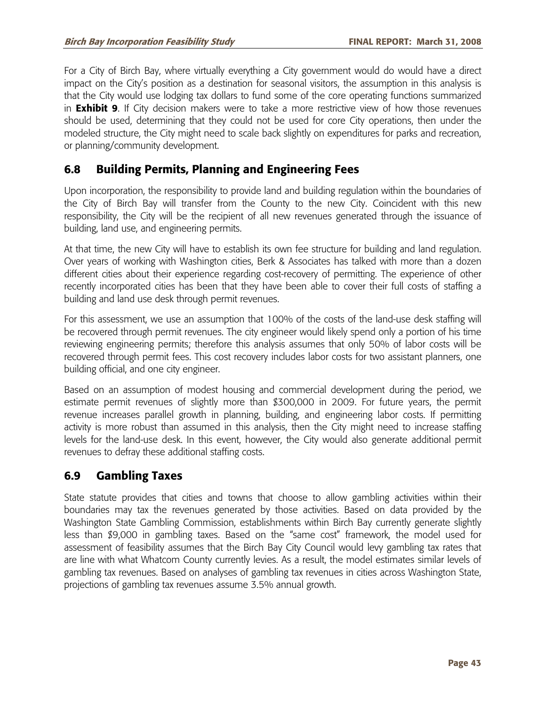For a City of Birch Bay, where virtually everything a City government would do would have a direct impact on the City's position as a destination for seasonal visitors, the assumption in this analysis is that the City would use lodging tax dollars to fund some of the core operating functions summarized in **Exhibit 9**. If City decision makers were to take a more restrictive view of how those revenues should be used, determining that they could not be used for core City operations, then under the modeled structure, the City might need to scale back slightly on expenditures for parks and recreation, or planning/community development.

## **6.8 Building Permits, Planning and Engineering Fees**

Upon incorporation, the responsibility to provide land and building regulation within the boundaries of the City of Birch Bay will transfer from the County to the new City. Coincident with this new responsibility, the City will be the recipient of all new revenues generated through the issuance of building, land use, and engineering permits.

At that time, the new City will have to establish its own fee structure for building and land regulation. Over years of working with Washington cities, Berk & Associates has talked with more than a dozen different cities about their experience regarding cost-recovery of permitting. The experience of other recently incorporated cities has been that they have been able to cover their full costs of staffing a building and land use desk through permit revenues.

For this assessment, we use an assumption that 100% of the costs of the land-use desk staffing will be recovered through permit revenues. The city engineer would likely spend only a portion of his time reviewing engineering permits; therefore this analysis assumes that only 50% of labor costs will be recovered through permit fees. This cost recovery includes labor costs for two assistant planners, one building official, and one city engineer.

Based on an assumption of modest housing and commercial development during the period, we estimate permit revenues of slightly more than \$300,000 in 2009. For future years, the permit revenue increases parallel growth in planning, building, and engineering labor costs. If permitting activity is more robust than assumed in this analysis, then the City might need to increase staffing levels for the land-use desk. In this event, however, the City would also generate additional permit revenues to defray these additional staffing costs.

## **6.9 Gambling Taxes**

State statute provides that cities and towns that choose to allow gambling activities within their boundaries may tax the revenues generated by those activities. Based on data provided by the Washington State Gambling Commission, establishments within Birch Bay currently generate slightly less than \$9,000 in gambling taxes. Based on the "same cost" framework, the model used for assessment of feasibility assumes that the Birch Bay City Council would levy gambling tax rates that are line with what Whatcom County currently levies. As a result, the model estimates similar levels of gambling tax revenues. Based on analyses of gambling tax revenues in cities across Washington State, projections of gambling tax revenues assume 3.5% annual growth.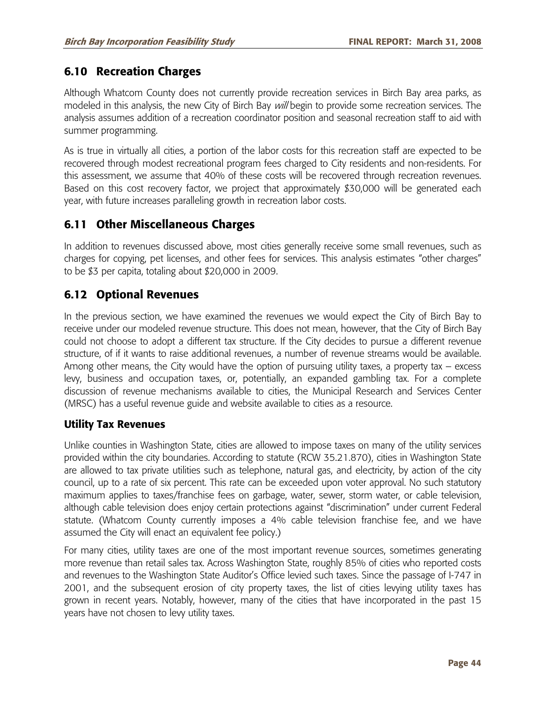# **6.10 Recreation Charges**

Although Whatcom County does not currently provide recreation services in Birch Bay area parks, as modeled in this analysis, the new City of Birch Bay will begin to provide some recreation services. The analysis assumes addition of a recreation coordinator position and seasonal recreation staff to aid with summer programming.

As is true in virtually all cities, a portion of the labor costs for this recreation staff are expected to be recovered through modest recreational program fees charged to City residents and non-residents. For this assessment, we assume that 40% of these costs will be recovered through recreation revenues. Based on this cost recovery factor, we project that approximately \$30,000 will be generated each year, with future increases paralleling growth in recreation labor costs.

# **6.11 Other Miscellaneous Charges**

In addition to revenues discussed above, most cities generally receive some small revenues, such as charges for copying, pet licenses, and other fees for services. This analysis estimates "other charges" to be \$3 per capita, totaling about \$20,000 in 2009.

# **6.12 Optional Revenues**

In the previous section, we have examined the revenues we would expect the City of Birch Bay to receive under our modeled revenue structure. This does not mean, however, that the City of Birch Bay could not choose to adopt a different tax structure. If the City decides to pursue a different revenue structure, of if it wants to raise additional revenues, a number of revenue streams would be available. Among other means, the City would have the option of pursuing utility taxes, a property tax – excess levy, business and occupation taxes, or, potentially, an expanded gambling tax. For a complete discussion of revenue mechanisms available to cities, the Municipal Research and Services Center (MRSC) has a useful revenue guide and website available to cities as a resource.

### **Utility Tax Revenues**

Unlike counties in Washington State, cities are allowed to impose taxes on many of the utility services provided within the city boundaries. According to statute (RCW 35.21.870), cities in Washington State are allowed to tax private utilities such as telephone, natural gas, and electricity, by action of the city council, up to a rate of six percent. This rate can be exceeded upon voter approval. No such statutory maximum applies to taxes/franchise fees on garbage, water, sewer, storm water, or cable television, although cable television does enjoy certain protections against "discrimination" under current Federal statute. (Whatcom County currently imposes a 4% cable television franchise fee, and we have assumed the City will enact an equivalent fee policy.)

For many cities, utility taxes are one of the most important revenue sources, sometimes generating more revenue than retail sales tax. Across Washington State, roughly 85% of cities who reported costs and revenues to the Washington State Auditor's Office levied such taxes. Since the passage of I-747 in 2001, and the subsequent erosion of city property taxes, the list of cities levying utility taxes has grown in recent years. Notably, however, many of the cities that have incorporated in the past 15 years have not chosen to levy utility taxes.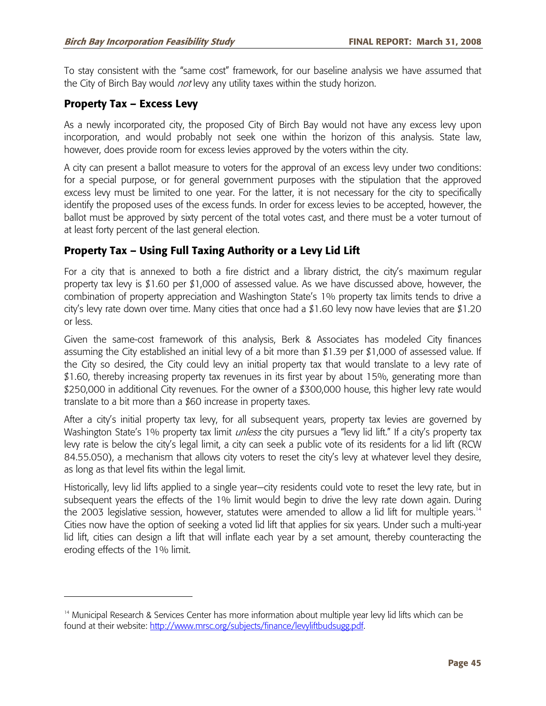To stay consistent with the "same cost" framework, for our baseline analysis we have assumed that the City of Birch Bay would not levy any utility taxes within the study horizon.

#### **Property Tax – Excess Levy**

-

As a newly incorporated city, the proposed City of Birch Bay would not have any excess levy upon incorporation, and would probably not seek one within the horizon of this analysis. State law, however, does provide room for excess levies approved by the voters within the city.

A city can present a ballot measure to voters for the approval of an excess levy under two conditions: for a special purpose, or for general government purposes with the stipulation that the approved excess levy must be limited to one year. For the latter, it is not necessary for the city to specifically identify the proposed uses of the excess funds. In order for excess levies to be accepted, however, the ballot must be approved by sixty percent of the total votes cast, and there must be a voter turnout of at least forty percent of the last general election.

### **Property Tax – Using Full Taxing Authority or a Levy Lid Lift**

For a city that is annexed to both a fire district and a library district, the city's maximum regular property tax levy is \$1.60 per \$1,000 of assessed value. As we have discussed above, however, the combination of property appreciation and Washington State's 1% property tax limits tends to drive a city's levy rate down over time. Many cities that once had a \$1.60 levy now have levies that are \$1.20 or less.

Given the same-cost framework of this analysis, Berk & Associates has modeled City finances assuming the City established an initial levy of a bit more than \$1.39 per \$1,000 of assessed value. If the City so desired, the City could levy an initial property tax that would translate to a levy rate of \$1.60, thereby increasing property tax revenues in its first year by about 15%, generating more than \$250,000 in additional City revenues. For the owner of a \$300,000 house, this higher levy rate would translate to a bit more than a \$60 increase in property taxes.

After a city's initial property tax levy, for all subsequent years, property tax levies are governed by Washington State's 1% property tax limit *unless* the city pursues a "levy lid lift." If a city's property tax levy rate is below the city's legal limit, a city can seek a public vote of its residents for a lid lift (RCW 84.55.050), a mechanism that allows city voters to reset the city's levy at whatever level they desire, as long as that level fits within the legal limit.

Historically, levy lid lifts applied to a single year—city residents could vote to reset the levy rate, but in subsequent years the effects of the 1% limit would begin to drive the levy rate down again. During the 2003 legislative session, however, statutes were amended to allow a lid lift for multiple years.<sup>14</sup> Cities now have the option of seeking a voted lid lift that applies for six years. Under such a multi-year lid lift, cities can design a lift that will inflate each year by a set amount, thereby counteracting the eroding effects of the 1% limit.

<sup>&</sup>lt;sup>14</sup> Municipal Research & Services Center has more information about multiple year levy lid lifts which can be found at their website: http://www.mrsc.org/subjects/finance/levyliftbudsugg.pdf.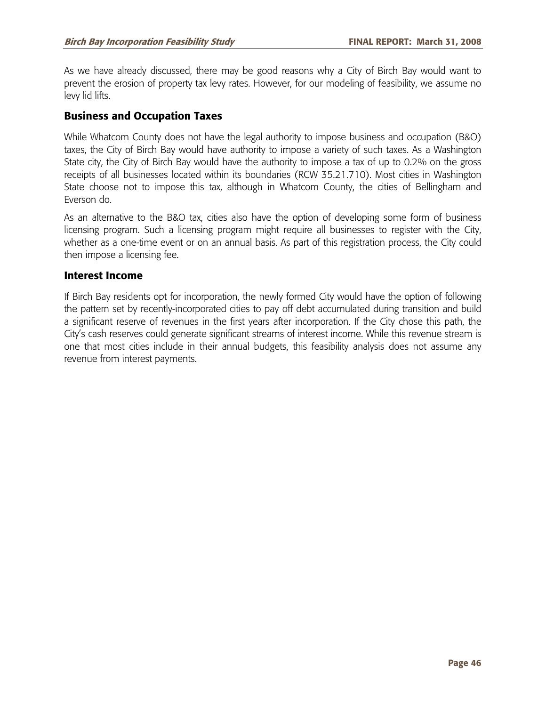As we have already discussed, there may be good reasons why a City of Birch Bay would want to prevent the erosion of property tax levy rates. However, for our modeling of feasibility, we assume no levy lid lifts.

#### **Business and Occupation Taxes**

While Whatcom County does not have the legal authority to impose business and occupation (B&O) taxes, the City of Birch Bay would have authority to impose a variety of such taxes. As a Washington State city, the City of Birch Bay would have the authority to impose a tax of up to 0.2% on the gross receipts of all businesses located within its boundaries (RCW 35.21.710). Most cities in Washington State choose not to impose this tax, although in Whatcom County, the cities of Bellingham and Everson do.

As an alternative to the B&O tax, cities also have the option of developing some form of business licensing program. Such a licensing program might require all businesses to register with the City, whether as a one-time event or on an annual basis. As part of this registration process, the City could then impose a licensing fee.

#### **Interest Income**

If Birch Bay residents opt for incorporation, the newly formed City would have the option of following the pattern set by recently-incorporated cities to pay off debt accumulated during transition and build a significant reserve of revenues in the first years after incorporation. If the City chose this path, the City's cash reserves could generate significant streams of interest income. While this revenue stream is one that most cities include in their annual budgets, this feasibility analysis does not assume any revenue from interest payments.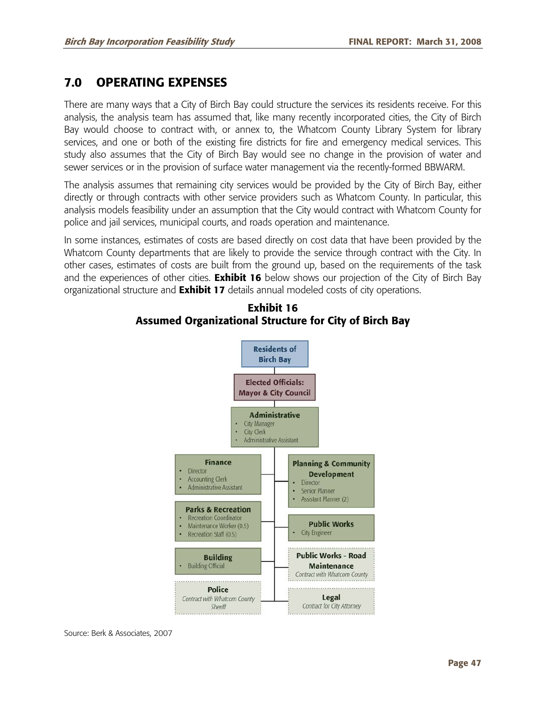# **7.0 OPERATING EXPENSES**

There are many ways that a City of Birch Bay could structure the services its residents receive. For this analysis, the analysis team has assumed that, like many recently incorporated cities, the City of Birch Bay would choose to contract with, or annex to, the Whatcom County Library System for library services, and one or both of the existing fire districts for fire and emergency medical services. This study also assumes that the City of Birch Bay would see no change in the provision of water and sewer services or in the provision of surface water management via the recently-formed BBWARM.

The analysis assumes that remaining city services would be provided by the City of Birch Bay, either directly or through contracts with other service providers such as Whatcom County. In particular, this analysis models feasibility under an assumption that the City would contract with Whatcom County for police and jail services, municipal courts, and roads operation and maintenance.

In some instances, estimates of costs are based directly on cost data that have been provided by the Whatcom County departments that are likely to provide the service through contract with the City. In other cases, estimates of costs are built from the ground up, based on the requirements of the task and the experiences of other cities. **Exhibit 16** below shows our projection of the City of Birch Bay organizational structure and **Exhibit 17** details annual modeled costs of city operations.



## **Exhibit 16 Assumed Organizational Structure for City of Birch Bay**

Source: Berk & Associates, 2007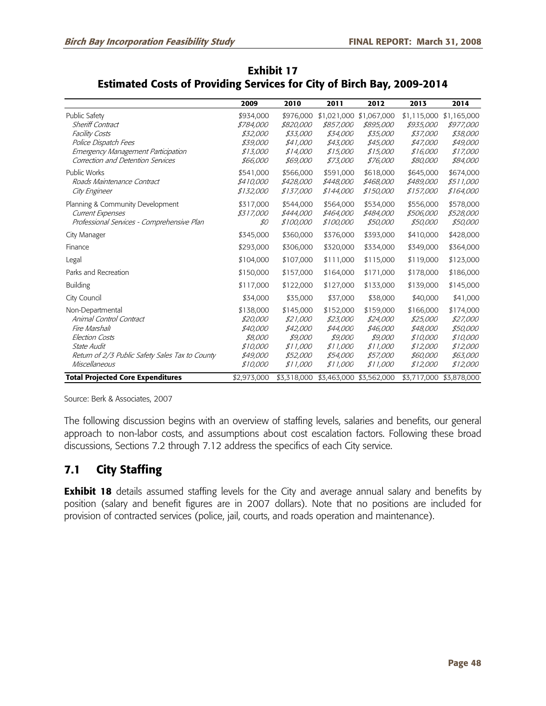|                                                                                                                                                                                    | 2009                                                                             | 2010                                                                             | 2011                                                                             | 2012                                                                                    | 2013                                                                              | 2014                                                                              |
|------------------------------------------------------------------------------------------------------------------------------------------------------------------------------------|----------------------------------------------------------------------------------|----------------------------------------------------------------------------------|----------------------------------------------------------------------------------|-----------------------------------------------------------------------------------------|-----------------------------------------------------------------------------------|-----------------------------------------------------------------------------------|
| <b>Public Safety</b><br><b>Sheriff Contract</b><br><b>Facility Costs</b><br>Police Dispatch Fees<br><b>Emergency Management Participation</b><br>Correction and Detention Services | \$934,000<br><i>\$784,000</i><br>\$32,000<br>\$39,000<br>\$13,000<br>\$66,000    | \$976,000<br>\$820,000<br>\$33,000<br>\$41,000<br>\$14,000<br>\$69,000           | \$1,021,000<br><i>\$857,000</i><br>\$34,000<br>\$43,000<br>\$15,000<br>\$73,000  | \$1,067,000<br>\$895,000<br>\$35,000<br>\$45,000<br>\$15,000<br>\$76,000                | \$1,115,000<br>\$935,000<br>\$37,000<br>\$47,000<br>\$16,000<br>\$80,000          | \$1,165,000<br><i>\$977,000</i><br>\$38,000<br>\$49,000<br>\$17,000<br>\$84,000   |
| <b>Public Works</b><br>Roads Maintenance Contract<br>City Engineer                                                                                                                 | \$541.000<br>\$410,000<br>\$132,000                                              | \$566,000<br>\$428,000<br>\$137,000                                              | \$591,000<br>\$448,000<br>\$144,000                                              | \$618,000<br>\$468,000<br>\$150,000                                                     | \$645.000<br>\$489,000<br>\$157,000                                               | \$674,000<br>\$511,000<br>\$164,000                                               |
| Planning & Community Development<br><b>Current Expenses</b><br>Professional Services - Comprehensive Plan                                                                          | \$317,000<br>\$317,000<br>\$0                                                    | \$544,000<br>\$444,000<br>\$100,000                                              | \$564,000<br>\$464,000<br>\$100,000                                              | \$534,000<br>\$484,000<br>\$50,000                                                      | \$556,000<br>\$506,000<br>\$50,000                                                | \$578,000<br>\$528,000<br>\$50,000                                                |
| City Manager                                                                                                                                                                       | \$345,000                                                                        | \$360,000                                                                        | \$376,000                                                                        | \$393,000                                                                               | \$410,000                                                                         | \$428,000                                                                         |
| Finance                                                                                                                                                                            | \$293,000                                                                        | \$306,000                                                                        | \$320,000                                                                        | \$334,000                                                                               | \$349,000                                                                         | \$364,000                                                                         |
| Legal                                                                                                                                                                              | \$104,000                                                                        | \$107,000                                                                        | \$111,000                                                                        | \$115,000                                                                               | \$119,000                                                                         | \$123,000                                                                         |
| Parks and Recreation                                                                                                                                                               | \$150,000                                                                        | \$157,000                                                                        | \$164,000                                                                        | \$171,000                                                                               | \$178,000                                                                         | \$186,000                                                                         |
| <b>Building</b>                                                                                                                                                                    | \$117,000                                                                        | \$122,000                                                                        | \$127,000                                                                        | \$133,000                                                                               | \$139,000                                                                         | \$145,000                                                                         |
| City Council                                                                                                                                                                       | \$34,000                                                                         | \$35,000                                                                         | \$37,000                                                                         | \$38,000                                                                                | \$40,000                                                                          | \$41,000                                                                          |
| Non-Departmental<br>Animal Control Contract<br>Fire Marshall<br><b>Election Costs</b><br>State Audit<br>Return of 2/3 Public Safety Sales Tax to County<br>Miscellaneous           | \$138,000<br>\$20,000<br>\$40,000<br>\$8,000<br>\$10,000<br>\$49,000<br>\$10,000 | \$145,000<br>\$21,000<br>\$42,000<br>\$9,000<br>\$11,000<br>\$52,000<br>\$11,000 | \$152,000<br>\$23,000<br>\$44,000<br>\$9,000<br>\$11,000<br>\$54,000<br>\$11,000 | \$159,000<br>\$24,000<br>\$46,000<br>\$9,000<br>\$11,000<br><i>\$57,000</i><br>\$11,000 | \$166,000<br>\$25,000<br>\$48,000<br>\$10,000<br>\$12,000<br>\$60,000<br>\$12,000 | \$174,000<br>\$27,000<br>\$50,000<br>\$10,000<br>\$12,000<br>\$63,000<br>\$12,000 |
| <b>Total Projected Core Expenditures</b>                                                                                                                                           | \$2,973,000                                                                      |                                                                                  | \$3,318,000 \$3,463,000 \$3,562,000                                              |                                                                                         |                                                                                   | \$3,717,000 \$3,878,000                                                           |

## **Exhibit 17 Estimated Costs of Providing Services for City of Birch Bay, 2009-2014**

Source: Berk & Associates, 2007

The following discussion begins with an overview of staffing levels, salaries and benefits, our general approach to non-labor costs, and assumptions about cost escalation factors. Following these broad discussions, Sections 7.2 through 7.12 address the specifics of each City service.

# **7.1 City Staffing**

**Exhibit 18** details assumed staffing levels for the City and average annual salary and benefits by position (salary and benefit figures are in 2007 dollars). Note that no positions are included for provision of contracted services (police, jail, courts, and roads operation and maintenance).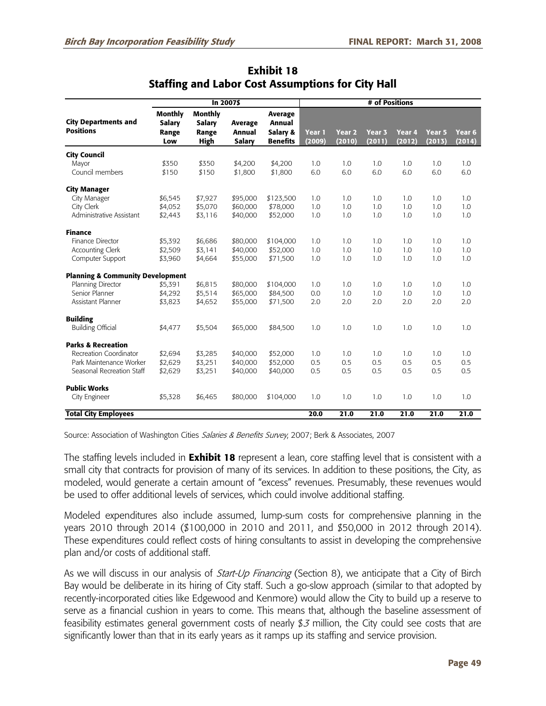|                                                 | In 2007\$                                       |                                                  |                                                  |                                                  | # of Positions   |                             |                             |                  |                             |                             |
|-------------------------------------------------|-------------------------------------------------|--------------------------------------------------|--------------------------------------------------|--------------------------------------------------|------------------|-----------------------------|-----------------------------|------------------|-----------------------------|-----------------------------|
| <b>City Departments and</b><br><b>Positions</b> | <b>Monthly</b><br><b>Salary</b><br>Range<br>Low | <b>Monthly</b><br>Salary<br>Range<br><b>High</b> | <b>Average</b><br><b>Annual</b><br><b>Salary</b> | Average<br>Annual<br>Salary &<br><b>Benefits</b> | Year 1<br>(2009) | Year <sub>2</sub><br>(2010) | Year <sub>3</sub><br>(2011) | Year 4<br>(2012) | Year <sub>5</sub><br>(2013) | Year <sub>6</sub><br>(2014) |
|                                                 |                                                 |                                                  |                                                  |                                                  |                  |                             |                             |                  |                             |                             |
| <b>City Council</b><br>Mayor                    | \$350                                           | \$350                                            | \$4,200                                          | \$4,200                                          | 1.0              | 1.0                         | 1.0                         | 1.0              | 1.0                         | 1.0                         |
| Council members                                 | \$150                                           | \$150                                            | \$1,800                                          | \$1,800                                          | 6.0              | 6.0                         | 6.0                         | 6.0              | 6.0                         | 6.0                         |
| <b>City Manager</b>                             |                                                 |                                                  |                                                  |                                                  |                  |                             |                             |                  |                             |                             |
| City Manager                                    | \$6,545                                         | \$7,927                                          | \$95,000                                         | \$123,500                                        | 1.0              | 1.0                         | 1.0                         | 1.0              | 1.0                         | 1.0                         |
| City Clerk                                      | \$4,052                                         | \$5,070                                          | \$60,000                                         | \$78,000                                         | 1.0              | 1.0                         | 1.0                         | 1.0              | 1.0                         | 1.0                         |
| Administrative Assistant                        | \$2,443                                         | \$3,116                                          | \$40,000                                         | \$52,000                                         | 1.0              | 1.0                         | 1.0                         | 1.0              | 1.0                         | 1.0                         |
| <b>Finance</b>                                  |                                                 |                                                  |                                                  |                                                  |                  |                             |                             |                  |                             |                             |
| Finance Director                                | \$5,392                                         | \$6,686                                          | \$80,000                                         | \$104,000                                        | 1.0              | 1.0                         | 1.0                         | 1.0              | 1.0                         | 1.0                         |
| <b>Accounting Clerk</b>                         | \$2,509                                         | \$3,141                                          | \$40,000                                         | \$52,000                                         | 1.0              | 1.0                         | 1.0                         | 1.0              | 1.0                         | 1.0                         |
| Computer Support                                | \$3,960                                         | \$4,664                                          | \$55,000                                         | \$71,500                                         | 1.0              | 1.0                         | 1.0                         | 1.0              | 1.0                         | 1.0                         |
| <b>Planning &amp; Community Development</b>     |                                                 |                                                  |                                                  |                                                  |                  |                             |                             |                  |                             |                             |
| Planning Director                               | \$5,391                                         | \$6,815                                          | \$80,000                                         | \$104,000                                        | 1.0              | 1.0                         | 1.0                         | 1.0              | 1.0                         | 1.0                         |
| Senior Planner                                  | \$4,292                                         | \$5,514                                          | \$65,000                                         | \$84,500                                         | 0.0              | 1.0                         | 1.0                         | 1.0              | 1.0                         | 1.0                         |
| Assistant Planner                               | \$3,823                                         | \$4,652                                          | \$55,000                                         | \$71,500                                         | 2.0              | 2.0                         | 2.0                         | 2.0              | 2.0                         | 2.0                         |
| <b>Building</b>                                 |                                                 |                                                  |                                                  |                                                  |                  |                             |                             |                  |                             |                             |
| <b>Building Official</b>                        | \$4,477                                         | \$5,504                                          | \$65,000                                         | \$84,500                                         | 1.0              | 1.0                         | 1.0                         | 1.0              | 1.0                         | 1.0                         |
| <b>Parks &amp; Recreation</b>                   |                                                 |                                                  |                                                  |                                                  |                  |                             |                             |                  |                             |                             |
| Recreation Coordinator                          | \$2,694                                         | \$3,285                                          | \$40,000                                         | \$52,000                                         | 1.0              | 1.0                         | 1.0                         | 1.0              | 1.0                         | 1.0                         |
| Park Maintenance Worker                         | \$2,629                                         | \$3,251                                          | \$40,000                                         | \$52,000                                         | 0.5              | 0.5                         | 0.5                         | 0.5              | 0.5                         | 0.5                         |
| Seasonal Recreation Staff                       | \$2,629                                         | \$3,251                                          | \$40,000                                         | \$40,000                                         | 0.5              | 0.5                         | 0.5                         | 0.5              | 0.5                         | 0.5                         |
| <b>Public Works</b>                             |                                                 |                                                  |                                                  |                                                  |                  |                             |                             |                  |                             |                             |
| City Engineer                                   | \$5,328                                         | \$6,465                                          | \$80,000                                         | \$104,000                                        | 1.0              | 1.0                         | 1.0                         | 1.0              | 1.0                         | 1.0                         |
| <b>Total City Employees</b>                     |                                                 |                                                  |                                                  |                                                  | 20.0             | 21.0                        | 21.0                        | 21.0             | 21.0                        | 21.0                        |

### **Exhibit 18 Staffing and Labor Cost Assumptions for City Hall**

Source: Association of Washington Cities Salaries & Benefits Survey, 2007; Berk & Associates, 2007

The staffing levels included in **Exhibit 18** represent a lean, core staffing level that is consistent with a small city that contracts for provision of many of its services. In addition to these positions, the City, as modeled, would generate a certain amount of "excess" revenues. Presumably, these revenues would be used to offer additional levels of services, which could involve additional staffing.

Modeled expenditures also include assumed, lump-sum costs for comprehensive planning in the years 2010 through 2014 (\$100,000 in 2010 and 2011, and \$50,000 in 2012 through 2014). These expenditures could reflect costs of hiring consultants to assist in developing the comprehensive plan and/or costs of additional staff.

As we will discuss in our analysis of *Start-Up Financing* (Section 8), we anticipate that a City of Birch Bay would be deliberate in its hiring of City staff. Such a go-slow approach (similar to that adopted by recently-incorporated cities like Edgewood and Kenmore) would allow the City to build up a reserve to serve as a financial cushion in years to come. This means that, although the baseline assessment of feasibility estimates general government costs of nearly  $$3$  million, the City could see costs that are significantly lower than that in its early years as it ramps up its staffing and service provision.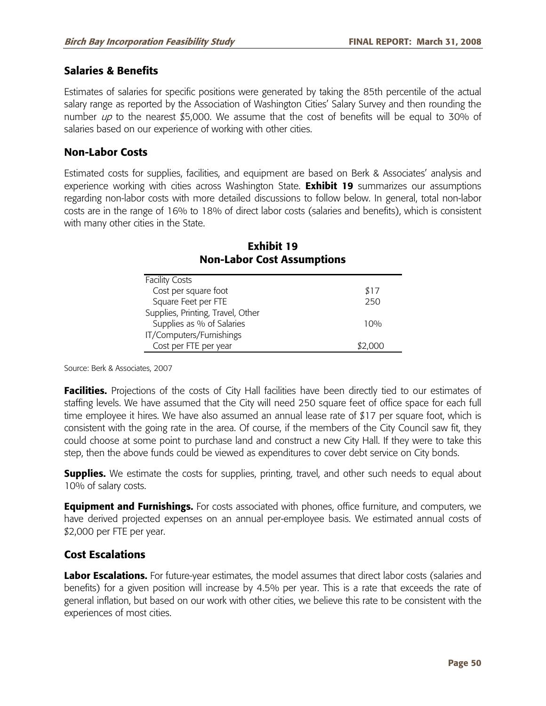### **Salaries & Benefits**

Estimates of salaries for specific positions were generated by taking the 85th percentile of the actual salary range as reported by the Association of Washington Cities' Salary Survey and then rounding the number  $\mu p$  to the nearest \$5,000. We assume that the cost of benefits will be equal to 30% of salaries based on our experience of working with other cities.

#### **Non-Labor Costs**

Estimated costs for supplies, facilities, and equipment are based on Berk & Associates' analysis and experience working with cities across Washington State. **Exhibit 19** summarizes our assumptions regarding non-labor costs with more detailed discussions to follow below. In general, total non-labor costs are in the range of 16% to 18% of direct labor costs (salaries and benefits), which is consistent with many other cities in the State.

| <b>Facility Costs</b>             |      |
|-----------------------------------|------|
| Cost per square foot              | \$17 |
| Square Feet per FTE               | 250  |
| Supplies, Printing, Travel, Other |      |
| Supplies as % of Salaries         | 10%  |
| IT/Computers/Furnishings          |      |
| Cost per FTE per year             |      |

## **Exhibit 19 Non-Labor Cost Assumptions**

Source: Berk & Associates, 2007

**Facilities.** Projections of the costs of City Hall facilities have been directly tied to our estimates of staffing levels. We have assumed that the City will need 250 square feet of office space for each full time employee it hires. We have also assumed an annual lease rate of \$17 per square foot, which is consistent with the going rate in the area. Of course, if the members of the City Council saw fit, they could choose at some point to purchase land and construct a new City Hall. If they were to take this step, then the above funds could be viewed as expenditures to cover debt service on City bonds.

**Supplies.** We estimate the costs for supplies, printing, travel, and other such needs to equal about 10% of salary costs.

**Equipment and Furnishings.** For costs associated with phones, office furniture, and computers, we have derived projected expenses on an annual per-employee basis. We estimated annual costs of \$2,000 per FTE per year.

### **Cost Escalations**

**Labor Escalations.** For future-year estimates, the model assumes that direct labor costs (salaries and benefits) for a given position will increase by 4.5% per year. This is a rate that exceeds the rate of general inflation, but based on our work with other cities, we believe this rate to be consistent with the experiences of most cities.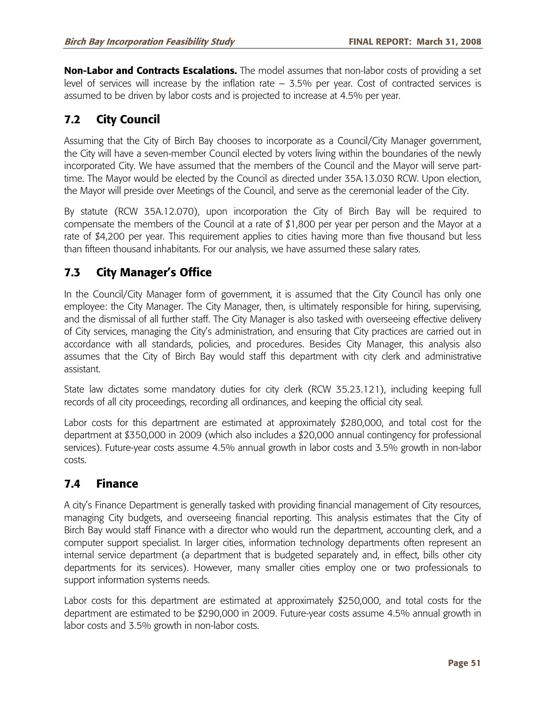**Non-Labor and Contracts Escalations.** The model assumes that non-labor costs of providing a set level of services will increase by the inflation rate – 3.5% per year. Cost of contracted services is assumed to be driven by labor costs and is projected to increase at 4.5% per year.

# **7.2 City Council**

Assuming that the City of Birch Bay chooses to incorporate as a Council/City Manager government, the City will have a seven-member Council elected by voters living within the boundaries of the newly incorporated City. We have assumed that the members of the Council and the Mayor will serve parttime. The Mayor would be elected by the Council as directed under 35A.13.030 RCW. Upon election, the Mayor will preside over Meetings of the Council, and serve as the ceremonial leader of the City.

By statute (RCW 35A.12.070), upon incorporation the City of Birch Bay will be required to compensate the members of the Council at a rate of \$1,800 per year per person and the Mayor at a rate of \$4,200 per year. This requirement applies to cities having more than five thousand but less than fifteen thousand inhabitants. For our analysis, we have assumed these salary rates.

# **7.3 City Manager's Office**

In the Council/City Manager form of government, it is assumed that the City Council has only one employee: the City Manager. The City Manager, then, is ultimately responsible for hiring, supervising, and the dismissal of all further staff. The City Manager is also tasked with overseeing effective delivery of City services, managing the City's administration, and ensuring that City practices are carried out in accordance with all standards, policies, and procedures. Besides City Manager, this analysis also assumes that the City of Birch Bay would staff this department with city clerk and administrative assistant.

State law dictates some mandatory duties for city clerk (RCW 35.23.121), including keeping full records of all city proceedings, recording all ordinances, and keeping the official city seal.

Labor costs for this department are estimated at approximately \$280,000, and total cost for the department at \$350,000 in 2009 (which also includes a \$20,000 annual contingency for professional services). Future-year costs assume 4.5% annual growth in labor costs and 3.5% growth in non-labor costs.

# **7.4 Finance**

A city's Finance Department is generally tasked with providing financial management of City resources, managing City budgets, and overseeing financial reporting. This analysis estimates that the City of Birch Bay would staff Finance with a director who would run the department, accounting clerk, and a computer support specialist. In larger cities, information technology departments often represent an internal service department (a department that is budgeted separately and, in effect, bills other city departments for its services). However, many smaller cities employ one or two professionals to support information systems needs.

Labor costs for this department are estimated at approximately \$250,000, and total costs for the department are estimated to be \$290,000 in 2009. Future-year costs assume 4.5% annual growth in labor costs and 3.5% growth in non-labor costs.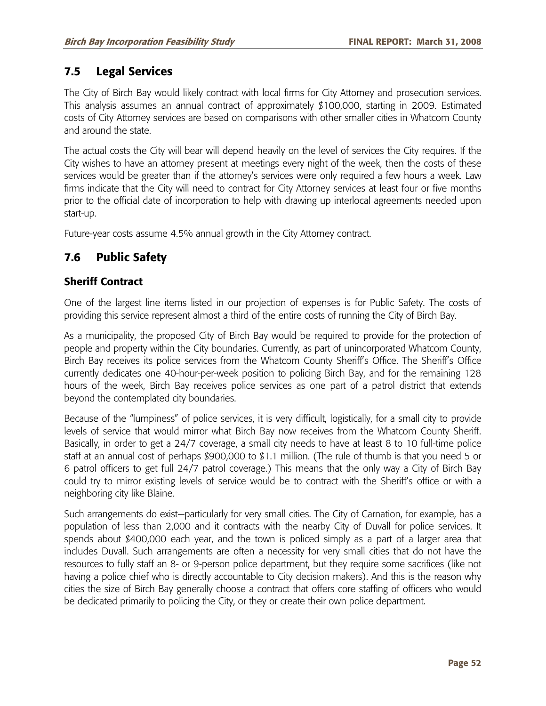# **7.5 Legal Services**

The City of Birch Bay would likely contract with local firms for City Attorney and prosecution services. This analysis assumes an annual contract of approximately \$100,000, starting in 2009. Estimated costs of City Attorney services are based on comparisons with other smaller cities in Whatcom County and around the state.

The actual costs the City will bear will depend heavily on the level of services the City requires. If the City wishes to have an attorney present at meetings every night of the week, then the costs of these services would be greater than if the attorney's services were only required a few hours a week. Law firms indicate that the City will need to contract for City Attorney services at least four or five months prior to the official date of incorporation to help with drawing up interlocal agreements needed upon start-up.

Future-year costs assume 4.5% annual growth in the City Attorney contract.

# **7.6 Public Safety**

### **Sheriff Contract**

One of the largest line items listed in our projection of expenses is for Public Safety. The costs of providing this service represent almost a third of the entire costs of running the City of Birch Bay.

As a municipality, the proposed City of Birch Bay would be required to provide for the protection of people and property within the City boundaries. Currently, as part of unincorporated Whatcom County, Birch Bay receives its police services from the Whatcom County Sheriff's Office. The Sheriff's Office currently dedicates one 40-hour-per-week position to policing Birch Bay, and for the remaining 128 hours of the week, Birch Bay receives police services as one part of a patrol district that extends beyond the contemplated city boundaries.

Because of the "lumpiness" of police services, it is very difficult, logistically, for a small city to provide levels of service that would mirror what Birch Bay now receives from the Whatcom County Sheriff. Basically, in order to get a 24/7 coverage, a small city needs to have at least 8 to 10 full-time police staff at an annual cost of perhaps \$900,000 to \$1.1 million. (The rule of thumb is that you need 5 or 6 patrol officers to get full 24/7 patrol coverage.) This means that the only way a City of Birch Bay could try to mirror existing levels of service would be to contract with the Sheriff's office or with a neighboring city like Blaine.

Such arrangements do exist—particularly for very small cities. The City of Carnation, for example, has a population of less than 2,000 and it contracts with the nearby City of Duvall for police services. It spends about \$400,000 each year, and the town is policed simply as a part of a larger area that includes Duvall. Such arrangements are often a necessity for very small cities that do not have the resources to fully staff an 8- or 9-person police department, but they require some sacrifices (like not having a police chief who is directly accountable to City decision makers). And this is the reason why cities the size of Birch Bay generally choose a contract that offers core staffing of officers who would be dedicated primarily to policing the City, or they or create their own police department.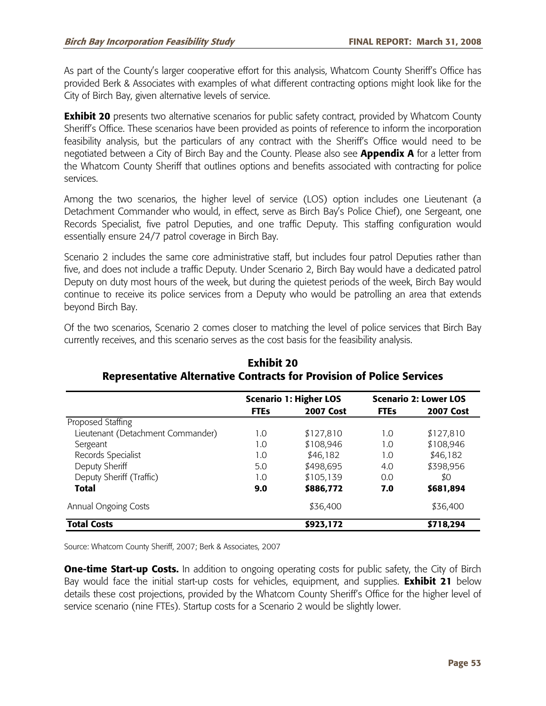As part of the County's larger cooperative effort for this analysis, Whatcom County Sheriff's Office has provided Berk & Associates with examples of what different contracting options might look like for the City of Birch Bay, given alternative levels of service.

**Exhibit 20** presents two alternative scenarios for public safety contract, provided by Whatcom County Sheriff's Office. These scenarios have been provided as points of reference to inform the incorporation feasibility analysis, but the particulars of any contract with the Sheriff's Office would need to be negotiated between a City of Birch Bay and the County. Please also see **Appendix A** for a letter from the Whatcom County Sheriff that outlines options and benefits associated with contracting for police services.

Among the two scenarios, the higher level of service (LOS) option includes one Lieutenant (a Detachment Commander who would, in effect, serve as Birch Bay's Police Chief), one Sergeant, one Records Specialist, five patrol Deputies, and one traffic Deputy. This staffing configuration would essentially ensure 24/7 patrol coverage in Birch Bay.

Scenario 2 includes the same core administrative staff, but includes four patrol Deputies rather than five, and does not include a traffic Deputy. Under Scenario 2, Birch Bay would have a dedicated patrol Deputy on duty most hours of the week, but during the quietest periods of the week, Birch Bay would continue to receive its police services from a Deputy who would be patrolling an area that extends beyond Birch Bay.

Of the two scenarios, Scenario 2 comes closer to matching the level of police services that Birch Bay currently receives, and this scenario serves as the cost basis for the feasibility analysis.

|                                   |             | <b>Scenario 1: Higher LOS</b> | <b>Scenario 2: Lower LOS</b> |                  |  |
|-----------------------------------|-------------|-------------------------------|------------------------------|------------------|--|
|                                   | <b>FTEs</b> | <b>2007 Cost</b>              | <b>FTEs</b>                  | <b>2007 Cost</b> |  |
| Proposed Staffing                 |             |                               |                              |                  |  |
| Lieutenant (Detachment Commander) | 1.0         | \$127,810                     | 1.0                          | \$127,810        |  |
| Sergeant                          | 1.0         | \$108,946                     | 1.0                          | \$108,946        |  |
| Records Specialist                | 1.0         | \$46,182                      | 1.0                          | \$46,182         |  |
| Deputy Sheriff                    | 5.0         | \$498,695                     | 4.0                          | \$398,956        |  |
| Deputy Sheriff (Traffic)          | 1.0         | \$105,139                     | 0.0                          | \$0              |  |
| <b>Total</b>                      | 9.0         | \$886,772                     | 7.0                          | \$681,894        |  |
| Annual Ongoing Costs              |             | \$36,400                      |                              | \$36,400         |  |
| <b>Total Costs</b>                |             | \$923,172                     |                              | \$718,294        |  |

**Exhibit 20 Representative Alternative Contracts for Provision of Police Services** 

Source: Whatcom County Sheriff, 2007; Berk & Associates, 2007

**One-time Start-up Costs.** In addition to ongoing operating costs for public safety, the City of Birch Bay would face the initial start-up costs for vehicles, equipment, and supplies. **Exhibit 21** below details these cost projections, provided by the Whatcom County Sheriff's Office for the higher level of service scenario (nine FTEs). Startup costs for a Scenario 2 would be slightly lower.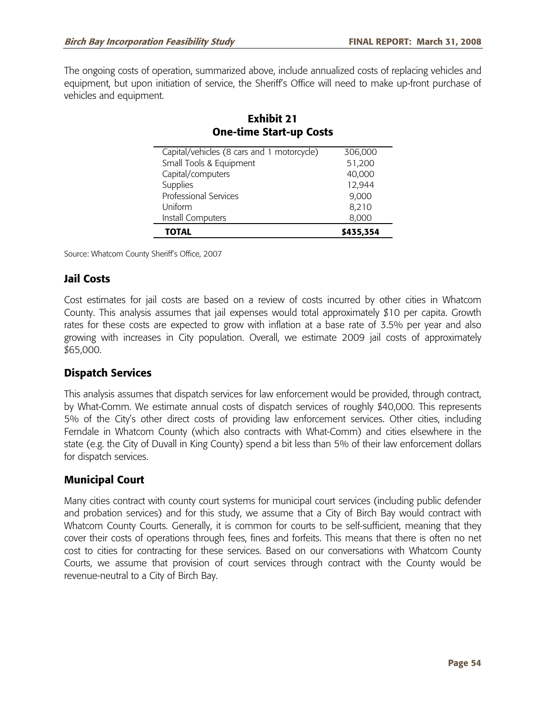The ongoing costs of operation, summarized above, include annualized costs of replacing vehicles and equipment, but upon initiation of service, the Sheriff's Office will need to make up-front purchase of vehicles and equipment.

| <b>One-time Start-up Costs</b>             |           |
|--------------------------------------------|-----------|
| Capital/vehicles (8 cars and 1 motorcycle) | 306,000   |
| Small Tools & Equipment                    | 51,200    |
| Capital/computers                          | 40,000    |
| Supplies                                   | 12,944    |
| <b>Professional Services</b>               | 9,000     |
| Uniform                                    | 8,210     |
| Install Computers                          | 8,000     |
| TOTAL                                      | \$435,354 |

# **Exhibit 21 One-time Start-up Costs**

Source: Whatcom County Sheriff's Office, 2007

## **Jail Costs**

Cost estimates for jail costs are based on a review of costs incurred by other cities in Whatcom County. This analysis assumes that jail expenses would total approximately \$10 per capita. Growth rates for these costs are expected to grow with inflation at a base rate of 3.5% per year and also growing with increases in City population. Overall, we estimate 2009 jail costs of approximately \$65,000.

## **Dispatch Services**

This analysis assumes that dispatch services for law enforcement would be provided, through contract, by What-Comm. We estimate annual costs of dispatch services of roughly \$40,000. This represents 5% of the City's other direct costs of providing law enforcement services. Other cities, including Ferndale in Whatcom County (which also contracts with What-Comm) and cities elsewhere in the state (e.g. the City of Duvall in King County) spend a bit less than 5% of their law enforcement dollars for dispatch services.

## **Municipal Court**

Many cities contract with county court systems for municipal court services (including public defender and probation services) and for this study, we assume that a City of Birch Bay would contract with Whatcom County Courts. Generally, it is common for courts to be self-sufficient, meaning that they cover their costs of operations through fees, fines and forfeits. This means that there is often no net cost to cities for contracting for these services. Based on our conversations with Whatcom County Courts, we assume that provision of court services through contract with the County would be revenue-neutral to a City of Birch Bay.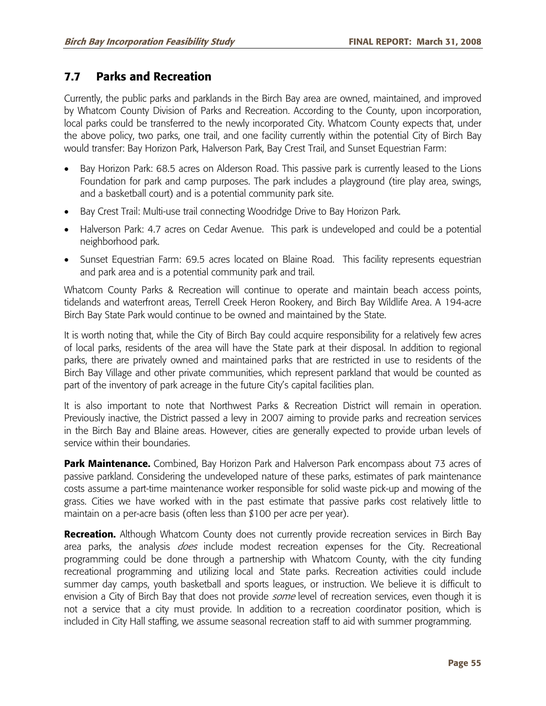# **7.7 Parks and Recreation**

Currently, the public parks and parklands in the Birch Bay area are owned, maintained, and improved by Whatcom County Division of Parks and Recreation. According to the County, upon incorporation, local parks could be transferred to the newly incorporated City. Whatcom County expects that, under the above policy, two parks, one trail, and one facility currently within the potential City of Birch Bay would transfer: Bay Horizon Park, Halverson Park, Bay Crest Trail, and Sunset Equestrian Farm:

- Bay Horizon Park: 68.5 acres on Alderson Road. This passive park is currently leased to the Lions Foundation for park and camp purposes. The park includes a playground (tire play area, swings, and a basketball court) and is a potential community park site.
- Bay Crest Trail: Multi-use trail connecting Woodridge Drive to Bay Horizon Park.
- Halverson Park: 4.7 acres on Cedar Avenue. This park is undeveloped and could be a potential neighborhood park.
- Sunset Equestrian Farm: 69.5 acres located on Blaine Road. This facility represents equestrian and park area and is a potential community park and trail.

Whatcom County Parks & Recreation will continue to operate and maintain beach access points, tidelands and waterfront areas, Terrell Creek Heron Rookery, and Birch Bay Wildlife Area. A 194-acre Birch Bay State Park would continue to be owned and maintained by the State.

It is worth noting that, while the City of Birch Bay could acquire responsibility for a relatively few acres of local parks, residents of the area will have the State park at their disposal. In addition to regional parks, there are privately owned and maintained parks that are restricted in use to residents of the Birch Bay Village and other private communities, which represent parkland that would be counted as part of the inventory of park acreage in the future City's capital facilities plan.

It is also important to note that Northwest Parks & Recreation District will remain in operation. Previously inactive, the District passed a levy in 2007 aiming to provide parks and recreation services in the Birch Bay and Blaine areas. However, cities are generally expected to provide urban levels of service within their boundaries.

**Park Maintenance.** Combined, Bay Horizon Park and Halverson Park encompass about 73 acres of passive parkland. Considering the undeveloped nature of these parks, estimates of park maintenance costs assume a part-time maintenance worker responsible for solid waste pick-up and mowing of the grass. Cities we have worked with in the past estimate that passive parks cost relatively little to maintain on a per-acre basis (often less than \$100 per acre per year).

**Recreation.** Although Whatcom County does not currently provide recreation services in Birch Bay area parks, the analysis *does* include modest recreation expenses for the City. Recreational programming could be done through a partnership with Whatcom County, with the city funding recreational programming and utilizing local and State parks. Recreation activities could include summer day camps, youth basketball and sports leagues, or instruction. We believe it is difficult to envision a City of Birch Bay that does not provide *some* level of recreation services, even though it is not a service that a city must provide. In addition to a recreation coordinator position, which is included in City Hall staffing, we assume seasonal recreation staff to aid with summer programming.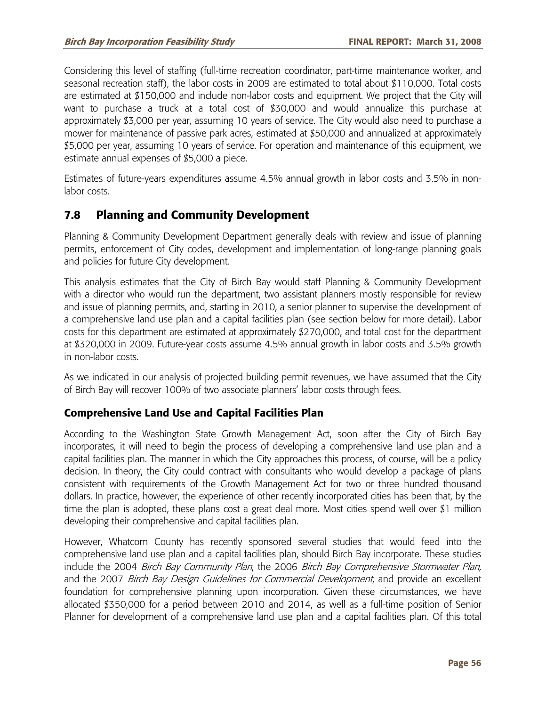Considering this level of staffing (full-time recreation coordinator, part-time maintenance worker, and seasonal recreation staff), the labor costs in 2009 are estimated to total about \$110,000. Total costs are estimated at \$150,000 and include non-labor costs and equipment. We project that the City will want to purchase a truck at a total cost of \$30,000 and would annualize this purchase at approximately \$3,000 per year, assuming 10 years of service. The City would also need to purchase a mower for maintenance of passive park acres, estimated at \$50,000 and annualized at approximately \$5,000 per year, assuming 10 years of service. For operation and maintenance of this equipment, we estimate annual expenses of \$5,000 a piece.

Estimates of future-years expenditures assume 4.5% annual growth in labor costs and 3.5% in nonlabor costs.

# **7.8 Planning and Community Development**

Planning & Community Development Department generally deals with review and issue of planning permits, enforcement of City codes, development and implementation of long-range planning goals and policies for future City development.

This analysis estimates that the City of Birch Bay would staff Planning & Community Development with a director who would run the department, two assistant planners mostly responsible for review and issue of planning permits, and, starting in 2010, a senior planner to supervise the development of a comprehensive land use plan and a capital facilities plan (see section below for more detail). Labor costs for this department are estimated at approximately \$270,000, and total cost for the department at \$320,000 in 2009. Future-year costs assume 4.5% annual growth in labor costs and 3.5% growth in non-labor costs.

As we indicated in our analysis of projected building permit revenues, we have assumed that the City of Birch Bay will recover 100% of two associate planners' labor costs through fees.

### **Comprehensive Land Use and Capital Facilities Plan**

According to the Washington State Growth Management Act, soon after the City of Birch Bay incorporates, it will need to begin the process of developing a comprehensive land use plan and a capital facilities plan. The manner in which the City approaches this process, of course, will be a policy decision. In theory, the City could contract with consultants who would develop a package of plans consistent with requirements of the Growth Management Act for two or three hundred thousand dollars. In practice, however, the experience of other recently incorporated cities has been that, by the time the plan is adopted, these plans cost a great deal more. Most cities spend well over \$1 million developing their comprehensive and capital facilities plan.

However, Whatcom County has recently sponsored several studies that would feed into the comprehensive land use plan and a capital facilities plan, should Birch Bay incorporate. These studies include the 2004 Birch Bay Community Plan, the 2006 Birch Bay Comprehensive Stormwater Plan, and the 2007 Birch Bay Design Guidelines for Commercial Development, and provide an excellent foundation for comprehensive planning upon incorporation. Given these circumstances, we have allocated \$350,000 for a period between 2010 and 2014, as well as a full-time position of Senior Planner for development of a comprehensive land use plan and a capital facilities plan. Of this total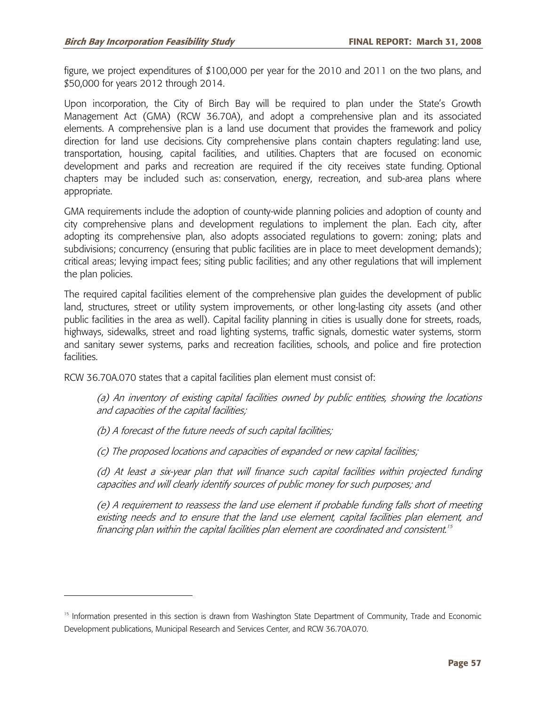figure, we project expenditures of \$100,000 per year for the 2010 and 2011 on the two plans, and \$50,000 for years 2012 through 2014.

Upon incorporation, the City of Birch Bay will be required to plan under the State's Growth Management Act (GMA) (RCW 36.70A), and adopt a comprehensive plan and its associated elements. A comprehensive plan is a land use document that provides the framework and policy direction for land use decisions. City comprehensive plans contain chapters regulating: land use, transportation, housing, capital facilities, and utilities. Chapters that are focused on economic development and parks and recreation are required if the city receives state funding. Optional chapters may be included such as: conservation, energy, recreation, and sub-area plans where appropriate.

GMA requirements include the adoption of county-wide planning policies and adoption of county and city comprehensive plans and development regulations to implement the plan. Each city, after adopting its comprehensive plan, also adopts associated regulations to govern: zoning; plats and subdivisions; concurrency (ensuring that public facilities are in place to meet development demands); critical areas; levying impact fees; siting public facilities; and any other regulations that will implement the plan policies.

The required capital facilities element of the comprehensive plan guides the development of public land, structures, street or utility system improvements, or other long-lasting city assets (and other public facilities in the area as well). Capital facility planning in cities is usually done for streets, roads, highways, sidewalks, street and road lighting systems, traffic signals, domestic water systems, storm and sanitary sewer systems, parks and recreation facilities, schools, and police and fire protection facilities.

RCW 36.70A.070 states that a capital facilities plan element must consist of:

(a) An inventory of existing capital facilities owned by public entities, showing the locations and capacities of the capital facilities;

(b) A forecast of the future needs of such capital facilities;

-

(c) The proposed locations and capacities of expanded or new capital facilities;

(d) At least a six-year plan that will finance such capital facilities within projected funding capacities and will clearly identify sources of public money for such purposes; and

(e) A requirement to reassess the land use element if probable funding falls short of meeting existing needs and to ensure that the land use element, capital facilities plan element, and financing plan within the capital facilities plan element are coordinated and consistent.<sup>15</sup>

<sup>&</sup>lt;sup>15</sup> Information presented in this section is drawn from Washington State Department of Community, Trade and Economic Development publications, Municipal Research and Services Center, and RCW 36.70A.070.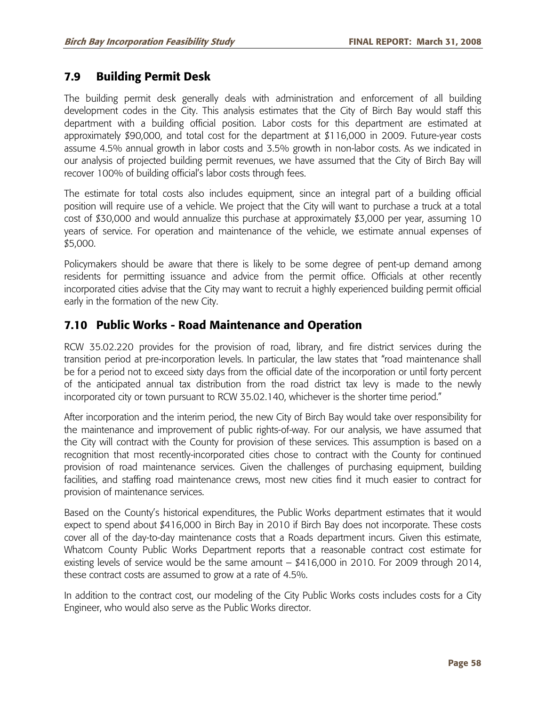# **7.9 Building Permit Desk**

The building permit desk generally deals with administration and enforcement of all building development codes in the City. This analysis estimates that the City of Birch Bay would staff this department with a building official position. Labor costs for this department are estimated at approximately \$90,000, and total cost for the department at \$116,000 in 2009. Future-year costs assume 4.5% annual growth in labor costs and 3.5% growth in non-labor costs. As we indicated in our analysis of projected building permit revenues, we have assumed that the City of Birch Bay will recover 100% of building official's labor costs through fees.

The estimate for total costs also includes equipment, since an integral part of a building official position will require use of a vehicle. We project that the City will want to purchase a truck at a total cost of \$30,000 and would annualize this purchase at approximately \$3,000 per year, assuming 10 years of service. For operation and maintenance of the vehicle, we estimate annual expenses of \$5,000.

Policymakers should be aware that there is likely to be some degree of pent-up demand among residents for permitting issuance and advice from the permit office. Officials at other recently incorporated cities advise that the City may want to recruit a highly experienced building permit official early in the formation of the new City.

## **7.10 Public Works - Road Maintenance and Operation**

RCW 35.02.220 provides for the provision of road, library, and fire district services during the transition period at pre-incorporation levels. In particular, the law states that "road maintenance shall be for a period not to exceed sixty days from the official date of the incorporation or until forty percent of the anticipated annual tax distribution from the road district tax levy is made to the newly incorporated city or town pursuant to RCW 35.02.140, whichever is the shorter time period."

After incorporation and the interim period, the new City of Birch Bay would take over responsibility for the maintenance and improvement of public rights-of-way. For our analysis, we have assumed that the City will contract with the County for provision of these services. This assumption is based on a recognition that most recently-incorporated cities chose to contract with the County for continued provision of road maintenance services. Given the challenges of purchasing equipment, building facilities, and staffing road maintenance crews, most new cities find it much easier to contract for provision of maintenance services.

Based on the County's historical expenditures, the Public Works department estimates that it would expect to spend about \$416,000 in Birch Bay in 2010 if Birch Bay does not incorporate. These costs cover all of the day-to-day maintenance costs that a Roads department incurs. Given this estimate, Whatcom County Public Works Department reports that a reasonable contract cost estimate for existing levels of service would be the same amount – \$416,000 in 2010. For 2009 through 2014, these contract costs are assumed to grow at a rate of 4.5%.

In addition to the contract cost, our modeling of the City Public Works costs includes costs for a City Engineer, who would also serve as the Public Works director.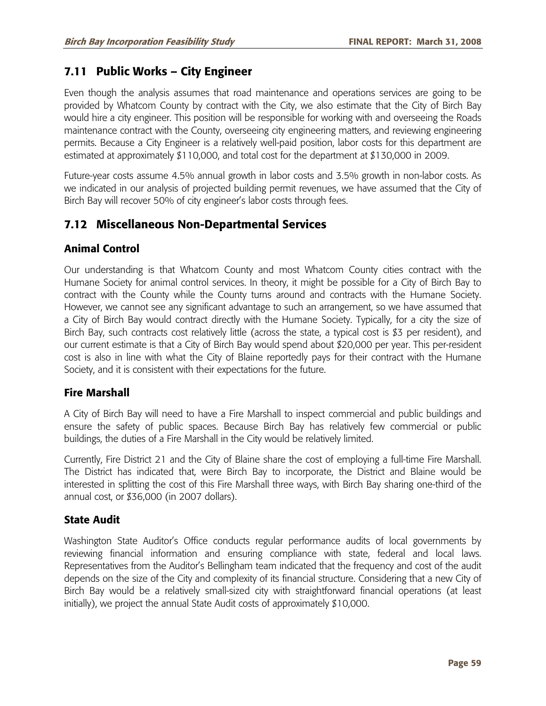# **7.11 Public Works – City Engineer**

Even though the analysis assumes that road maintenance and operations services are going to be provided by Whatcom County by contract with the City, we also estimate that the City of Birch Bay would hire a city engineer. This position will be responsible for working with and overseeing the Roads maintenance contract with the County, overseeing city engineering matters, and reviewing engineering permits. Because a City Engineer is a relatively well-paid position, labor costs for this department are estimated at approximately \$110,000, and total cost for the department at \$130,000 in 2009.

Future-year costs assume 4.5% annual growth in labor costs and 3.5% growth in non-labor costs. As we indicated in our analysis of projected building permit revenues, we have assumed that the City of Birch Bay will recover 50% of city engineer's labor costs through fees.

# **7.12 Miscellaneous Non-Departmental Services**

### **Animal Control**

Our understanding is that Whatcom County and most Whatcom County cities contract with the Humane Society for animal control services. In theory, it might be possible for a City of Birch Bay to contract with the County while the County turns around and contracts with the Humane Society. However, we cannot see any significant advantage to such an arrangement, so we have assumed that a City of Birch Bay would contract directly with the Humane Society. Typically, for a city the size of Birch Bay, such contracts cost relatively little (across the state, a typical cost is \$3 per resident), and our current estimate is that a City of Birch Bay would spend about \$20,000 per year. This per-resident cost is also in line with what the City of Blaine reportedly pays for their contract with the Humane Society, and it is consistent with their expectations for the future.

#### **Fire Marshall**

A City of Birch Bay will need to have a Fire Marshall to inspect commercial and public buildings and ensure the safety of public spaces. Because Birch Bay has relatively few commercial or public buildings, the duties of a Fire Marshall in the City would be relatively limited.

Currently, Fire District 21 and the City of Blaine share the cost of employing a full-time Fire Marshall. The District has indicated that, were Birch Bay to incorporate, the District and Blaine would be interested in splitting the cost of this Fire Marshall three ways, with Birch Bay sharing one-third of the annual cost, or \$36,000 (in 2007 dollars).

### **State Audit**

Washington State Auditor's Office conducts regular performance audits of local governments by reviewing financial information and ensuring compliance with state, federal and local laws. Representatives from the Auditor's Bellingham team indicated that the frequency and cost of the audit depends on the size of the City and complexity of its financial structure. Considering that a new City of Birch Bay would be a relatively small-sized city with straightforward financial operations (at least initially), we project the annual State Audit costs of approximately \$10,000.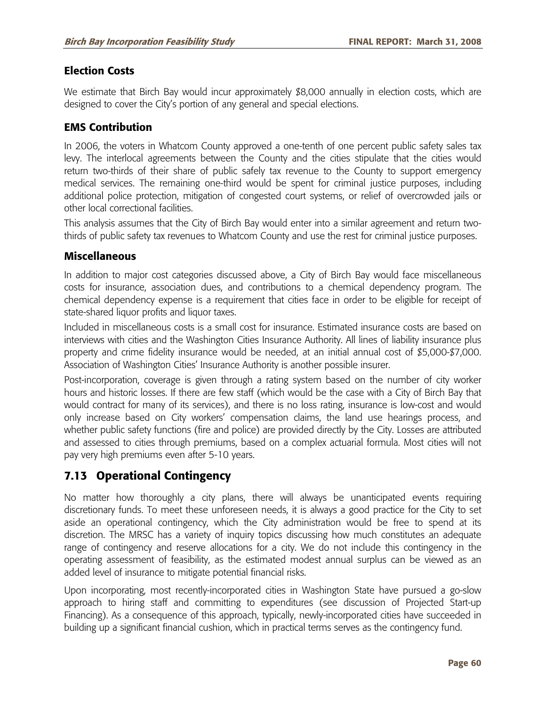#### **Election Costs**

We estimate that Birch Bay would incur approximately \$8,000 annually in election costs, which are designed to cover the City's portion of any general and special elections.

#### **EMS Contribution**

In 2006, the voters in Whatcom County approved a one-tenth of one percent public safety sales tax levy. The interlocal agreements between the County and the cities stipulate that the cities would return two-thirds of their share of public safely tax revenue to the County to support emergency medical services. The remaining one-third would be spent for criminal justice purposes, including additional police protection, mitigation of congested court systems, or relief of overcrowded jails or other local correctional facilities.

This analysis assumes that the City of Birch Bay would enter into a similar agreement and return twothirds of public safety tax revenues to Whatcom County and use the rest for criminal justice purposes.

#### **Miscellaneous**

In addition to major cost categories discussed above, a City of Birch Bay would face miscellaneous costs for insurance, association dues, and contributions to a chemical dependency program. The chemical dependency expense is a requirement that cities face in order to be eligible for receipt of state-shared liquor profits and liquor taxes.

Included in miscellaneous costs is a small cost for insurance. Estimated insurance costs are based on interviews with cities and the Washington Cities Insurance Authority. All lines of liability insurance plus property and crime fidelity insurance would be needed, at an initial annual cost of \$5,000-\$7,000. Association of Washington Cities' Insurance Authority is another possible insurer.

Post-incorporation, coverage is given through a rating system based on the number of city worker hours and historic losses. If there are few staff (which would be the case with a City of Birch Bay that would contract for many of its services), and there is no loss rating, insurance is low-cost and would only increase based on City workers' compensation claims, the land use hearings process, and whether public safety functions (fire and police) are provided directly by the City. Losses are attributed and assessed to cities through premiums, based on a complex actuarial formula. Most cities will not pay very high premiums even after 5-10 years.

# **7.13 Operational Contingency**

No matter how thoroughly a city plans, there will always be unanticipated events requiring discretionary funds. To meet these unforeseen needs, it is always a good practice for the City to set aside an operational contingency, which the City administration would be free to spend at its discretion. The MRSC has a variety of inquiry topics discussing how much constitutes an adequate range of contingency and reserve allocations for a city. We do not include this contingency in the operating assessment of feasibility, as the estimated modest annual surplus can be viewed as an added level of insurance to mitigate potential financial risks.

Upon incorporating, most recently-incorporated cities in Washington State have pursued a go-slow approach to hiring staff and committing to expenditures (see discussion of Projected Start-up Financing). As a consequence of this approach, typically, newly-incorporated cities have succeeded in building up a significant financial cushion, which in practical terms serves as the contingency fund.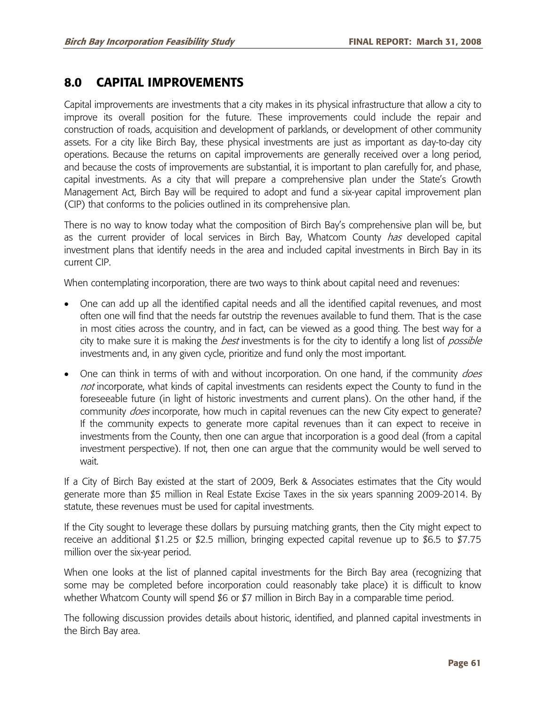# **8.0 CAPITAL IMPROVEMENTS**

Capital improvements are investments that a city makes in its physical infrastructure that allow a city to improve its overall position for the future. These improvements could include the repair and construction of roads, acquisition and development of parklands, or development of other community assets. For a city like Birch Bay, these physical investments are just as important as day-to-day city operations. Because the returns on capital improvements are generally received over a long period, and because the costs of improvements are substantial, it is important to plan carefully for, and phase, capital investments. As a city that will prepare a comprehensive plan under the State's Growth Management Act, Birch Bay will be required to adopt and fund a six-year capital improvement plan (CIP) that conforms to the policies outlined in its comprehensive plan.

There is no way to know today what the composition of Birch Bay's comprehensive plan will be, but as the current provider of local services in Birch Bay, Whatcom County *has* developed capital investment plans that identify needs in the area and included capital investments in Birch Bay in its current CIP.

When contemplating incorporation, there are two ways to think about capital need and revenues:

- One can add up all the identified capital needs and all the identified capital revenues, and most often one will find that the needs far outstrip the revenues available to fund them. That is the case in most cities across the country, and in fact, can be viewed as a good thing. The best way for a city to make sure it is making the *best* investments is for the city to identify a long list of *possible* investments and, in any given cycle, prioritize and fund only the most important.
- One can think in terms of with and without incorporation. On one hand, if the community *does* not incorporate, what kinds of capital investments can residents expect the County to fund in the foreseeable future (in light of historic investments and current plans). On the other hand, if the community *does* incorporate, how much in capital revenues can the new City expect to generate? If the community expects to generate more capital revenues than it can expect to receive in investments from the County, then one can argue that incorporation is a good deal (from a capital investment perspective). If not, then one can argue that the community would be well served to wait.

If a City of Birch Bay existed at the start of 2009, Berk & Associates estimates that the City would generate more than \$5 million in Real Estate Excise Taxes in the six years spanning 2009-2014. By statute, these revenues must be used for capital investments.

If the City sought to leverage these dollars by pursuing matching grants, then the City might expect to receive an additional \$1.25 or \$2.5 million, bringing expected capital revenue up to \$6.5 to \$7.75 million over the six-year period.

When one looks at the list of planned capital investments for the Birch Bay area (recognizing that some may be completed before incorporation could reasonably take place) it is difficult to know whether Whatcom County will spend \$6 or \$7 million in Birch Bay in a comparable time period.

The following discussion provides details about historic, identified, and planned capital investments in the Birch Bay area.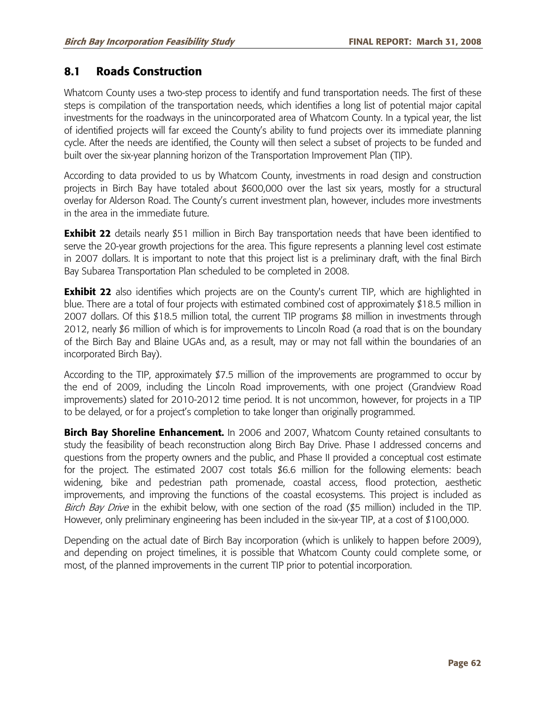## **8.1 Roads Construction**

Whatcom County uses a two-step process to identify and fund transportation needs. The first of these steps is compilation of the transportation needs, which identifies a long list of potential major capital investments for the roadways in the unincorporated area of Whatcom County. In a typical year, the list of identified projects will far exceed the County's ability to fund projects over its immediate planning cycle. After the needs are identified, the County will then select a subset of projects to be funded and built over the six-year planning horizon of the Transportation Improvement Plan (TIP).

According to data provided to us by Whatcom County, investments in road design and construction projects in Birch Bay have totaled about \$600,000 over the last six years, mostly for a structural overlay for Alderson Road. The County's current investment plan, however, includes more investments in the area in the immediate future.

**Exhibit 22** details nearly \$51 million in Birch Bay transportation needs that have been identified to serve the 20-year growth projections for the area. This figure represents a planning level cost estimate in 2007 dollars. It is important to note that this project list is a preliminary draft, with the final Birch Bay Subarea Transportation Plan scheduled to be completed in 2008.

**Exhibit 22** also identifies which projects are on the County's current TIP, which are highlighted in blue. There are a total of four projects with estimated combined cost of approximately \$18.5 million in 2007 dollars. Of this \$18.5 million total, the current TIP programs \$8 million in investments through 2012, nearly \$6 million of which is for improvements to Lincoln Road (a road that is on the boundary of the Birch Bay and Blaine UGAs and, as a result, may or may not fall within the boundaries of an incorporated Birch Bay).

According to the TIP, approximately \$7.5 million of the improvements are programmed to occur by the end of 2009, including the Lincoln Road improvements, with one project (Grandview Road improvements) slated for 2010-2012 time period. It is not uncommon, however, for projects in a TIP to be delayed, or for a project's completion to take longer than originally programmed.

**Birch Bay Shoreline Enhancement.** In 2006 and 2007, Whatcom County retained consultants to study the feasibility of beach reconstruction along Birch Bay Drive. Phase I addressed concerns and questions from the property owners and the public, and Phase II provided a conceptual cost estimate for the project. The estimated 2007 cost totals \$6.6 million for the following elements: beach widening, bike and pedestrian path promenade, coastal access, flood protection, aesthetic improvements, and improving the functions of the coastal ecosystems. This project is included as Birch Bay Drive in the exhibit below, with one section of the road (\$5 million) included in the TIP. However, only preliminary engineering has been included in the six-year TIP, at a cost of \$100,000.

Depending on the actual date of Birch Bay incorporation (which is unlikely to happen before 2009), and depending on project timelines, it is possible that Whatcom County could complete some, or most, of the planned improvements in the current TIP prior to potential incorporation.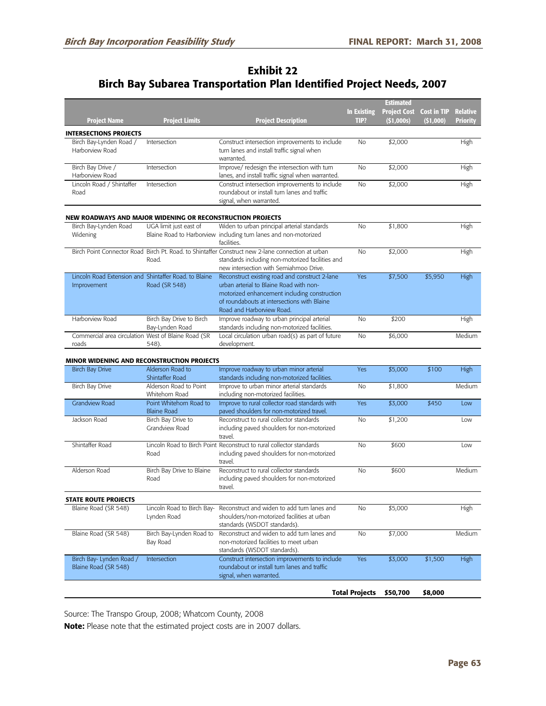## **Exhibit 22 Birch Bay Subarea Transportation Plan Identified Project Needs, 2007**

|                                                                      |                                               |                                                                                                                                                                                                                       |                    | <u>Est</u> imated   |                    |                 |
|----------------------------------------------------------------------|-----------------------------------------------|-----------------------------------------------------------------------------------------------------------------------------------------------------------------------------------------------------------------------|--------------------|---------------------|--------------------|-----------------|
|                                                                      |                                               |                                                                                                                                                                                                                       | <b>In Existing</b> | <b>Project Cost</b> | <b>Cost in TIP</b> | <b>Relative</b> |
| <b>Project Name</b>                                                  | <b>Project Limits</b>                         | <b>Project Description</b>                                                                                                                                                                                            | TIP?               | (51,000s)           | (51,000)           | Priority        |
| <b>INTERSECTIONS PROJECTS</b>                                        |                                               |                                                                                                                                                                                                                       |                    |                     |                    |                 |
| Birch Bay-Lynden Road /<br>Harborview Road                           | Intersection                                  | Construct intersection improvements to include<br>turn lanes and install traffic signal when<br>warranted.                                                                                                            | <b>No</b>          | \$2,000             |                    | High            |
| Birch Bay Drive /<br>Harborview Road                                 | Intersection                                  | Improve/ redesign the intersection with turn<br>lanes, and install traffic signal when warranted.                                                                                                                     | No                 | \$2,000             |                    | High            |
| Lincoln Road / Shintaffer<br>Road                                    | Intersection                                  | Construct intersection improvements to include<br>roundabout or install turn lanes and traffic<br>signal, when warranted.                                                                                             | No                 | \$2,000             |                    | High            |
| NEW ROADWAYS AND MAJOR WIDENING OR RECONSTRUCTION PROJECTS           |                                               |                                                                                                                                                                                                                       |                    |                     |                    |                 |
| Birch Bay-Lynden Road<br>Widening                                    | UGA limit just east of                        | Widen to urban principal arterial standards<br>Blaine Road to Harborview including turn lanes and non-motorized<br>facilities.                                                                                        | <b>No</b>          | \$1,800             |                    | High            |
|                                                                      | Road.                                         | Birch Point Connector Road Birch Pt. Road. to Shintaffer Construct new 2-lane connection at urban<br>standards including non-motorized facilities and<br>new intersection with Semiahmoo Drive.                       | No                 | \$2,000             |                    | High            |
| Lincoln Road Extension and Shintaffer Road. to Blaine<br>Improvement | Road (SR 548)                                 | Reconstruct existing road and construct 2-lane<br>urban arterial to Blaine Road with non-<br>motorized enhancement including construction<br>of roundabouts at intersections with Blaine<br>Road and Harborview Road. | Yes                | \$7,500             | \$5,950            | High            |
| Harborview Road                                                      | Birch Bay Drive to Birch<br>Bay-Lynden Road   | Improve roadway to urban principal arterial<br>standards including non-motorized facilities.                                                                                                                          | <b>No</b>          | \$200               |                    | High            |
| Commercial area circulation West of Blaine Road (SR<br>roads         | 548).                                         | Local circulation urban road(s) as part of future<br>development.                                                                                                                                                     | No                 | \$6,000             |                    | Medium          |
| MINOR WIDENING AND RECONSTRUCTION PROJECTS                           |                                               |                                                                                                                                                                                                                       |                    |                     |                    |                 |
| <b>Birch Bay Drive</b>                                               | Alderson Road to<br>Shintaffer Road           | Improve roadway to urban minor arterial<br>standards including non-motorized facilities.                                                                                                                              | Yes                | \$5,000             | \$100              | High            |
| Birch Bay Drive                                                      | Alderson Road to Point<br>Whitehorn Road      | Improve to urban minor arterial standards<br>including non-motorized facilities.                                                                                                                                      | No                 | \$1,800             |                    | Medium          |
| <b>Grandview Road</b>                                                | Point Whitehorn Road to<br><b>Blaine Road</b> | Improve to rural collector road standards with<br>paved shoulders for non-motorized travel.                                                                                                                           | Yes                | \$3,000             | \$450              | Low             |
| Jackson Road                                                         | Birch Bay Drive to<br>Grandview Road          | Reconstruct to rural collector standards<br>including paved shoulders for non-motorized<br>travel.                                                                                                                    | No                 | \$1,200             |                    | Low             |
| Shintaffer Road                                                      | Road                                          | Lincoln Road to Birch Point Reconstruct to rural collector standards<br>including paved shoulders for non-motorized<br>travel.                                                                                        | No                 | \$600               |                    | Low             |
| Alderson Road                                                        | Birch Bay Drive to Blaine<br>Road             | Reconstruct to rural collector standards<br>including paved shoulders for non-motorized<br>travel.                                                                                                                    | <b>No</b>          | \$600               |                    | Medium          |
| STATE ROUTE PROJECTS                                                 |                                               |                                                                                                                                                                                                                       |                    |                     |                    |                 |
| Blaine Road (SR 548)                                                 | Lynden Road                                   | Lincoln Road to Birch Bay- Reconstruct and widen to add turn lanes and<br>shoulders/non-motorized facilities at urban<br>standards (WSDOT standards).                                                                 | No                 | \$5,000             |                    | High            |
|                                                                      |                                               | Reconstruct and widen to add turn lanes and                                                                                                                                                                           | No                 | \$7,000             |                    | Medium          |
| Blaine Road (SR 548)                                                 | Birch Bay-Lynden Road to<br>Bay Road          | non-motorized facilities to meet urban                                                                                                                                                                                |                    |                     |                    |                 |
| Birch Bay- Lynden Road /<br>Blaine Road (SR 548)                     | Intersection                                  | standards (WSDOT standards).<br>Construct intersection improvements to include<br>roundabout or install turn lanes and traffic<br>signal, when warranted.                                                             | Yes                | \$3,000             | \$1,500            | High            |

Source: The Transpo Group, 2008; Whatcom County, 2008

**Note:** Please note that the estimated project costs are in 2007 dollars.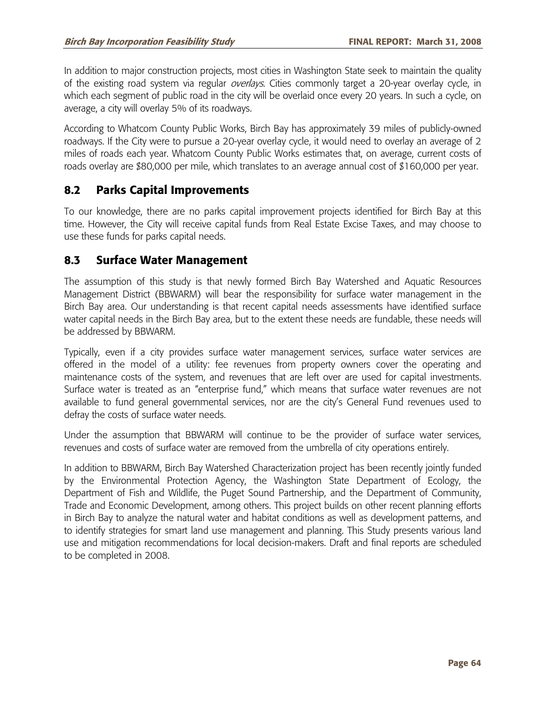In addition to major construction projects, most cities in Washington State seek to maintain the quality of the existing road system via regular *overlays*. Cities commonly target a 20-year overlay cycle, in which each segment of public road in the city will be overlaid once every 20 years. In such a cycle, on average, a city will overlay 5% of its roadways.

According to Whatcom County Public Works, Birch Bay has approximately 39 miles of publicly-owned roadways. If the City were to pursue a 20-year overlay cycle, it would need to overlay an average of 2 miles of roads each year. Whatcom County Public Works estimates that, on average, current costs of roads overlay are \$80,000 per mile, which translates to an average annual cost of \$160,000 per year.

### **8.2 Parks Capital Improvements**

To our knowledge, there are no parks capital improvement projects identified for Birch Bay at this time. However, the City will receive capital funds from Real Estate Excise Taxes, and may choose to use these funds for parks capital needs.

### **8.3 Surface Water Management**

The assumption of this study is that newly formed Birch Bay Watershed and Aquatic Resources Management District (BBWARM) will bear the responsibility for surface water management in the Birch Bay area. Our understanding is that recent capital needs assessments have identified surface water capital needs in the Birch Bay area, but to the extent these needs are fundable, these needs will be addressed by BBWARM.

Typically, even if a city provides surface water management services, surface water services are offered in the model of a utility: fee revenues from property owners cover the operating and maintenance costs of the system, and revenues that are left over are used for capital investments. Surface water is treated as an "enterprise fund," which means that surface water revenues are not available to fund general governmental services, nor are the city's General Fund revenues used to defray the costs of surface water needs.

Under the assumption that BBWARM will continue to be the provider of surface water services, revenues and costs of surface water are removed from the umbrella of city operations entirely.

In addition to BBWARM, Birch Bay Watershed Characterization project has been recently jointly funded by the Environmental Protection Agency, the Washington State Department of Ecology, the Department of Fish and Wildlife, the Puget Sound Partnership, and the Department of Community, Trade and Economic Development, among others. This project builds on other recent planning efforts in Birch Bay to analyze the natural water and habitat conditions as well as development patterns, and to identify strategies for smart land use management and planning. This Study presents various land use and mitigation recommendations for local decision-makers. Draft and final reports are scheduled to be completed in 2008.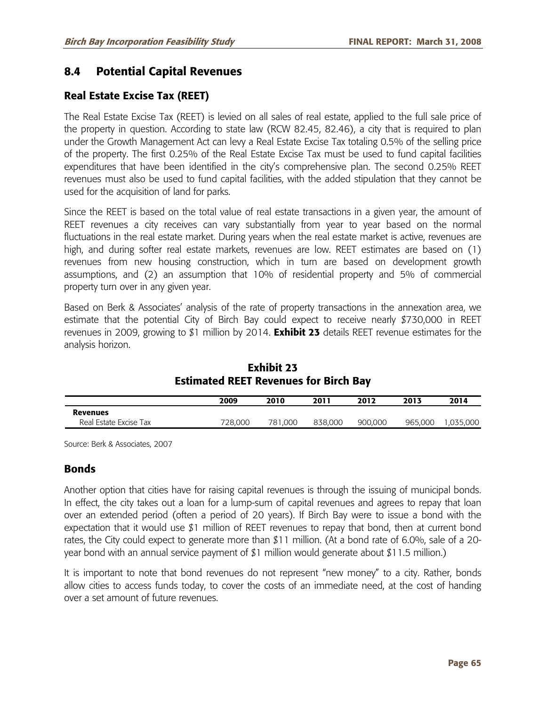## **8.4 Potential Capital Revenues**

### **Real Estate Excise Tax (REET)**

The Real Estate Excise Tax (REET) is levied on all sales of real estate, applied to the full sale price of the property in question. According to state law (RCW 82.45, 82.46), a city that is required to plan under the Growth Management Act can levy a Real Estate Excise Tax totaling 0.5% of the selling price of the property. The first 0.25% of the Real Estate Excise Tax must be used to fund capital facilities expenditures that have been identified in the city's comprehensive plan. The second 0.25% REET revenues must also be used to fund capital facilities, with the added stipulation that they cannot be used for the acquisition of land for parks.

Since the REET is based on the total value of real estate transactions in a given year, the amount of REET revenues a city receives can vary substantially from year to year based on the normal fluctuations in the real estate market. During years when the real estate market is active, revenues are high, and during softer real estate markets, revenues are low. REET estimates are based on (1) revenues from new housing construction, which in turn are based on development growth assumptions, and (2) an assumption that 10% of residential property and 5% of commercial property turn over in any given year.

Based on Berk & Associates' analysis of the rate of property transactions in the annexation area, we estimate that the potential City of Birch Bay could expect to receive nearly \$730,000 in REET revenues in 2009, growing to \$1 million by 2014. **Exhibit 23** details REET revenue estimates for the analysis horizon.

|                        | 2009    | 2010    | 2011    | 2012    | 2013    | 2014      |  |  |
|------------------------|---------|---------|---------|---------|---------|-----------|--|--|
| <b>Revenues</b>        |         |         |         |         |         |           |  |  |
| Real Estate Excise Tax | 728,000 | 781.000 | 838,000 | 900.000 | 965,000 | 1,035,000 |  |  |

**Exhibit 23 Estimated REET Revenues for Birch Bay** 

Source: Berk & Associates, 2007

#### **Bonds**

Another option that cities have for raising capital revenues is through the issuing of municipal bonds. In effect, the city takes out a loan for a lump-sum of capital revenues and agrees to repay that loan over an extended period (often a period of 20 years). If Birch Bay were to issue a bond with the expectation that it would use \$1 million of REET revenues to repay that bond, then at current bond rates, the City could expect to generate more than \$11 million. (At a bond rate of 6.0%, sale of a 20 year bond with an annual service payment of \$1 million would generate about \$11.5 million.)

It is important to note that bond revenues do not represent "new money" to a city. Rather, bonds allow cities to access funds today, to cover the costs of an immediate need, at the cost of handing over a set amount of future revenues.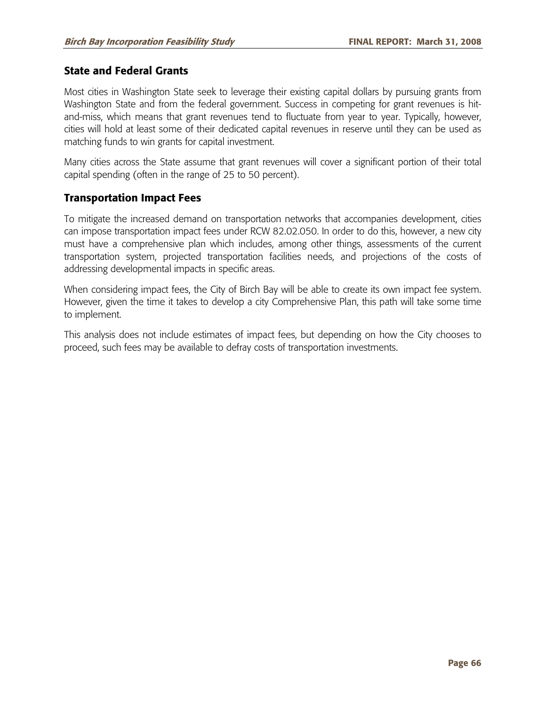#### **State and Federal Grants**

Most cities in Washington State seek to leverage their existing capital dollars by pursuing grants from Washington State and from the federal government. Success in competing for grant revenues is hitand-miss, which means that grant revenues tend to fluctuate from year to year. Typically, however, cities will hold at least some of their dedicated capital revenues in reserve until they can be used as matching funds to win grants for capital investment.

Many cities across the State assume that grant revenues will cover a significant portion of their total capital spending (often in the range of 25 to 50 percent).

#### **Transportation Impact Fees**

To mitigate the increased demand on transportation networks that accompanies development, cities can impose transportation impact fees under RCW 82.02.050. In order to do this, however, a new city must have a comprehensive plan which includes, among other things, assessments of the current transportation system, projected transportation facilities needs, and projections of the costs of addressing developmental impacts in specific areas.

When considering impact fees, the City of Birch Bay will be able to create its own impact fee system. However, given the time it takes to develop a city Comprehensive Plan, this path will take some time to implement.

This analysis does not include estimates of impact fees, but depending on how the City chooses to proceed, such fees may be available to defray costs of transportation investments.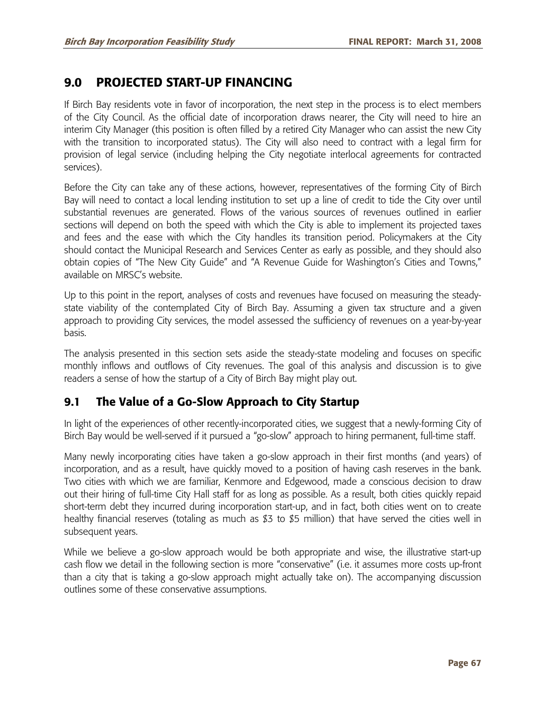# **9.0 PROJECTED START-UP FINANCING**

If Birch Bay residents vote in favor of incorporation, the next step in the process is to elect members of the City Council. As the official date of incorporation draws nearer, the City will need to hire an interim City Manager (this position is often filled by a retired City Manager who can assist the new City with the transition to incorporated status). The City will also need to contract with a legal firm for provision of legal service (including helping the City negotiate interlocal agreements for contracted services).

Before the City can take any of these actions, however, representatives of the forming City of Birch Bay will need to contact a local lending institution to set up a line of credit to tide the City over until substantial revenues are generated. Flows of the various sources of revenues outlined in earlier sections will depend on both the speed with which the City is able to implement its projected taxes and fees and the ease with which the City handles its transition period. Policymakers at the City should contact the Municipal Research and Services Center as early as possible, and they should also obtain copies of "The New City Guide" and "A Revenue Guide for Washington's Cities and Towns," available on MRSC's website.

Up to this point in the report, analyses of costs and revenues have focused on measuring the steadystate viability of the contemplated City of Birch Bay. Assuming a given tax structure and a given approach to providing City services, the model assessed the sufficiency of revenues on a year-by-year basis.

The analysis presented in this section sets aside the steady-state modeling and focuses on specific monthly inflows and outflows of City revenues. The goal of this analysis and discussion is to give readers a sense of how the startup of a City of Birch Bay might play out.

# **9.1 The Value of a Go-Slow Approach to City Startup**

In light of the experiences of other recently-incorporated cities, we suggest that a newly-forming City of Birch Bay would be well-served if it pursued a "go-slow" approach to hiring permanent, full-time staff.

Many newly incorporating cities have taken a go-slow approach in their first months (and years) of incorporation, and as a result, have quickly moved to a position of having cash reserves in the bank. Two cities with which we are familiar, Kenmore and Edgewood, made a conscious decision to draw out their hiring of full-time City Hall staff for as long as possible. As a result, both cities quickly repaid short-term debt they incurred during incorporation start-up, and in fact, both cities went on to create healthy financial reserves (totaling as much as \$3 to \$5 million) that have served the cities well in subsequent years.

While we believe a go-slow approach would be both appropriate and wise, the illustrative start-up cash flow we detail in the following section is more "conservative" (i.e. it assumes more costs up-front than a city that is taking a go-slow approach might actually take on). The accompanying discussion outlines some of these conservative assumptions.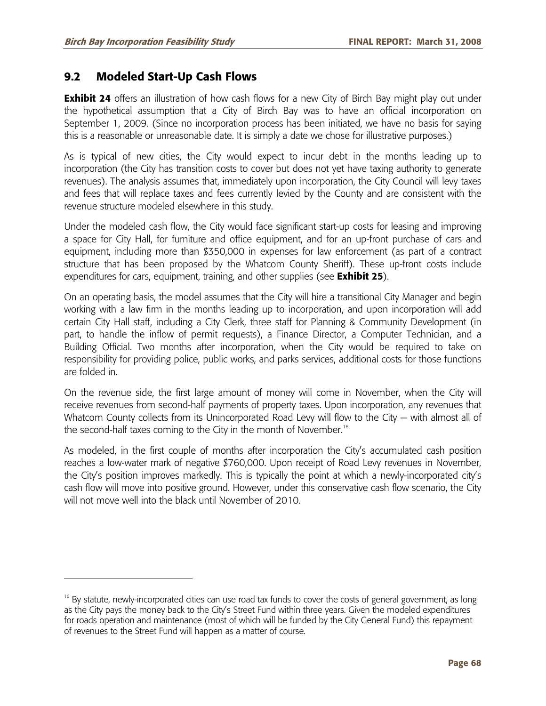-

## **9.2 Modeled Start-Up Cash Flows**

**Exhibit 24** offers an illustration of how cash flows for a new City of Birch Bay might play out under the hypothetical assumption that a City of Birch Bay was to have an official incorporation on September 1, 2009. (Since no incorporation process has been initiated, we have no basis for saying this is a reasonable or unreasonable date. It is simply a date we chose for illustrative purposes.)

As is typical of new cities, the City would expect to incur debt in the months leading up to incorporation (the City has transition costs to cover but does not yet have taxing authority to generate revenues). The analysis assumes that, immediately upon incorporation, the City Council will levy taxes and fees that will replace taxes and fees currently levied by the County and are consistent with the revenue structure modeled elsewhere in this study.

Under the modeled cash flow, the City would face significant start-up costs for leasing and improving a space for City Hall, for furniture and office equipment, and for an up-front purchase of cars and equipment, including more than \$350,000 in expenses for law enforcement (as part of a contract structure that has been proposed by the Whatcom County Sheriff). These up-front costs include expenditures for cars, equipment, training, and other supplies (see **Exhibit 25**).

On an operating basis, the model assumes that the City will hire a transitional City Manager and begin working with a law firm in the months leading up to incorporation, and upon incorporation will add certain City Hall staff, including a City Clerk, three staff for Planning & Community Development (in part, to handle the inflow of permit requests), a Finance Director, a Computer Technician, and a Building Official. Two months after incorporation, when the City would be required to take on responsibility for providing police, public works, and parks services, additional costs for those functions are folded in.

On the revenue side, the first large amount of money will come in November, when the City will receive revenues from second-half payments of property taxes. Upon incorporation, any revenues that Whatcom County collects from its Unincorporated Road Levy will flow to the City – with almost all of the second-half taxes coming to the City in the month of November.<sup>16</sup>

As modeled, in the first couple of months after incorporation the City's accumulated cash position reaches a low-water mark of negative \$760,000. Upon receipt of Road Levy revenues in November, the City's position improves markedly. This is typically the point at which a newly-incorporated city's cash flow will move into positive ground. However, under this conservative cash flow scenario, the City will not move well into the black until November of 2010.

 $16$  By statute, newly-incorporated cities can use road tax funds to cover the costs of general government, as long as the City pays the money back to the City's Street Fund within three years. Given the modeled expenditures for roads operation and maintenance (most of which will be funded by the City General Fund) this repayment of revenues to the Street Fund will happen as a matter of course.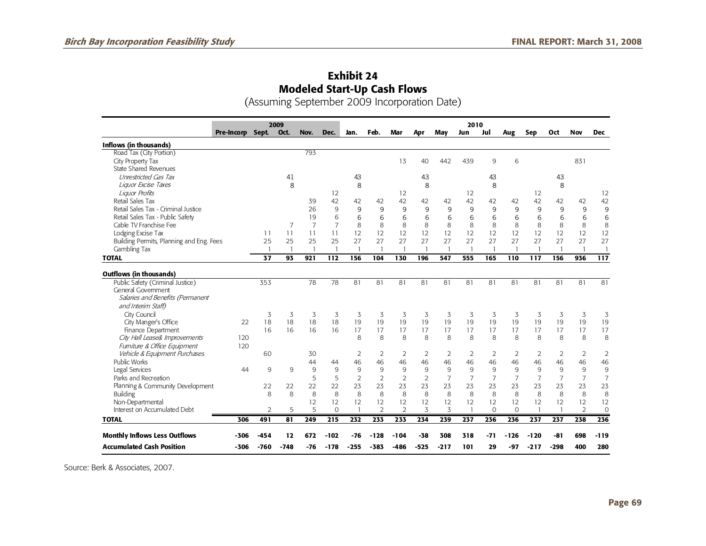## **Exhibit 24 Modeled Start-Up Cash Flows**

(Assuming September 2009 Incorporation Date)

|                                          |                  | 2009           |                |                |                |                |                |                | 2010           |                |                |                |                          |                |                |                |                  |
|------------------------------------------|------------------|----------------|----------------|----------------|----------------|----------------|----------------|----------------|----------------|----------------|----------------|----------------|--------------------------|----------------|----------------|----------------|------------------|
|                                          | Pre-Incorp Sept. |                | Oct.           | Nov.           | Dec.           | Jan.           | Feb.           | Mar            | Apr            | May            | Jun            | Jul            | Aug                      | Sep            | Oct            | <b>Nov</b>     | <b>Dec</b>       |
| Inflows (in thousands)                   |                  |                |                |                |                |                |                |                |                |                |                |                |                          |                |                |                |                  |
| Road Tax (City Portion)                  |                  |                |                | 793            |                |                |                |                |                |                |                |                |                          |                |                |                |                  |
| City Property Tax                        |                  |                |                |                |                |                |                | 13             | 40             | 442            | 439            | 9              | 6                        |                |                | 831            |                  |
| <b>State Shared Revenues</b>             |                  |                |                |                |                |                |                |                |                |                |                |                |                          |                |                |                |                  |
| Unrestricted Gas Tax                     |                  |                | 41             |                |                | 43             |                |                | 43             |                |                | 43             |                          |                | 43             |                |                  |
| Liquor Excise Taxes                      |                  |                | 8              |                |                | 8              |                |                | 8              |                |                | 8              |                          |                | 8              |                |                  |
| Liguor Profits                           |                  |                |                |                | 12             |                |                | 12             |                |                | 12             |                |                          | 12             |                |                | 12               |
| Retail Sales Tax                         |                  |                |                | 39             | 42             | 42             | 42             | 42             | 42             | 42             | 42             | 42             | 42                       | 42             | 42             | 42             | 42               |
| Retail Sales Tax - Criminal Justice      |                  |                |                | 26             | 9              | 9              | 9              | 9              | 9              | 9              | 9              | 9              | 9                        | 9              | 9              | 9              | 9                |
| Retail Sales Tax - Public Safety         |                  |                |                | 19             | 6              | 6              | 6              | 6              | 6              | 6              | 6              | 6              | 6                        | 6              | 6              | 6              | 6                |
| Cable TV Franchise Fee                   |                  |                | 7              | $\overline{7}$ | $\overline{7}$ | 8              | 8              | 8              | 8              | 8              | 8              | 8              | 8                        | 8              | 8              | 8              | 8                |
| Lodging Excise Tax                       |                  | 11             | 11             | 11             | 11             | 12             | 12             | 12             | 12             | 12             | 12             | 12             | 12                       | 12             | 12             | 12             | 12               |
| Building Permits, Planning and Eng. Fees |                  | 25             | 25             | 25             | 25             | 27             | 27             | 27             | 27             | 27             | 27             | 27             | 27                       | 27             | 27             | 27             | 27               |
| Gambling Tax                             |                  |                | $\overline{1}$ | $\mathbf{1}$   | $\overline{1}$ |                | $\mathbf{1}$   | $\overline{1}$ |                | $\overline{1}$ | $\overline{1}$ | $\overline{1}$ | $\overline{\phantom{a}}$ | $\mathbf{1}$   | $\overline{1}$ | -1             | $\overline{1}$   |
| <b>TOTAL</b>                             |                  | 37             | 93             | 921            | 112            | 156            | 104            | 130            | 196            | 547            | 555            | 165            | 110                      | 117            | 156            | 936            | $\overline{117}$ |
|                                          |                  |                |                |                |                |                |                |                |                |                |                |                |                          |                |                |                |                  |
| <b>Outflows (in thousands)</b>           |                  |                |                |                |                |                |                |                |                |                |                |                |                          |                |                |                |                  |
| Public Safety (Criminal Justice)         |                  | 353            |                | 78             | 78             | 81             | 81             | 81             | 81             | 81             | 81             | 81             | 81                       | 81             | 81             | 81             | 81               |
| General Government                       |                  |                |                |                |                |                |                |                |                |                |                |                |                          |                |                |                |                  |
| Salaries and Benefits (Permanent         |                  |                |                |                |                |                |                |                |                |                |                |                |                          |                |                |                |                  |
| and Interim Staff)                       |                  |                |                |                |                |                |                |                |                |                |                |                |                          |                |                |                |                  |
| City Council                             |                  | 3              | 3              | 3              | 3              | 3              | 3              | 3              | 3              | 3              | 3              | 3              | 3                        | 3              | 3              | 3              | 3                |
| City Manger's Office                     | 22               | 18             | 18             | 18             | 18             | 19             | 19             | 19             | 19             | 19             | 19             | 19             | 19                       | 19             | 19             | 19             | 19               |
| Finance Department                       |                  | 16             | 16             | 16             | 16             | 17             | 17             | 17             | 17             | 17             | 17             | 17             | 17                       | 17             | 17             | 17             | 17               |
| City Hall Lease& Improvements            | 120              |                |                |                |                | 8              | 8              | 8              | 8              | 8              | 8              | 8              | 8                        | 8              | 8              | 8              | 8                |
| Furniture & Office Equipment             | 120              |                |                |                |                |                |                |                |                |                |                |                |                          |                |                |                |                  |
| Vehicle & Equipment Purchases            |                  | 60             |                | 30             |                | $\overline{2}$ | 2              | $\overline{2}$ | 2              | 2              | 2              | 2              | $\overline{2}$           | 2              | 2              | 2              | $\overline{2}$   |
| Public Works                             |                  |                |                | 44             | 44             | 46             | 46             | 46             | 46             | 46             | 46             | 46             | 46                       | 46             | 46             | 46             | 46               |
| Legal Services                           | 44               | 9              | 9              | 9              | 9              | 9              | 9              | 9              | 9              | 9              | 9              | 9              | 9                        | 9              | 9              | 9              | 9                |
| Parks and Recreation                     |                  |                |                | 5              | 5              | $\overline{2}$ | $\overline{2}$ | $\overline{2}$ | $\overline{2}$ | $\overline{7}$ | $\overline{7}$ | $\overline{7}$ | $\overline{7}$           | $\overline{7}$ | $\overline{7}$ | $\overline{7}$ | $\overline{7}$   |
| Planning & Community Development         |                  | 22             | 22             | 22             | 22             | 23             | 23             | 23             | 23             | 23             | 23             | 23             | 23                       | 23             | 23             | 23             | 23               |
| Building                                 |                  | 8              | 8              | 8              | 8              | 8              | 8              | 8              | 8              | 8              | 8              | 8              | 8                        | 8              | 8              | 8              | 8                |
| Non-Departmental                         |                  |                |                | 12             | 12             | 12             | 12             | 12             | 12             | 12             | 12             | 12             | 12                       | 12             | 12             | 12             | 12               |
| Interest on Accumulated Debt             |                  | $\overline{2}$ | 5              | 5              | $\Omega$       |                | $\mathcal{P}$  | $\mathfrak{D}$ | 3              | 3              | $\overline{1}$ | $\Omega$       | $\Omega$                 | $\overline{1}$ | $\mathbf{1}$   | $\mathcal{L}$  | $\overline{0}$   |
| <b>TOTAL</b>                             | 306              | 491            | 81             | 249            | 215            | 232            | 233            | 233            | 234            | 239            | 237            | 236            | 236                      | 237            | 237            | 238            | 236              |
|                                          |                  |                |                |                |                |                |                |                |                |                |                |                |                          |                |                |                |                  |
| <b>Monthly Inflows Less Outflows</b>     | -306             | $-454$         | 12             | 672            | $-102$         | -76            | -128           | -104           | -38            | 308            | 318            | -71            | -126                     | -120           | -81            | 698            | $-119$           |
| <b>Accumulated Cash Position</b>         | $-306$           | -760           | -748           | -76            | -178           | -255           | $-383$         | -486           | $-525$         | $-217$         | 101            | 29             | -97                      | $-217$         | $-298$         | 400            | 280              |

Source: Berk & Associates, 2007.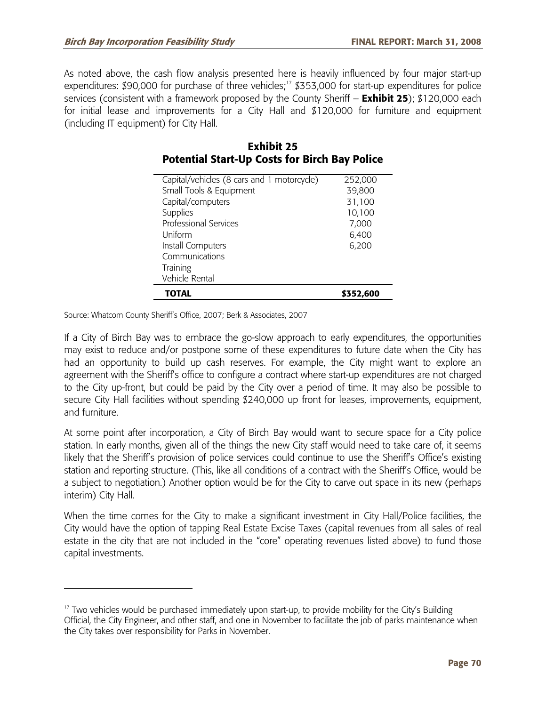As noted above, the cash flow analysis presented here is heavily influenced by four major start-up expenditures: \$90,000 for purchase of three vehicles;<sup>17</sup> \$353,000 for start-up expenditures for police services (consistent with a framework proposed by the County Sheriff – **Exhibit 25**); \$120,000 each for initial lease and improvements for a City Hall and \$120,000 for furniture and equipment (including IT equipment) for City Hall.

| Capital/vehicles (8 cars and 1 motorcycle) | 252,000   |
|--------------------------------------------|-----------|
| Small Tools & Equipment                    | 39,800    |
| Capital/computers                          | 31,100    |
| Supplies                                   | 10,100    |
| Professional Services                      | 7,000     |
| Uniform                                    | 6,400     |
| Install Computers                          | 6,200     |
| Communications                             |           |
| Training                                   |           |
| Vehicle Rental                             |           |
| TOTAL                                      | \$352,600 |

#### **Exhibit 25 Potential Start-Up Costs for Birch Bay Police**

Source: Whatcom County Sheriff's Office, 2007; Berk & Associates, 2007

If a City of Birch Bay was to embrace the go-slow approach to early expenditures, the opportunities may exist to reduce and/or postpone some of these expenditures to future date when the City has had an opportunity to build up cash reserves. For example, the City might want to explore an agreement with the Sheriff's office to configure a contract where start-up expenditures are not charged to the City up-front, but could be paid by the City over a period of time. It may also be possible to secure City Hall facilities without spending \$240,000 up front for leases, improvements, equipment, and furniture.

At some point after incorporation, a City of Birch Bay would want to secure space for a City police station. In early months, given all of the things the new City staff would need to take care of, it seems likely that the Sheriff's provision of police services could continue to use the Sheriff's Office's existing station and reporting structure. (This, like all conditions of a contract with the Sheriff's Office, would be a subject to negotiation.) Another option would be for the City to carve out space in its new (perhaps interim) City Hall.

When the time comes for the City to make a significant investment in City Hall/Police facilities, the City would have the option of tapping Real Estate Excise Taxes (capital revenues from all sales of real estate in the city that are not included in the "core" operating revenues listed above) to fund those capital investments.

 $17$  Two vehicles would be purchased immediately upon start-up, to provide mobility for the City's Building Official, the City Engineer, and other staff, and one in November to facilitate the job of parks maintenance when the City takes over responsibility for Parks in November.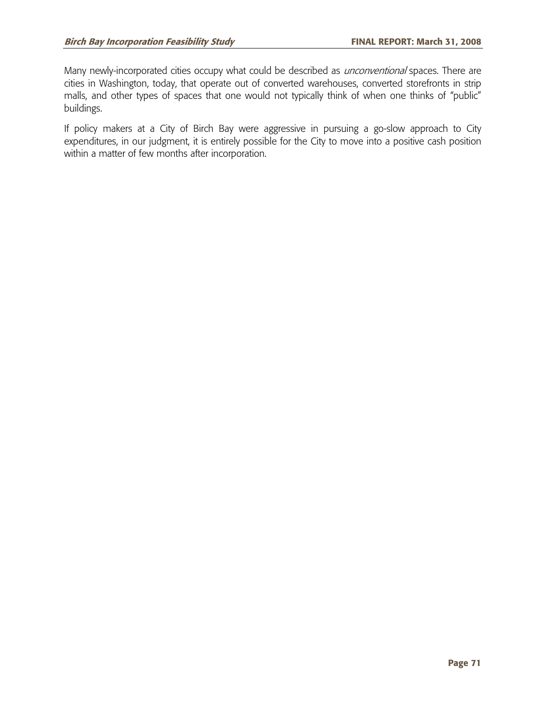Many newly-incorporated cities occupy what could be described as *unconventional* spaces. There are cities in Washington, today, that operate out of converted warehouses, converted storefronts in strip malls, and other types of spaces that one would not typically think of when one thinks of "public" buildings.

If policy makers at a City of Birch Bay were aggressive in pursuing a go-slow approach to City expenditures, in our judgment, it is entirely possible for the City to move into a positive cash position within a matter of few months after incorporation.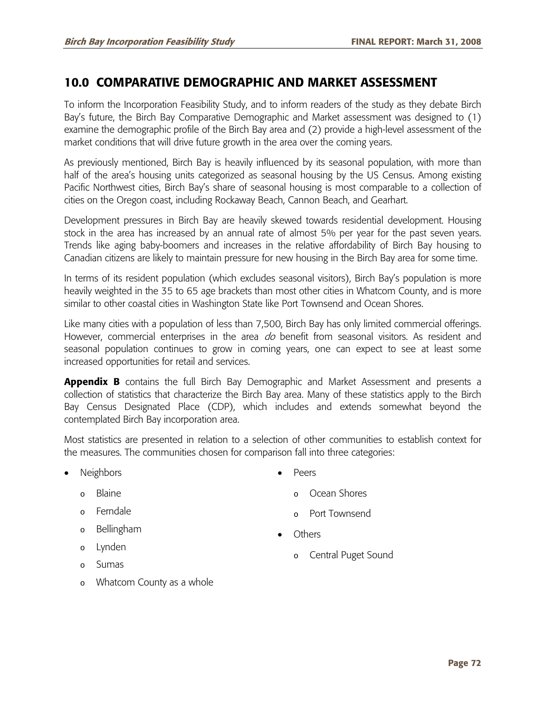# **10.0 COMPARATIVE DEMOGRAPHIC AND MARKET ASSESSMENT**

To inform the Incorporation Feasibility Study, and to inform readers of the study as they debate Birch Bay's future, the Birch Bay Comparative Demographic and Market assessment was designed to (1) examine the demographic profile of the Birch Bay area and (2) provide a high-level assessment of the market conditions that will drive future growth in the area over the coming years.

As previously mentioned, Birch Bay is heavily influenced by its seasonal population, with more than half of the area's housing units categorized as seasonal housing by the US Census. Among existing Pacific Northwest cities, Birch Bay's share of seasonal housing is most comparable to a collection of cities on the Oregon coast, including Rockaway Beach, Cannon Beach, and Gearhart.

Development pressures in Birch Bay are heavily skewed towards residential development. Housing stock in the area has increased by an annual rate of almost 5% per year for the past seven years. Trends like aging baby-boomers and increases in the relative affordability of Birch Bay housing to Canadian citizens are likely to maintain pressure for new housing in the Birch Bay area for some time.

In terms of its resident population (which excludes seasonal visitors), Birch Bay's population is more heavily weighted in the 35 to 65 age brackets than most other cities in Whatcom County, and is more similar to other coastal cities in Washington State like Port Townsend and Ocean Shores.

Like many cities with a population of less than 7,500, Birch Bay has only limited commercial offerings. However, commercial enterprises in the area  $d\sigma$  benefit from seasonal visitors. As resident and seasonal population continues to grow in coming years, one can expect to see at least some increased opportunities for retail and services.

Appendix B contains the full Birch Bay Demographic and Market Assessment and presents a collection of statistics that characterize the Birch Bay area. Many of these statistics apply to the Birch Bay Census Designated Place (CDP), which includes and extends somewhat beyond the contemplated Birch Bay incorporation area.

Most statistics are presented in relation to a selection of other communities to establish context for the measures. The communities chosen for comparison fall into three categories:

**Neighbors** 

• Peers

- o Blaine
- o Ferndale
- o Bellingham
- o Lynden
- o Sumas
- - Ocean Shores
	- o Port Townsend
- Others
	- o Central Puget Sound

o Whatcom County as a whole